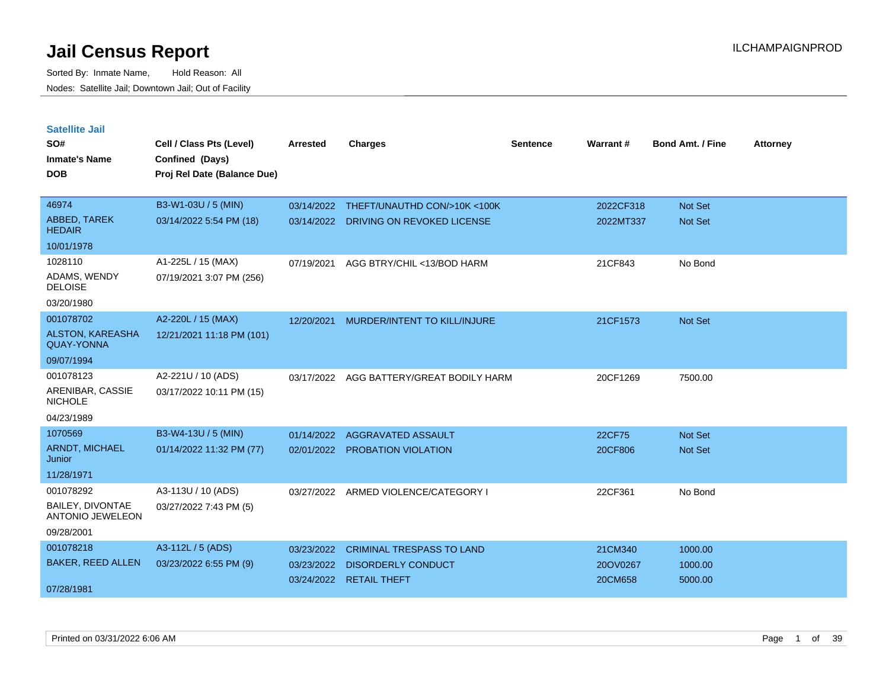| <b>Satellite Jail</b>                              |                             |            |                                  |          |           |                         |                 |
|----------------------------------------------------|-----------------------------|------------|----------------------------------|----------|-----------|-------------------------|-----------------|
| SO#                                                | Cell / Class Pts (Level)    | Arrested   | <b>Charges</b>                   | Sentence | Warrant#  | <b>Bond Amt. / Fine</b> | <b>Attorney</b> |
| Inmate's Name                                      | Confined (Days)             |            |                                  |          |           |                         |                 |
| <b>DOB</b>                                         | Proj Rel Date (Balance Due) |            |                                  |          |           |                         |                 |
| 46974                                              | B3-W1-03U / 5 (MIN)         | 03/14/2022 | THEFT/UNAUTHD CON/>10K <100K     |          | 2022CF318 | <b>Not Set</b>          |                 |
| ABBED, TAREK<br><b>HEDAIR</b>                      | 03/14/2022 5:54 PM (18)     | 03/14/2022 | DRIVING ON REVOKED LICENSE       |          | 2022MT337 | Not Set                 |                 |
| 10/01/1978                                         |                             |            |                                  |          |           |                         |                 |
| 1028110                                            | A1-225L / 15 (MAX)          | 07/19/2021 | AGG BTRY/CHIL <13/BOD HARM       |          | 21CF843   | No Bond                 |                 |
| ADAMS, WENDY<br><b>DELOISE</b>                     | 07/19/2021 3:07 PM (256)    |            |                                  |          |           |                         |                 |
| 03/20/1980                                         |                             |            |                                  |          |           |                         |                 |
| 001078702                                          | A2-220L / 15 (MAX)          | 12/20/2021 | MURDER/INTENT TO KILL/INJURE     |          | 21CF1573  | <b>Not Set</b>          |                 |
| <b>ALSTON, KAREASHA</b><br><b>QUAY-YONNA</b>       | 12/21/2021 11:18 PM (101)   |            |                                  |          |           |                         |                 |
| 09/07/1994                                         |                             |            |                                  |          |           |                         |                 |
| 001078123                                          | A2-221U / 10 (ADS)          | 03/17/2022 | AGG BATTERY/GREAT BODILY HARM    |          | 20CF1269  | 7500.00                 |                 |
| ARENIBAR, CASSIE<br>NICHOLE                        | 03/17/2022 10:11 PM (15)    |            |                                  |          |           |                         |                 |
| 04/23/1989                                         |                             |            |                                  |          |           |                         |                 |
| 1070569                                            | B3-W4-13U / 5 (MIN)         | 01/14/2022 | AGGRAVATED ASSAULT               |          | 22CF75    | <b>Not Set</b>          |                 |
| <b>ARNDT, MICHAEL</b><br>Junior                    | 01/14/2022 11:32 PM (77)    | 02/01/2022 | <b>PROBATION VIOLATION</b>       |          | 20CF806   | <b>Not Set</b>          |                 |
| 11/28/1971                                         |                             |            |                                  |          |           |                         |                 |
| 001078292                                          | A3-113U / 10 (ADS)          | 03/27/2022 | ARMED VIOLENCE/CATEGORY I        |          | 22CF361   | No Bond                 |                 |
| <b>BAILEY, DIVONTAE</b><br><b>ANTONIO JEWELEON</b> | 03/27/2022 7:43 PM (5)      |            |                                  |          |           |                         |                 |
| 09/28/2001                                         |                             |            |                                  |          |           |                         |                 |
| 001078218                                          | A3-112L / 5 (ADS)           | 03/23/2022 | <b>CRIMINAL TRESPASS TO LAND</b> |          | 21CM340   | 1000.00                 |                 |
| <b>BAKER, REED ALLEN</b>                           | 03/23/2022 6:55 PM (9)      | 03/23/2022 | <b>DISORDERLY CONDUCT</b>        |          | 20OV0267  | 1000.00                 |                 |
| 07/28/1981                                         |                             |            | 03/24/2022 RETAIL THEFT          |          | 20CM658   | 5000.00                 |                 |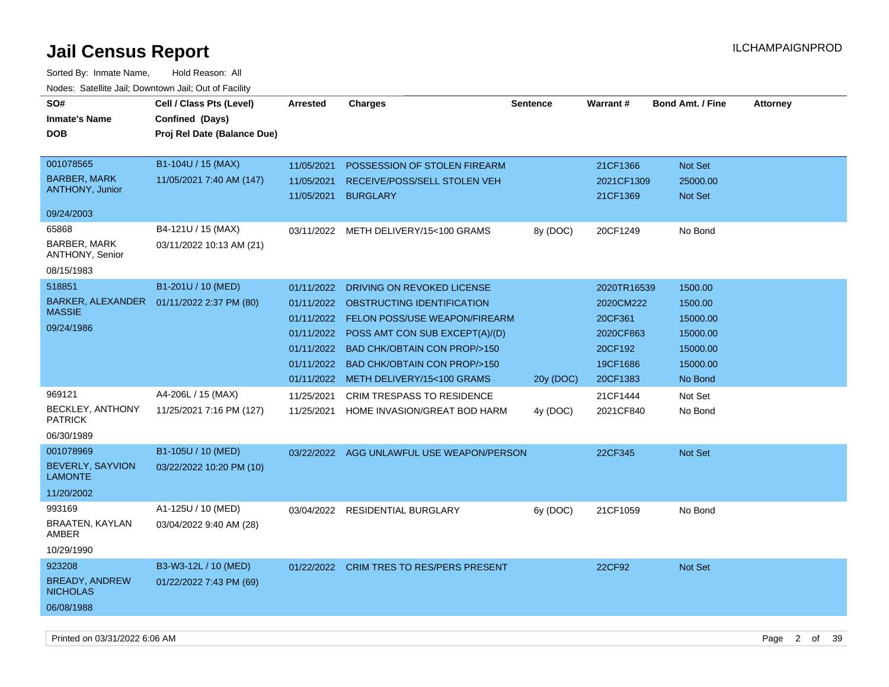| SO#<br><b>Inmate's Name</b><br><b>DOB</b>                                                                                                                                          | Cell / Class Pts (Level)<br>Confined (Days)<br>Proj Rel Date (Balance Due)                                                                        | <b>Arrested</b>                                                                                | <b>Charges</b>                                                                                                                                                                                                                                                                                                                                                                        | <b>Sentence</b>       | <b>Warrant#</b>                                                                                                         | <b>Bond Amt. / Fine</b>                                                                                        | <b>Attorney</b> |
|------------------------------------------------------------------------------------------------------------------------------------------------------------------------------------|---------------------------------------------------------------------------------------------------------------------------------------------------|------------------------------------------------------------------------------------------------|---------------------------------------------------------------------------------------------------------------------------------------------------------------------------------------------------------------------------------------------------------------------------------------------------------------------------------------------------------------------------------------|-----------------------|-------------------------------------------------------------------------------------------------------------------------|----------------------------------------------------------------------------------------------------------------|-----------------|
| 001078565<br><b>BARBER, MARK</b><br><b>ANTHONY, Junior</b>                                                                                                                         | B1-104U / 15 (MAX)<br>11/05/2021 7:40 AM (147)                                                                                                    | 11/05/2021<br>11/05/2021<br>11/05/2021                                                         | POSSESSION OF STOLEN FIREARM<br>RECEIVE/POSS/SELL STOLEN VEH<br><b>BURGLARY</b>                                                                                                                                                                                                                                                                                                       |                       | 21CF1366<br>2021CF1309<br>21CF1369                                                                                      | Not Set<br>25000.00<br>Not Set                                                                                 |                 |
| 09/24/2003                                                                                                                                                                         |                                                                                                                                                   |                                                                                                |                                                                                                                                                                                                                                                                                                                                                                                       |                       |                                                                                                                         |                                                                                                                |                 |
| 65868<br>BARBER, MARK<br>ANTHONY, Senior<br>08/15/1983                                                                                                                             | B4-121U / 15 (MAX)<br>03/11/2022 10:13 AM (21)                                                                                                    |                                                                                                | 03/11/2022 METH DELIVERY/15<100 GRAMS                                                                                                                                                                                                                                                                                                                                                 | 8y (DOC)              | 20CF1249                                                                                                                | No Bond                                                                                                        |                 |
|                                                                                                                                                                                    |                                                                                                                                                   |                                                                                                |                                                                                                                                                                                                                                                                                                                                                                                       |                       |                                                                                                                         |                                                                                                                |                 |
| 518851<br>BARKER, ALEXANDER<br><b>MASSIE</b><br>09/24/1986<br>969121<br><b>BECKLEY, ANTHONY</b><br><b>PATRICK</b><br>06/30/1989<br>001078969<br>BEVERLY, SAYVION<br><b>LAMONTE</b> | B1-201U / 10 (MED)<br>01/11/2022 2:37 PM (80)<br>A4-206L / 15 (MAX)<br>11/25/2021 7:16 PM (127)<br>B1-105U / 10 (MED)<br>03/22/2022 10:20 PM (10) | 01/11/2022<br>01/11/2022<br>01/11/2022<br>01/11/2022<br>01/11/2022<br>11/25/2021<br>11/25/2021 | DRIVING ON REVOKED LICENSE<br>OBSTRUCTING IDENTIFICATION<br>01/11/2022 FELON POSS/USE WEAPON/FIREARM<br>01/11/2022 POSS AMT CON SUB EXCEPT(A)/(D)<br><b>BAD CHK/OBTAIN CON PROP/&gt;150</b><br><b>BAD CHK/OBTAIN CON PROP/&gt;150</b><br>METH DELIVERY/15<100 GRAMS<br><b>CRIM TRESPASS TO RESIDENCE</b><br>HOME INVASION/GREAT BOD HARM<br>03/22/2022 AGG UNLAWFUL USE WEAPON/PERSON | 20y (DOC)<br>4y (DOC) | 2020TR16539<br>2020CM222<br>20CF361<br>2020CF863<br>20CF192<br>19CF1686<br>20CF1383<br>21CF1444<br>2021CF840<br>22CF345 | 1500.00<br>1500.00<br>15000.00<br>15000.00<br>15000.00<br>15000.00<br>No Bond<br>Not Set<br>No Bond<br>Not Set |                 |
| 11/20/2002                                                                                                                                                                         |                                                                                                                                                   |                                                                                                |                                                                                                                                                                                                                                                                                                                                                                                       |                       |                                                                                                                         |                                                                                                                |                 |
| 993169<br>BRAATEN, KAYLAN<br>AMBER<br>10/29/1990                                                                                                                                   | A1-125U / 10 (MED)<br>03/04/2022 9:40 AM (28)                                                                                                     |                                                                                                | 03/04/2022 RESIDENTIAL BURGLARY                                                                                                                                                                                                                                                                                                                                                       | 6y (DOC)              | 21CF1059                                                                                                                | No Bond                                                                                                        |                 |
| 923208<br><b>BREADY, ANDREW</b><br><b>NICHOLAS</b><br>06/08/1988                                                                                                                   | B3-W3-12L / 10 (MED)<br>01/22/2022 7:43 PM (69)                                                                                                   |                                                                                                | 01/22/2022 CRIM TRES TO RES/PERS PRESENT                                                                                                                                                                                                                                                                                                                                              |                       | 22CF92                                                                                                                  | Not Set                                                                                                        |                 |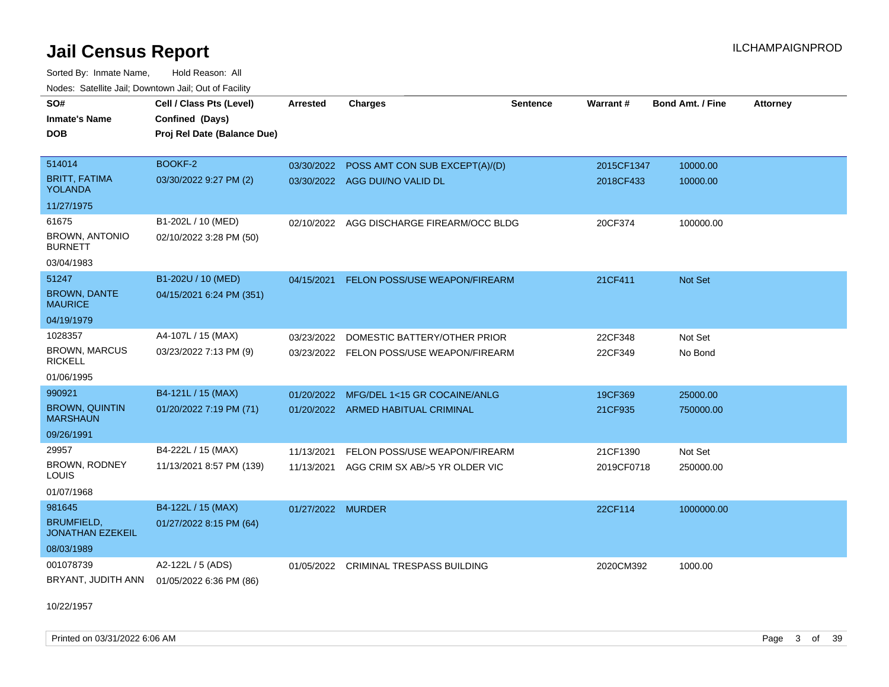Sorted By: Inmate Name, Hold Reason: All Nodes: Satellite Jail; Downtown Jail; Out of Facility

| SO#                                          | Cell / Class Pts (Level)    | <b>Arrested</b>   | <b>Charges</b>                            | <b>Sentence</b> | Warrant#   | <b>Bond Amt. / Fine</b> | <b>Attorney</b> |
|----------------------------------------------|-----------------------------|-------------------|-------------------------------------------|-----------------|------------|-------------------------|-----------------|
| Inmate's Name                                | Confined (Days)             |                   |                                           |                 |            |                         |                 |
| <b>DOB</b>                                   | Proj Rel Date (Balance Due) |                   |                                           |                 |            |                         |                 |
|                                              |                             |                   |                                           |                 |            |                         |                 |
| 514014                                       | BOOKF-2                     | 03/30/2022        | POSS AMT CON SUB EXCEPT(A)/(D)            |                 | 2015CF1347 | 10000.00                |                 |
| <b>BRITT, FATIMA</b><br><b>YOLANDA</b>       | 03/30/2022 9:27 PM (2)      |                   | 03/30/2022 AGG DUI/NO VALID DL            |                 | 2018CF433  | 10000.00                |                 |
| 11/27/1975                                   |                             |                   |                                           |                 |            |                         |                 |
| 61675                                        | B1-202L / 10 (MED)          |                   | 02/10/2022 AGG DISCHARGE FIREARM/OCC BLDG |                 | 20CF374    | 100000.00               |                 |
| <b>BROWN, ANTONIO</b><br><b>BURNETT</b>      | 02/10/2022 3:28 PM (50)     |                   |                                           |                 |            |                         |                 |
| 03/04/1983                                   |                             |                   |                                           |                 |            |                         |                 |
| 51247                                        | B1-202U / 10 (MED)          | 04/15/2021        | FELON POSS/USE WEAPON/FIREARM             |                 | 21CF411    | <b>Not Set</b>          |                 |
| <b>BROWN, DANTE</b><br><b>MAURICE</b>        | 04/15/2021 6:24 PM (351)    |                   |                                           |                 |            |                         |                 |
| 04/19/1979                                   |                             |                   |                                           |                 |            |                         |                 |
| 1028357                                      | A4-107L / 15 (MAX)          | 03/23/2022        | DOMESTIC BATTERY/OTHER PRIOR              |                 | 22CF348    | Not Set                 |                 |
| <b>BROWN, MARCUS</b><br><b>RICKELL</b>       | 03/23/2022 7:13 PM (9)      |                   | 03/23/2022 FELON POSS/USE WEAPON/FIREARM  |                 | 22CF349    | No Bond                 |                 |
| 01/06/1995                                   |                             |                   |                                           |                 |            |                         |                 |
| 990921                                       | B4-121L / 15 (MAX)          | 01/20/2022        | MFG/DEL 1<15 GR COCAINE/ANLG              |                 | 19CF369    | 25000.00                |                 |
| <b>BROWN, QUINTIN</b><br><b>MARSHAUN</b>     | 01/20/2022 7:19 PM (71)     |                   | 01/20/2022 ARMED HABITUAL CRIMINAL        |                 | 21CF935    | 750000.00               |                 |
| 09/26/1991                                   |                             |                   |                                           |                 |            |                         |                 |
| 29957                                        | B4-222L / 15 (MAX)          | 11/13/2021        | FELON POSS/USE WEAPON/FIREARM             |                 | 21CF1390   | Not Set                 |                 |
| <b>BROWN, RODNEY</b><br>LOUIS                | 11/13/2021 8:57 PM (139)    | 11/13/2021        | AGG CRIM SX AB/>5 YR OLDER VIC            |                 | 2019CF0718 | 250000.00               |                 |
| 01/07/1968                                   |                             |                   |                                           |                 |            |                         |                 |
| 981645                                       | B4-122L / 15 (MAX)          | 01/27/2022 MURDER |                                           |                 | 22CF114    | 1000000.00              |                 |
| <b>BRUMFIELD,</b><br><b>JONATHAN EZEKEIL</b> | 01/27/2022 8:15 PM (64)     |                   |                                           |                 |            |                         |                 |
| 08/03/1989                                   |                             |                   |                                           |                 |            |                         |                 |
| 001078739                                    | A2-122L / 5 (ADS)           |                   | 01/05/2022 CRIMINAL TRESPASS BUILDING     |                 | 2020CM392  | 1000.00                 |                 |
| BRYANT, JUDITH ANN                           | 01/05/2022 6:36 PM (86)     |                   |                                           |                 |            |                         |                 |

10/22/1957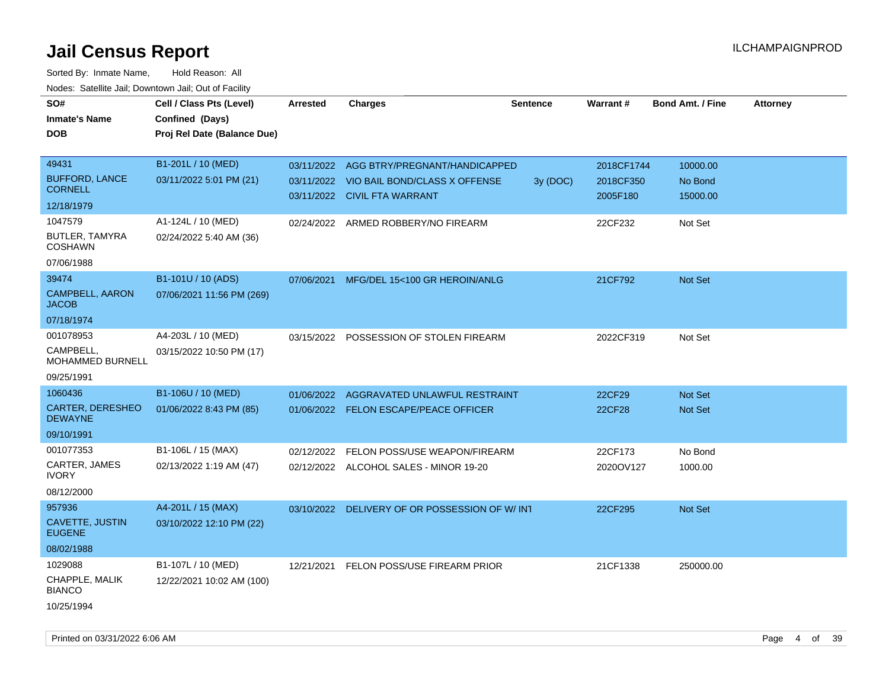| roaco. Catolino cali, Downtown cali, Out of Facility |                             |                 |                                               |                 |            |                         |                 |
|------------------------------------------------------|-----------------------------|-----------------|-----------------------------------------------|-----------------|------------|-------------------------|-----------------|
| SO#                                                  | Cell / Class Pts (Level)    | <b>Arrested</b> | <b>Charges</b>                                | <b>Sentence</b> | Warrant#   | <b>Bond Amt. / Fine</b> | <b>Attorney</b> |
| Inmate's Name                                        | Confined (Days)             |                 |                                               |                 |            |                         |                 |
| DOB                                                  | Proj Rel Date (Balance Due) |                 |                                               |                 |            |                         |                 |
|                                                      |                             |                 |                                               |                 |            |                         |                 |
| 49431                                                | B1-201L / 10 (MED)          | 03/11/2022      | AGG BTRY/PREGNANT/HANDICAPPED                 |                 | 2018CF1744 | 10000.00                |                 |
| <b>BUFFORD, LANCE</b>                                | 03/11/2022 5:01 PM (21)     | 03/11/2022      | VIO BAIL BOND/CLASS X OFFENSE                 | 3y (DOC)        | 2018CF350  | No Bond                 |                 |
| <b>CORNELL</b>                                       |                             |                 | 03/11/2022 CIVIL FTA WARRANT                  |                 | 2005F180   | 15000.00                |                 |
| 12/18/1979                                           |                             |                 |                                               |                 |            |                         |                 |
| 1047579                                              | A1-124L / 10 (MED)          |                 | 02/24/2022 ARMED ROBBERY/NO FIREARM           |                 | 22CF232    | Not Set                 |                 |
| BUTLER, TAMYRA<br><b>COSHAWN</b>                     | 02/24/2022 5:40 AM (36)     |                 |                                               |                 |            |                         |                 |
| 07/06/1988                                           |                             |                 |                                               |                 |            |                         |                 |
| 39474                                                | B1-101U / 10 (ADS)          | 07/06/2021      | MFG/DEL 15<100 GR HEROIN/ANLG                 |                 | 21CF792    | <b>Not Set</b>          |                 |
| <b>CAMPBELL, AARON</b><br><b>JACOB</b>               | 07/06/2021 11:56 PM (269)   |                 |                                               |                 |            |                         |                 |
| 07/18/1974                                           |                             |                 |                                               |                 |            |                         |                 |
| 001078953                                            | A4-203L / 10 (MED)          |                 | 03/15/2022 POSSESSION OF STOLEN FIREARM       |                 | 2022CF319  | Not Set                 |                 |
| CAMPBELL,<br>MOHAMMED BURNELL                        | 03/15/2022 10:50 PM (17)    |                 |                                               |                 |            |                         |                 |
| 09/25/1991                                           |                             |                 |                                               |                 |            |                         |                 |
| 1060436                                              | B1-106U / 10 (MED)          | 01/06/2022      | AGGRAVATED UNLAWFUL RESTRAINT                 |                 | 22CF29     | <b>Not Set</b>          |                 |
| <b>CARTER, DERESHEO</b><br><b>DEWAYNE</b>            | 01/06/2022 8:43 PM (85)     |                 | 01/06/2022 FELON ESCAPE/PEACE OFFICER         |                 | 22CF28     | <b>Not Set</b>          |                 |
| 09/10/1991                                           |                             |                 |                                               |                 |            |                         |                 |
| 001077353                                            | B1-106L / 15 (MAX)          | 02/12/2022      | FELON POSS/USE WEAPON/FIREARM                 |                 | 22CF173    | No Bond                 |                 |
| CARTER, JAMES<br>IVORY                               | 02/13/2022 1:19 AM (47)     |                 | 02/12/2022 ALCOHOL SALES - MINOR 19-20        |                 | 2020OV127  | 1000.00                 |                 |
| 08/12/2000                                           |                             |                 |                                               |                 |            |                         |                 |
| 957936                                               | A4-201L / 15 (MAX)          |                 | 03/10/2022 DELIVERY OF OR POSSESSION OF W/INT |                 | 22CF295    | Not Set                 |                 |
| CAVETTE, JUSTIN<br><b>EUGENE</b>                     | 03/10/2022 12:10 PM (22)    |                 |                                               |                 |            |                         |                 |
| 08/02/1988                                           |                             |                 |                                               |                 |            |                         |                 |
| 1029088                                              | B1-107L / 10 (MED)          | 12/21/2021      | FELON POSS/USE FIREARM PRIOR                  |                 | 21CF1338   | 250000.00               |                 |
| CHAPPLE, MALIK<br><b>BIANCO</b>                      | 12/22/2021 10:02 AM (100)   |                 |                                               |                 |            |                         |                 |
| 10/25/1994                                           |                             |                 |                                               |                 |            |                         |                 |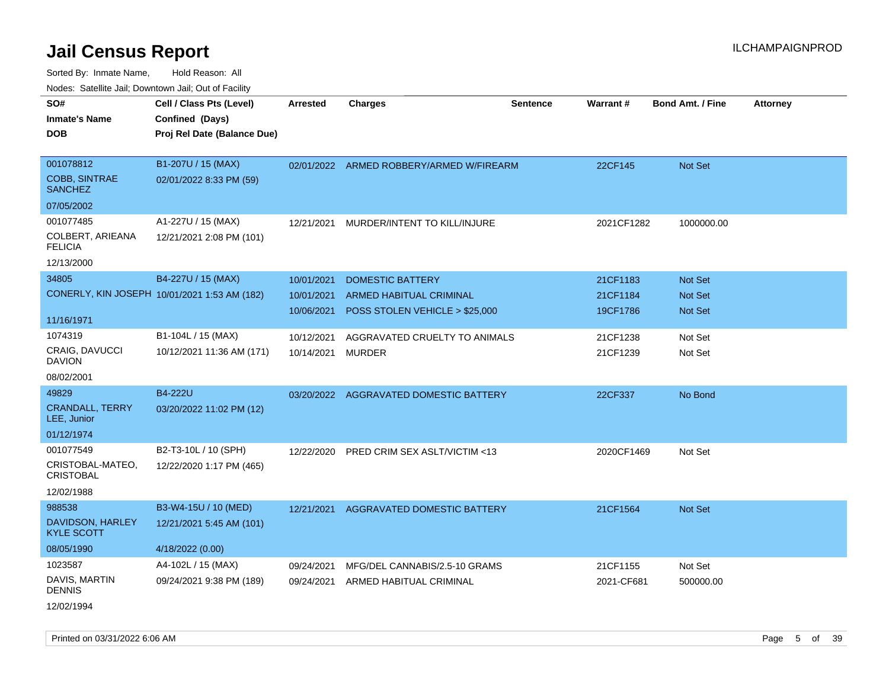Sorted By: Inmate Name, Hold Reason: All Nodes: Satellite Jail; Downtown Jail; Out of Facility

| SO#                                    | Cell / Class Pts (Level)                     | <b>Arrested</b> | <b>Charges</b>                           | <b>Sentence</b> | Warrant#   | <b>Bond Amt. / Fine</b> | <b>Attorney</b> |
|----------------------------------------|----------------------------------------------|-----------------|------------------------------------------|-----------------|------------|-------------------------|-----------------|
| <b>Inmate's Name</b>                   | Confined (Days)                              |                 |                                          |                 |            |                         |                 |
| <b>DOB</b>                             | Proj Rel Date (Balance Due)                  |                 |                                          |                 |            |                         |                 |
|                                        |                                              |                 |                                          |                 |            |                         |                 |
| 001078812                              | B1-207U / 15 (MAX)                           |                 | 02/01/2022 ARMED ROBBERY/ARMED W/FIREARM |                 | 22CF145    | Not Set                 |                 |
| <b>COBB, SINTRAE</b><br><b>SANCHEZ</b> | 02/01/2022 8:33 PM (59)                      |                 |                                          |                 |            |                         |                 |
| 07/05/2002                             |                                              |                 |                                          |                 |            |                         |                 |
| 001077485                              | A1-227U / 15 (MAX)                           | 12/21/2021      | MURDER/INTENT TO KILL/INJURE             |                 | 2021CF1282 | 1000000.00              |                 |
| COLBERT, ARIEANA<br><b>FELICIA</b>     | 12/21/2021 2:08 PM (101)                     |                 |                                          |                 |            |                         |                 |
| 12/13/2000                             |                                              |                 |                                          |                 |            |                         |                 |
| 34805                                  | B4-227U / 15 (MAX)                           | 10/01/2021      | <b>DOMESTIC BATTERY</b>                  |                 | 21CF1183   | Not Set                 |                 |
|                                        | CONERLY, KIN JOSEPH 10/01/2021 1:53 AM (182) | 10/01/2021      | ARMED HABITUAL CRIMINAL                  |                 | 21CF1184   | Not Set                 |                 |
|                                        |                                              | 10/06/2021      | POSS STOLEN VEHICLE > \$25,000           |                 | 19CF1786   | <b>Not Set</b>          |                 |
| 11/16/1971                             |                                              |                 |                                          |                 |            |                         |                 |
| 1074319                                | B1-104L / 15 (MAX)                           | 10/12/2021      | AGGRAVATED CRUELTY TO ANIMALS            |                 | 21CF1238   | Not Set                 |                 |
| CRAIG, DAVUCCI<br><b>DAVION</b>        | 10/12/2021 11:36 AM (171)                    | 10/14/2021      | MURDER                                   |                 | 21CF1239   | Not Set                 |                 |
| 08/02/2001                             |                                              |                 |                                          |                 |            |                         |                 |
| 49829                                  | B4-222U                                      |                 | 03/20/2022 AGGRAVATED DOMESTIC BATTERY   |                 | 22CF337    | No Bond                 |                 |
| <b>CRANDALL, TERRY</b><br>LEE, Junior  | 03/20/2022 11:02 PM (12)                     |                 |                                          |                 |            |                         |                 |
| 01/12/1974                             |                                              |                 |                                          |                 |            |                         |                 |
| 001077549                              | B2-T3-10L / 10 (SPH)                         | 12/22/2020      | PRED CRIM SEX ASLT/VICTIM <13            |                 | 2020CF1469 | Not Set                 |                 |
| CRISTOBAL-MATEO,<br><b>CRISTOBAL</b>   | 12/22/2020 1:17 PM (465)                     |                 |                                          |                 |            |                         |                 |
| 12/02/1988                             |                                              |                 |                                          |                 |            |                         |                 |
| 988538                                 | B3-W4-15U / 10 (MED)                         |                 | 12/21/2021 AGGRAVATED DOMESTIC BATTERY   |                 | 21CF1564   | Not Set                 |                 |
| DAVIDSON, HARLEY<br><b>KYLE SCOTT</b>  | 12/21/2021 5:45 AM (101)                     |                 |                                          |                 |            |                         |                 |
| 08/05/1990                             | 4/18/2022 (0.00)                             |                 |                                          |                 |            |                         |                 |
| 1023587                                | A4-102L / 15 (MAX)                           | 09/24/2021      | MFG/DEL CANNABIS/2.5-10 GRAMS            |                 | 21CF1155   | Not Set                 |                 |
| DAVIS, MARTIN<br><b>DENNIS</b>         | 09/24/2021 9:38 PM (189)                     | 09/24/2021      | ARMED HABITUAL CRIMINAL                  |                 | 2021-CF681 | 500000.00               |                 |
| 12/02/1994                             |                                              |                 |                                          |                 |            |                         |                 |

Printed on 03/31/2022 6:06 AM Page 5 of 39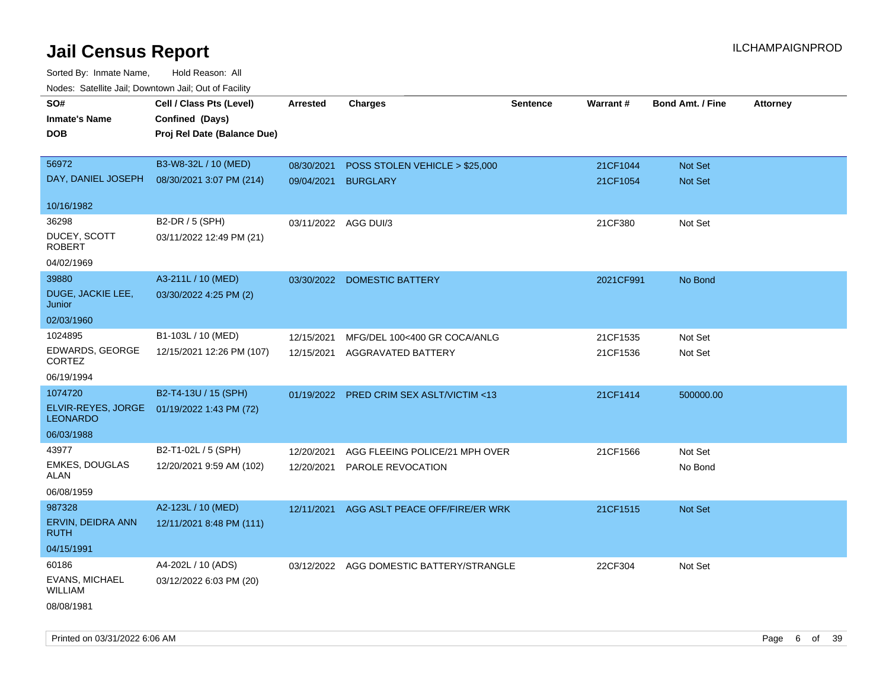| rouco. Calcinic Jan, Downtown Jan, Out of Facility |                             |                      |                                          |                 |           |                         |                 |
|----------------------------------------------------|-----------------------------|----------------------|------------------------------------------|-----------------|-----------|-------------------------|-----------------|
| SO#                                                | Cell / Class Pts (Level)    | <b>Arrested</b>      | <b>Charges</b>                           | <b>Sentence</b> | Warrant#  | <b>Bond Amt. / Fine</b> | <b>Attorney</b> |
| <b>Inmate's Name</b>                               | Confined (Days)             |                      |                                          |                 |           |                         |                 |
| <b>DOB</b>                                         | Proj Rel Date (Balance Due) |                      |                                          |                 |           |                         |                 |
|                                                    |                             |                      |                                          |                 |           |                         |                 |
| 56972                                              | B3-W8-32L / 10 (MED)        | 08/30/2021           | POSS STOLEN VEHICLE > \$25,000           |                 | 21CF1044  | Not Set                 |                 |
| DAY, DANIEL JOSEPH                                 | 08/30/2021 3:07 PM (214)    | 09/04/2021 BURGLARY  |                                          |                 | 21CF1054  | Not Set                 |                 |
|                                                    |                             |                      |                                          |                 |           |                         |                 |
| 10/16/1982                                         |                             |                      |                                          |                 |           |                         |                 |
| 36298                                              | B2-DR / 5 (SPH)             | 03/11/2022 AGG DUI/3 |                                          |                 | 21CF380   | Not Set                 |                 |
| DUCEY, SCOTT<br><b>ROBERT</b>                      | 03/11/2022 12:49 PM (21)    |                      |                                          |                 |           |                         |                 |
| 04/02/1969                                         |                             |                      |                                          |                 |           |                         |                 |
| 39880                                              | A3-211L / 10 (MED)          |                      | 03/30/2022 DOMESTIC BATTERY              |                 | 2021CF991 | No Bond                 |                 |
| DUGE, JACKIE LEE,<br>Junior                        | 03/30/2022 4:25 PM (2)      |                      |                                          |                 |           |                         |                 |
| 02/03/1960                                         |                             |                      |                                          |                 |           |                         |                 |
| 1024895                                            | B1-103L / 10 (MED)          | 12/15/2021           | MFG/DEL 100<400 GR COCA/ANLG             |                 | 21CF1535  | Not Set                 |                 |
| EDWARDS, GEORGE<br>CORTEZ                          | 12/15/2021 12:26 PM (107)   | 12/15/2021           | AGGRAVATED BATTERY                       |                 | 21CF1536  | Not Set                 |                 |
| 06/19/1994                                         |                             |                      |                                          |                 |           |                         |                 |
| 1074720                                            | B2-T4-13U / 15 (SPH)        |                      | 01/19/2022 PRED CRIM SEX ASLT/VICTIM <13 |                 | 21CF1414  | 500000.00               |                 |
| ELVIR-REYES, JORGE<br><b>LEONARDO</b>              | 01/19/2022 1:43 PM (72)     |                      |                                          |                 |           |                         |                 |
| 06/03/1988                                         |                             |                      |                                          |                 |           |                         |                 |
| 43977                                              | B2-T1-02L / 5 (SPH)         | 12/20/2021           | AGG FLEEING POLICE/21 MPH OVER           |                 | 21CF1566  | Not Set                 |                 |
| <b>EMKES, DOUGLAS</b><br>ALAN                      | 12/20/2021 9:59 AM (102)    | 12/20/2021           | PAROLE REVOCATION                        |                 |           | No Bond                 |                 |
| 06/08/1959                                         |                             |                      |                                          |                 |           |                         |                 |
| 987328                                             | A2-123L / 10 (MED)          | 12/11/2021           | AGG ASLT PEACE OFF/FIRE/ER WRK           |                 | 21CF1515  | Not Set                 |                 |
| ERVIN, DEIDRA ANN<br>RUTH                          | 12/11/2021 8:48 PM (111)    |                      |                                          |                 |           |                         |                 |
| 04/15/1991                                         |                             |                      |                                          |                 |           |                         |                 |
| 60186                                              | A4-202L / 10 (ADS)          |                      | 03/12/2022 AGG DOMESTIC BATTERY/STRANGLE |                 | 22CF304   | Not Set                 |                 |
| EVANS, MICHAEL<br><b>WILLIAM</b>                   | 03/12/2022 6:03 PM (20)     |                      |                                          |                 |           |                         |                 |
| 08/08/1981                                         |                             |                      |                                          |                 |           |                         |                 |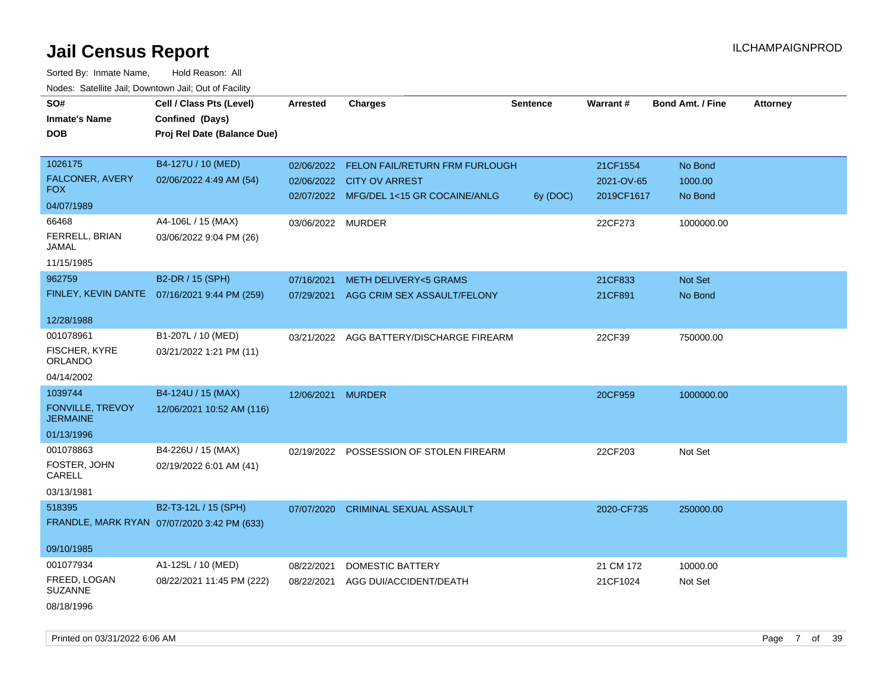| SO#                                 | Cell / Class Pts (Level)                     | <b>Arrested</b>   | <b>Charges</b>                            | <b>Sentence</b> | Warrant#   | <b>Bond Amt. / Fine</b> | <b>Attorney</b> |
|-------------------------------------|----------------------------------------------|-------------------|-------------------------------------------|-----------------|------------|-------------------------|-----------------|
| <b>Inmate's Name</b>                | Confined (Days)                              |                   |                                           |                 |            |                         |                 |
| <b>DOB</b>                          | Proj Rel Date (Balance Due)                  |                   |                                           |                 |            |                         |                 |
|                                     |                                              |                   |                                           |                 |            |                         |                 |
| 1026175                             | B4-127U / 10 (MED)                           |                   | 02/06/2022 FELON FAIL/RETURN FRM FURLOUGH |                 | 21CF1554   | No Bond                 |                 |
| FALCONER, AVERY                     | 02/06/2022 4:49 AM (54)                      |                   | 02/06/2022 CITY OV ARREST                 |                 | 2021-OV-65 | 1000.00                 |                 |
| <b>FOX</b>                          |                                              |                   | 02/07/2022 MFG/DEL 1<15 GR COCAINE/ANLG   | 6y (DOC)        | 2019CF1617 | No Bond                 |                 |
| 04/07/1989                          |                                              |                   |                                           |                 |            |                         |                 |
| 66468                               | A4-106L / 15 (MAX)                           | 03/06/2022 MURDER |                                           |                 | 22CF273    | 1000000.00              |                 |
| FERRELL, BRIAN<br>JAMAL             | 03/06/2022 9:04 PM (26)                      |                   |                                           |                 |            |                         |                 |
| 11/15/1985                          |                                              |                   |                                           |                 |            |                         |                 |
| 962759                              | B2-DR / 15 (SPH)                             | 07/16/2021        | <b>METH DELIVERY&lt;5 GRAMS</b>           |                 | 21CF833    | Not Set                 |                 |
|                                     | FINLEY, KEVIN DANTE 07/16/2021 9:44 PM (259) | 07/29/2021        | AGG CRIM SEX ASSAULT/FELONY               |                 | 21CF891    | No Bond                 |                 |
|                                     |                                              |                   |                                           |                 |            |                         |                 |
| 12/28/1988                          |                                              |                   |                                           |                 |            |                         |                 |
| 001078961                           | B1-207L / 10 (MED)                           |                   | 03/21/2022 AGG BATTERY/DISCHARGE FIREARM  |                 | 22CF39     | 750000.00               |                 |
| FISCHER, KYRE<br><b>ORLANDO</b>     | 03/21/2022 1:21 PM (11)                      |                   |                                           |                 |            |                         |                 |
| 04/14/2002                          |                                              |                   |                                           |                 |            |                         |                 |
| 1039744                             | B4-124U / 15 (MAX)                           | 12/06/2021 MURDER |                                           |                 | 20CF959    | 1000000.00              |                 |
| FONVILLE, TREVOY<br><b>JERMAINE</b> | 12/06/2021 10:52 AM (116)                    |                   |                                           |                 |            |                         |                 |
| 01/13/1996                          |                                              |                   |                                           |                 |            |                         |                 |
| 001078863                           | B4-226U / 15 (MAX)                           |                   | 02/19/2022 POSSESSION OF STOLEN FIREARM   |                 | 22CF203    | Not Set                 |                 |
| FOSTER, JOHN<br>CARELL              | 02/19/2022 6:01 AM (41)                      |                   |                                           |                 |            |                         |                 |
| 03/13/1981                          |                                              |                   |                                           |                 |            |                         |                 |
| 518395                              | B2-T3-12L / 15 (SPH)                         | 07/07/2020        | <b>CRIMINAL SEXUAL ASSAULT</b>            |                 | 2020-CF735 | 250000.00               |                 |
|                                     | FRANDLE, MARK RYAN 07/07/2020 3:42 PM (633)  |                   |                                           |                 |            |                         |                 |
|                                     |                                              |                   |                                           |                 |            |                         |                 |
| 09/10/1985                          |                                              |                   |                                           |                 |            |                         |                 |
| 001077934                           | A1-125L / 10 (MED)                           | 08/22/2021        | <b>DOMESTIC BATTERY</b>                   |                 | 21 CM 172  | 10000.00                |                 |
| FREED, LOGAN<br><b>SUZANNE</b>      | 08/22/2021 11:45 PM (222)                    | 08/22/2021        | AGG DUI/ACCIDENT/DEATH                    |                 | 21CF1024   | Not Set                 |                 |
| 08/18/1996                          |                                              |                   |                                           |                 |            |                         |                 |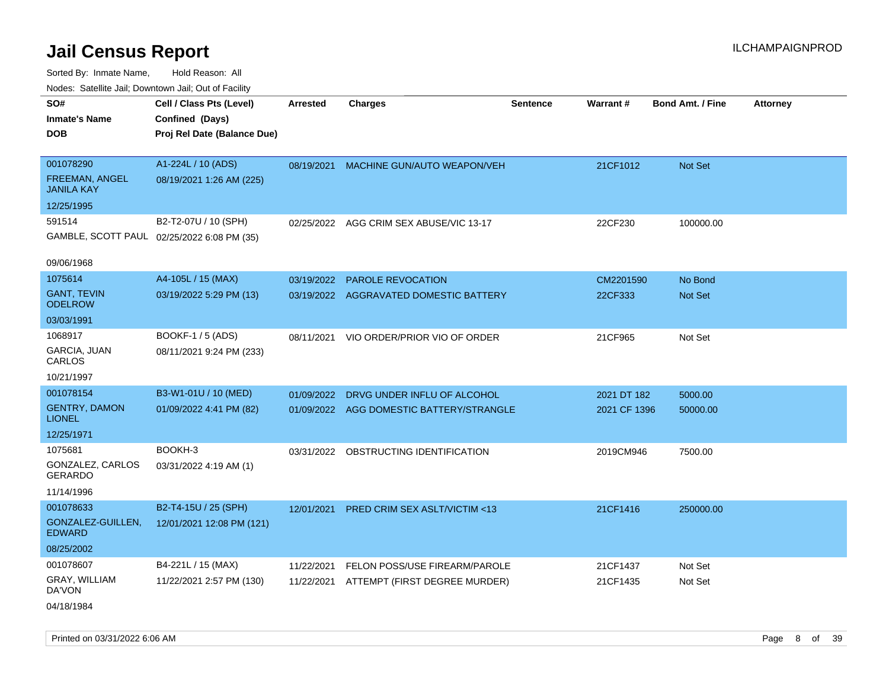| ivouss. Satellite Jali, Downtown Jali, Out of Facility  |                                                                            |                 |                                          |                 |              |                         |                 |
|---------------------------------------------------------|----------------------------------------------------------------------------|-----------------|------------------------------------------|-----------------|--------------|-------------------------|-----------------|
| SO#<br>Inmate's Name<br><b>DOB</b>                      | Cell / Class Pts (Level)<br>Confined (Days)<br>Proj Rel Date (Balance Due) | <b>Arrested</b> | <b>Charges</b>                           | <b>Sentence</b> | Warrant#     | <b>Bond Amt. / Fine</b> | <b>Attorney</b> |
| 001078290<br><b>FREEMAN, ANGEL</b><br><b>JANILA KAY</b> | A1-224L / 10 (ADS)<br>08/19/2021 1:26 AM (225)                             | 08/19/2021      | MACHINE GUN/AUTO WEAPON/VEH              |                 | 21CF1012     | <b>Not Set</b>          |                 |
| 12/25/1995                                              |                                                                            |                 |                                          |                 |              |                         |                 |
| 591514                                                  | B2-T2-07U / 10 (SPH)<br>GAMBLE, SCOTT PAUL 02/25/2022 6:08 PM (35)         |                 | 02/25/2022 AGG CRIM SEX ABUSE/VIC 13-17  |                 | 22CF230      | 100000.00               |                 |
| 09/06/1968                                              |                                                                            |                 |                                          |                 |              |                         |                 |
| 1075614                                                 | A4-105L / 15 (MAX)                                                         | 03/19/2022      | <b>PAROLE REVOCATION</b>                 |                 | CM2201590    | No Bond                 |                 |
| <b>GANT, TEVIN</b><br><b>ODELROW</b>                    | 03/19/2022 5:29 PM (13)                                                    | 03/19/2022      | AGGRAVATED DOMESTIC BATTERY              |                 | 22CF333      | <b>Not Set</b>          |                 |
| 03/03/1991                                              |                                                                            |                 |                                          |                 |              |                         |                 |
| 1068917                                                 | BOOKF-1 / 5 (ADS)                                                          | 08/11/2021      | VIO ORDER/PRIOR VIO OF ORDER             |                 | 21CF965      | Not Set                 |                 |
| GARCIA, JUAN<br>CARLOS                                  | 08/11/2021 9:24 PM (233)                                                   |                 |                                          |                 |              |                         |                 |
| 10/21/1997                                              |                                                                            |                 |                                          |                 |              |                         |                 |
| 001078154                                               | B3-W1-01U / 10 (MED)                                                       | 01/09/2022      | DRVG UNDER INFLU OF ALCOHOL              |                 | 2021 DT 182  | 5000.00                 |                 |
| <b>GENTRY, DAMON</b><br>LIONEL                          | 01/09/2022 4:41 PM (82)                                                    |                 | 01/09/2022 AGG DOMESTIC BATTERY/STRANGLE |                 | 2021 CF 1396 | 50000.00                |                 |
| 12/25/1971                                              |                                                                            |                 |                                          |                 |              |                         |                 |
| 1075681                                                 | BOOKH-3                                                                    | 03/31/2022      | OBSTRUCTING IDENTIFICATION               |                 | 2019CM946    | 7500.00                 |                 |
| GONZALEZ, CARLOS<br>GERARDO                             | 03/31/2022 4:19 AM (1)                                                     |                 |                                          |                 |              |                         |                 |
| 11/14/1996                                              |                                                                            |                 |                                          |                 |              |                         |                 |
| 001078633                                               | B2-T4-15U / 25 (SPH)                                                       | 12/01/2021      | PRED CRIM SEX ASLT/VICTIM <13            |                 | 21CF1416     | 250000.00               |                 |
| GONZALEZ-GUILLEN.<br><b>EDWARD</b>                      | 12/01/2021 12:08 PM (121)                                                  |                 |                                          |                 |              |                         |                 |
| 08/25/2002                                              |                                                                            |                 |                                          |                 |              |                         |                 |
| 001078607                                               | B4-221L / 15 (MAX)                                                         | 11/22/2021      | FELON POSS/USE FIREARM/PAROLE            |                 | 21CF1437     | Not Set                 |                 |
| GRAY, WILLIAM<br>DA'VON                                 | 11/22/2021 2:57 PM (130)                                                   | 11/22/2021      | ATTEMPT (FIRST DEGREE MURDER)            |                 | 21CF1435     | Not Set                 |                 |
| 04/18/1984                                              |                                                                            |                 |                                          |                 |              |                         |                 |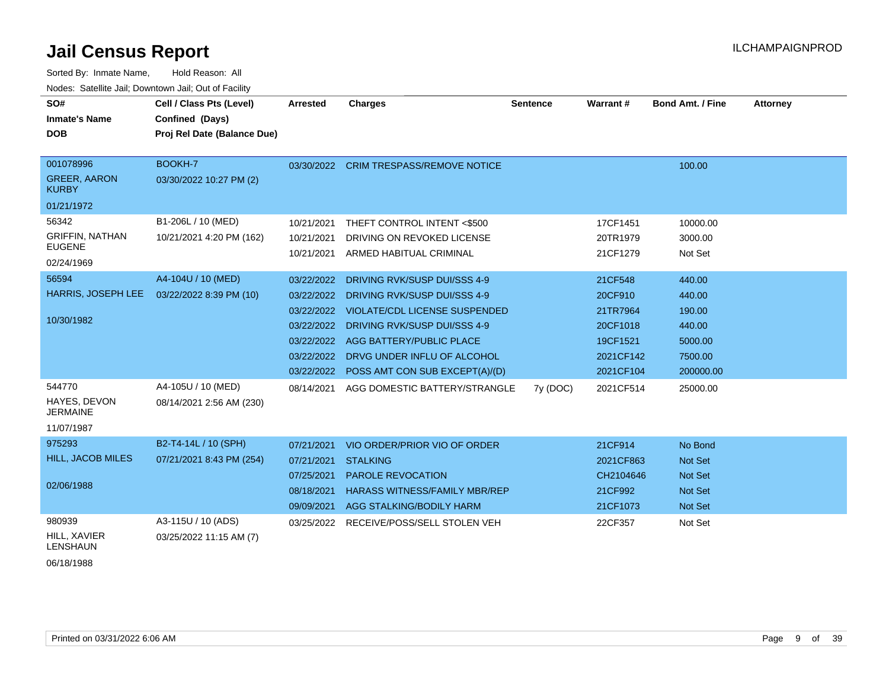| Sorted By: Inmate Name,                               | Hold Reason: All            |                 |                                      |                 |           |                         |                 |
|-------------------------------------------------------|-----------------------------|-----------------|--------------------------------------|-----------------|-----------|-------------------------|-----------------|
| Nodes: Satellite Jail; Downtown Jail; Out of Facility |                             |                 |                                      |                 |           |                         |                 |
| SO#                                                   | Cell / Class Pts (Level)    | <b>Arrested</b> | <b>Charges</b>                       | <b>Sentence</b> | Warrant#  | <b>Bond Amt. / Fine</b> | <b>Attorney</b> |
| <b>Inmate's Name</b>                                  | Confined (Days)             |                 |                                      |                 |           |                         |                 |
| <b>DOB</b>                                            | Proj Rel Date (Balance Due) |                 |                                      |                 |           |                         |                 |
|                                                       |                             |                 |                                      |                 |           |                         |                 |
| 001078996                                             | BOOKH-7                     | 03/30/2022      | <b>CRIM TRESPASS/REMOVE NOTICE</b>   |                 |           | 100.00                  |                 |
| <b>GREER, AARON</b><br><b>KURBY</b>                   | 03/30/2022 10:27 PM (2)     |                 |                                      |                 |           |                         |                 |
| 01/21/1972                                            |                             |                 |                                      |                 |           |                         |                 |
| 56342                                                 | B1-206L / 10 (MED)          | 10/21/2021      | THEFT CONTROL INTENT <\$500          |                 | 17CF1451  | 10000.00                |                 |
| <b>GRIFFIN, NATHAN</b>                                | 10/21/2021 4:20 PM (162)    | 10/21/2021      | DRIVING ON REVOKED LICENSE           |                 | 20TR1979  | 3000.00                 |                 |
| <b>EUGENE</b>                                         |                             | 10/21/2021      | ARMED HABITUAL CRIMINAL              |                 | 21CF1279  | Not Set                 |                 |
| 02/24/1969                                            |                             |                 |                                      |                 |           |                         |                 |
| 56594                                                 | A4-104U / 10 (MED)          | 03/22/2022      | DRIVING RVK/SUSP DUI/SSS 4-9         |                 | 21CF548   | 440.00                  |                 |
| HARRIS, JOSEPH LEE                                    | 03/22/2022 8:39 PM (10)     | 03/22/2022      | DRIVING RVK/SUSP DUI/SSS 4-9         |                 | 20CF910   | 440.00                  |                 |
| 10/30/1982                                            |                             | 03/22/2022      | VIOLATE/CDL LICENSE SUSPENDED        |                 | 21TR7964  | 190.00                  |                 |
|                                                       |                             | 03/22/2022      | DRIVING RVK/SUSP DUI/SSS 4-9         |                 | 20CF1018  | 440.00                  |                 |
|                                                       |                             | 03/22/2022      | <b>AGG BATTERY/PUBLIC PLACE</b>      |                 | 19CF1521  | 5000.00                 |                 |
|                                                       |                             | 03/22/2022      | DRVG UNDER INFLU OF ALCOHOL          |                 | 2021CF142 | 7500.00                 |                 |
|                                                       |                             | 03/22/2022      | POSS AMT CON SUB EXCEPT(A)/(D)       |                 | 2021CF104 | 200000.00               |                 |
| 544770                                                | A4-105U / 10 (MED)          | 08/14/2021      | AGG DOMESTIC BATTERY/STRANGLE        | 7y (DOC)        | 2021CF514 | 25000.00                |                 |
| HAYES, DEVON<br><b>JERMAINE</b>                       | 08/14/2021 2:56 AM (230)    |                 |                                      |                 |           |                         |                 |
| 11/07/1987                                            |                             |                 |                                      |                 |           |                         |                 |
| 975293                                                | B2-T4-14L / 10 (SPH)        | 07/21/2021      | VIO ORDER/PRIOR VIO OF ORDER         |                 | 21CF914   | No Bond                 |                 |
| <b>HILL, JACOB MILES</b>                              | 07/21/2021 8:43 PM (254)    | 07/21/2021      | <b>STALKING</b>                      |                 | 2021CF863 | <b>Not Set</b>          |                 |
|                                                       |                             | 07/25/2021      | <b>PAROLE REVOCATION</b>             |                 | CH2104646 | <b>Not Set</b>          |                 |
| 02/06/1988                                            |                             | 08/18/2021      | <b>HARASS WITNESS/FAMILY MBR/REP</b> |                 | 21CF992   | <b>Not Set</b>          |                 |
|                                                       |                             | 09/09/2021      | AGG STALKING/BODILY HARM             |                 | 21CF1073  | <b>Not Set</b>          |                 |
| 980939                                                | A3-115U / 10 (ADS)          | 03/25/2022      | RECEIVE/POSS/SELL STOLEN VEH         |                 | 22CF357   | Not Set                 |                 |
| HILL, XAVIER<br><b>LENSHAUN</b>                       | 03/25/2022 11:15 AM (7)     |                 |                                      |                 |           |                         |                 |

06/18/1988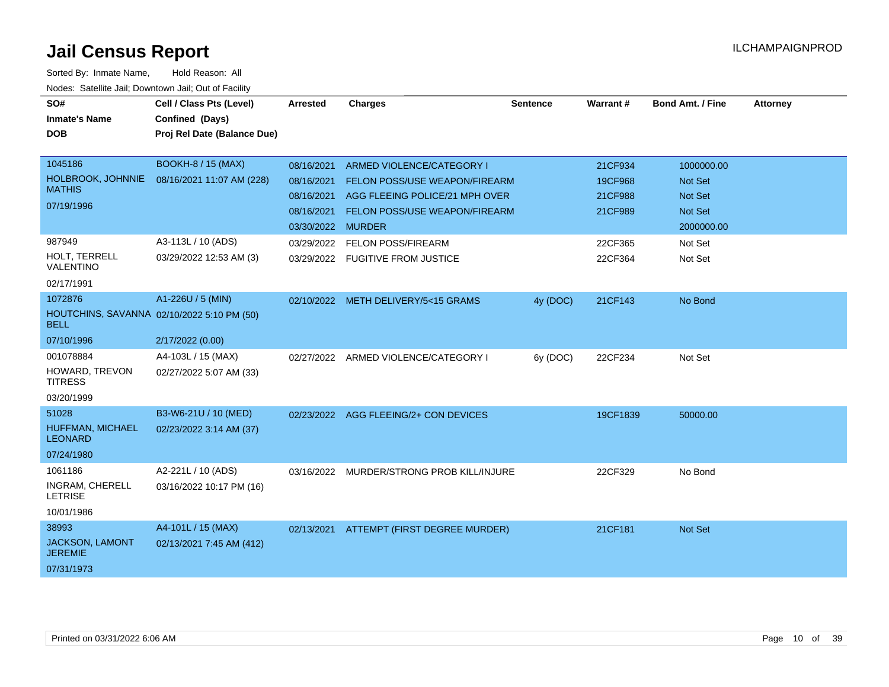| SO#<br><b>Inmate's Name</b>                                                        | Cell / Class Pts (Level)<br>Confined (Days)            | <b>Arrested</b>                                                           | <b>Charges</b>                                                                                                                       | <b>Sentence</b> | Warrant#                                 | <b>Bond Amt. / Fine</b>                                                 | <b>Attorney</b> |
|------------------------------------------------------------------------------------|--------------------------------------------------------|---------------------------------------------------------------------------|--------------------------------------------------------------------------------------------------------------------------------------|-----------------|------------------------------------------|-------------------------------------------------------------------------|-----------------|
| <b>DOB</b>                                                                         | Proj Rel Date (Balance Due)                            |                                                                           |                                                                                                                                      |                 |                                          |                                                                         |                 |
| 1045186<br>HOLBROOK, JOHNNIE<br><b>MATHIS</b><br>07/19/1996                        | <b>BOOKH-8 / 15 (MAX)</b><br>08/16/2021 11:07 AM (228) | 08/16/2021<br>08/16/2021<br>08/16/2021<br>08/16/2021<br>03/30/2022 MURDER | ARMED VIOLENCE/CATEGORY I<br><b>FELON POSS/USE WEAPON/FIREARM</b><br>AGG FLEEING POLICE/21 MPH OVER<br>FELON POSS/USE WEAPON/FIREARM |                 | 21CF934<br>19CF968<br>21CF988<br>21CF989 | 1000000.00<br>Not Set<br><b>Not Set</b><br><b>Not Set</b><br>2000000.00 |                 |
| 987949<br>HOLT, TERRELL<br>VALENTINO<br>02/17/1991                                 | A3-113L / 10 (ADS)<br>03/29/2022 12:53 AM (3)          | 03/29/2022<br>03/29/2022                                                  | <b>FELON POSS/FIREARM</b><br><b>FUGITIVE FROM JUSTICE</b>                                                                            |                 | 22CF365<br>22CF364                       | Not Set<br>Not Set                                                      |                 |
| 1072876<br>HOUTCHINS, SAVANNA 02/10/2022 5:10 PM (50)<br><b>BELL</b><br>07/10/1996 | A1-226U / 5 (MIN)<br>2/17/2022 (0.00)                  |                                                                           | 02/10/2022 METH DELIVERY/5<15 GRAMS                                                                                                  | 4y (DOC)        | 21CF143                                  | No Bond                                                                 |                 |
| 001078884<br>HOWARD, TREVON<br><b>TITRESS</b><br>03/20/1999                        | A4-103L / 15 (MAX)<br>02/27/2022 5:07 AM (33)          |                                                                           | 02/27/2022 ARMED VIOLENCE/CATEGORY I                                                                                                 | 6y (DOC)        | 22CF234                                  | Not Set                                                                 |                 |
| 51028<br>HUFFMAN, MICHAEL<br><b>LEONARD</b><br>07/24/1980                          | B3-W6-21U / 10 (MED)<br>02/23/2022 3:14 AM (37)        |                                                                           | 02/23/2022 AGG FLEEING/2+ CON DEVICES                                                                                                |                 | 19CF1839                                 | 50000.00                                                                |                 |
| 1061186<br>INGRAM, CHERELL<br><b>LETRISE</b><br>10/01/1986                         | A2-221L / 10 (ADS)<br>03/16/2022 10:17 PM (16)         |                                                                           | 03/16/2022 MURDER/STRONG PROB KILL/INJURE                                                                                            |                 | 22CF329                                  | No Bond                                                                 |                 |
| 38993<br><b>JACKSON, LAMONT</b><br><b>JEREMIE</b><br>07/31/1973                    | A4-101L / 15 (MAX)<br>02/13/2021 7:45 AM (412)         | 02/13/2021                                                                | ATTEMPT (FIRST DEGREE MURDER)                                                                                                        |                 | 21CF181                                  | Not Set                                                                 |                 |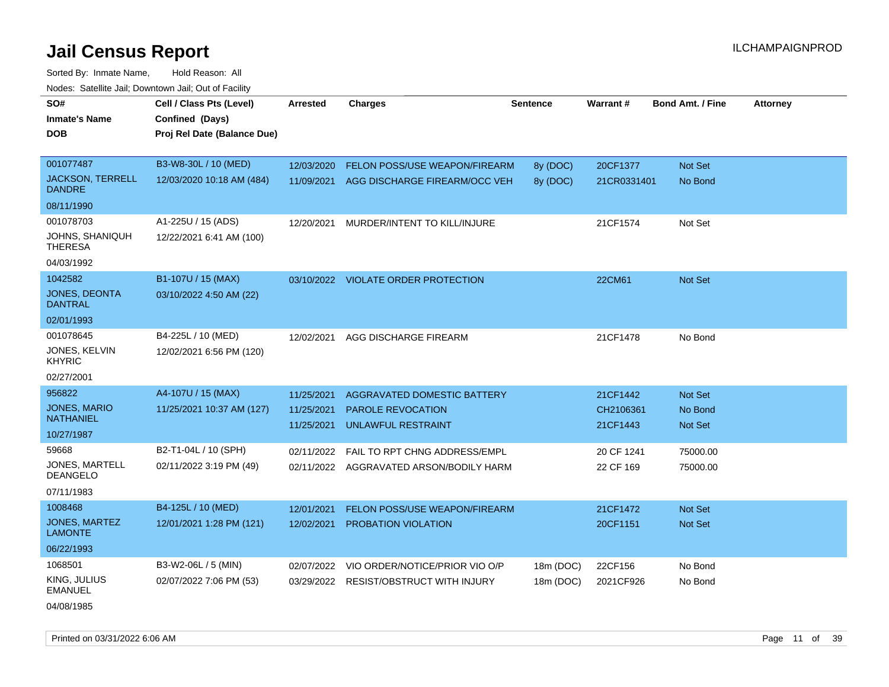Sorted By: Inmate Name, Hold Reason: All Nodes: Satellite Jail; Downtown Jail; Out of Facility

| SO#<br><b>Inmate's Name</b><br>DOB       | Cell / Class Pts (Level)<br>Confined (Days)<br>Proj Rel Date (Balance Due) | <b>Arrested</b>          | <b>Charges</b>                                 | Sentence  | Warrant#              | <b>Bond Amt. / Fine</b>   | <b>Attorney</b> |
|------------------------------------------|----------------------------------------------------------------------------|--------------------------|------------------------------------------------|-----------|-----------------------|---------------------------|-----------------|
|                                          |                                                                            |                          |                                                |           |                       |                           |                 |
| 001077487                                | B3-W8-30L / 10 (MED)                                                       | 12/03/2020               | FELON POSS/USE WEAPON/FIREARM                  | 8y (DOC)  | 20CF1377              | Not Set                   |                 |
| <b>JACKSON, TERRELL</b><br><b>DANDRE</b> | 12/03/2020 10:18 AM (484)                                                  | 11/09/2021               | AGG DISCHARGE FIREARM/OCC VEH                  | 8y (DOC)  | 21CR0331401           | No Bond                   |                 |
| 08/11/1990                               |                                                                            |                          |                                                |           |                       |                           |                 |
| 001078703                                | A1-225U / 15 (ADS)                                                         | 12/20/2021               | MURDER/INTENT TO KILL/INJURE                   |           | 21CF1574              | Not Set                   |                 |
| JOHNS, SHANIQUH<br><b>THERESA</b>        | 12/22/2021 6:41 AM (100)                                                   |                          |                                                |           |                       |                           |                 |
| 04/03/1992                               |                                                                            |                          |                                                |           |                       |                           |                 |
| 1042582                                  | B1-107U / 15 (MAX)                                                         |                          | 03/10/2022 VIOLATE ORDER PROTECTION            |           | 22CM61                | Not Set                   |                 |
| JONES, DEONTA<br>DANTRAL                 | 03/10/2022 4:50 AM (22)                                                    |                          |                                                |           |                       |                           |                 |
| 02/01/1993                               |                                                                            |                          |                                                |           |                       |                           |                 |
| 001078645                                | B4-225L / 10 (MED)                                                         | 12/02/2021               | AGG DISCHARGE FIREARM                          |           | 21CF1478              | No Bond                   |                 |
| JONES, KELVIN<br><b>KHYRIC</b>           | 12/02/2021 6:56 PM (120)                                                   |                          |                                                |           |                       |                           |                 |
| 02/27/2001                               |                                                                            |                          |                                                |           |                       |                           |                 |
| 956822                                   | A4-107U / 15 (MAX)                                                         | 11/25/2021               | AGGRAVATED DOMESTIC BATTERY                    |           | 21CF1442              | Not Set                   |                 |
| <b>JONES, MARIO</b><br><b>NATHANIEL</b>  | 11/25/2021 10:37 AM (127)                                                  | 11/25/2021<br>11/25/2021 | PAROLE REVOCATION<br><b>UNLAWFUL RESTRAINT</b> |           | CH2106361<br>21CF1443 | No Bond<br><b>Not Set</b> |                 |
| 10/27/1987                               |                                                                            |                          |                                                |           |                       |                           |                 |
| 59668                                    | B2-T1-04L / 10 (SPH)                                                       | 02/11/2022               | FAIL TO RPT CHNG ADDRESS/EMPL                  |           | 20 CF 1241            | 75000.00                  |                 |
| JONES, MARTELL<br><b>DEANGELO</b>        | 02/11/2022 3:19 PM (49)                                                    | 02/11/2022               | AGGRAVATED ARSON/BODILY HARM                   |           | 22 CF 169             | 75000.00                  |                 |
| 07/11/1983                               |                                                                            |                          |                                                |           |                       |                           |                 |
| 1008468                                  | B4-125L / 10 (MED)                                                         | 12/01/2021               | <b>FELON POSS/USE WEAPON/FIREARM</b>           |           | 21CF1472              | Not Set                   |                 |
| <b>JONES, MARTEZ</b><br><b>LAMONTE</b>   | 12/01/2021 1:28 PM (121)                                                   | 12/02/2021               | PROBATION VIOLATION                            |           | 20CF1151              | <b>Not Set</b>            |                 |
| 06/22/1993                               |                                                                            |                          |                                                |           |                       |                           |                 |
| 1068501                                  | B3-W2-06L / 5 (MIN)                                                        | 02/07/2022               | VIO ORDER/NOTICE/PRIOR VIO O/P                 | 18m (DOC) | 22CF156               | No Bond                   |                 |
| KING, JULIUS<br><b>EMANUEL</b>           | 02/07/2022 7:06 PM (53)                                                    | 03/29/2022               | <b>RESIST/OBSTRUCT WITH INJURY</b>             | 18m (DOC) | 2021CF926             | No Bond                   |                 |

04/08/1985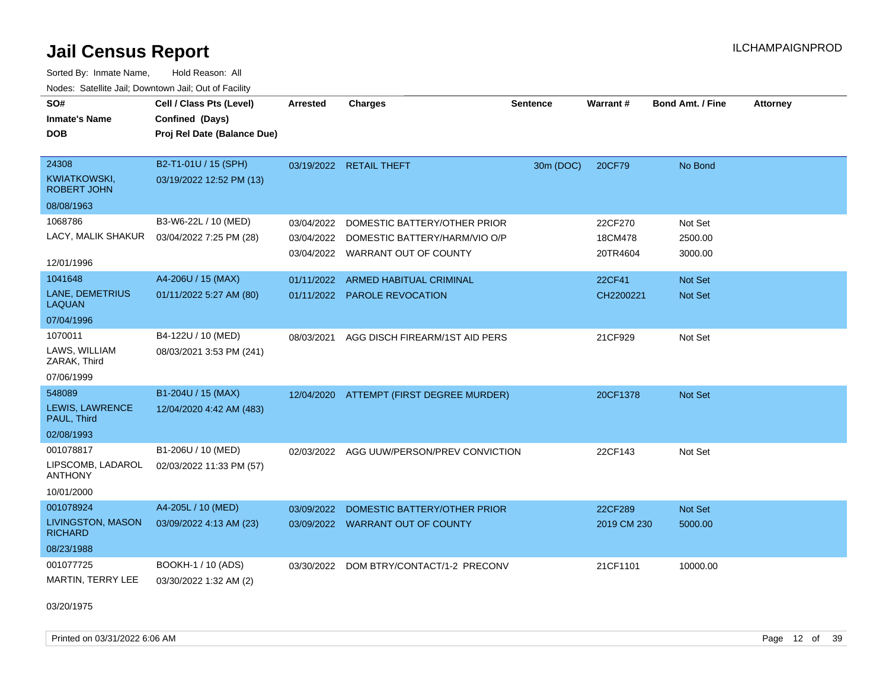Sorted By: Inmate Name, Hold Reason: All Nodes: Satellite Jail; Downtown Jail; Out of Facility

| SO#<br><b>Inmate's Name</b><br><b>DOB</b> | Cell / Class Pts (Level)<br>Confined (Days)<br>Proj Rel Date (Balance Due) | <b>Arrested</b> | <b>Charges</b>                            | <b>Sentence</b> | Warrant#    | <b>Bond Amt. / Fine</b> | <b>Attorney</b> |
|-------------------------------------------|----------------------------------------------------------------------------|-----------------|-------------------------------------------|-----------------|-------------|-------------------------|-----------------|
| 24308<br><b>KWIATKOWSKI,</b>              | B2-T1-01U / 15 (SPH)<br>03/19/2022 12:52 PM (13)                           |                 | 03/19/2022 RETAIL THEFT                   | 30m (DOC)       | 20CF79      | No Bond                 |                 |
| <b>ROBERT JOHN</b>                        |                                                                            |                 |                                           |                 |             |                         |                 |
| 08/08/1963                                |                                                                            |                 |                                           |                 |             |                         |                 |
| 1068786                                   | B3-W6-22L / 10 (MED)                                                       | 03/04/2022      | DOMESTIC BATTERY/OTHER PRIOR              |                 | 22CF270     | Not Set                 |                 |
| LACY, MALIK SHAKUR                        | 03/04/2022 7:25 PM (28)                                                    | 03/04/2022      | DOMESTIC BATTERY/HARM/VIO O/P             |                 | 18CM478     | 2500.00                 |                 |
| 12/01/1996                                |                                                                            |                 | 03/04/2022 WARRANT OUT OF COUNTY          |                 | 20TR4604    | 3000.00                 |                 |
| 1041648                                   | A4-206U / 15 (MAX)                                                         | 01/11/2022      | ARMED HABITUAL CRIMINAL                   |                 | 22CF41      | <b>Not Set</b>          |                 |
| LANE, DEMETRIUS<br><b>LAQUAN</b>          | 01/11/2022 5:27 AM (80)                                                    |                 | 01/11/2022 PAROLE REVOCATION              |                 | CH2200221   | Not Set                 |                 |
| 07/04/1996                                |                                                                            |                 |                                           |                 |             |                         |                 |
| 1070011                                   | B4-122U / 10 (MED)                                                         | 08/03/2021      | AGG DISCH FIREARM/1ST AID PERS            |                 | 21CF929     | Not Set                 |                 |
| LAWS, WILLIAM<br>ZARAK, Third             | 08/03/2021 3:53 PM (241)                                                   |                 |                                           |                 |             |                         |                 |
| 07/06/1999                                |                                                                            |                 |                                           |                 |             |                         |                 |
| 548089                                    | B1-204U / 15 (MAX)                                                         |                 | 12/04/2020 ATTEMPT (FIRST DEGREE MURDER)  |                 | 20CF1378    | <b>Not Set</b>          |                 |
| LEWIS, LAWRENCE<br>PAUL, Third            | 12/04/2020 4:42 AM (483)                                                   |                 |                                           |                 |             |                         |                 |
| 02/08/1993                                |                                                                            |                 |                                           |                 |             |                         |                 |
| 001078817                                 | B1-206U / 10 (MED)                                                         |                 | 02/03/2022 AGG UUW/PERSON/PREV CONVICTION |                 | 22CF143     | Not Set                 |                 |
| LIPSCOMB, LADAROL<br><b>ANTHONY</b>       | 02/03/2022 11:33 PM (57)                                                   |                 |                                           |                 |             |                         |                 |
| 10/01/2000                                |                                                                            |                 |                                           |                 |             |                         |                 |
| 001078924                                 | A4-205L / 10 (MED)                                                         | 03/09/2022      | DOMESTIC BATTERY/OTHER PRIOR              |                 | 22CF289     | <b>Not Set</b>          |                 |
| LIVINGSTON, MASON<br><b>RICHARD</b>       | 03/09/2022 4:13 AM (23)                                                    |                 | 03/09/2022 WARRANT OUT OF COUNTY          |                 | 2019 CM 230 | 5000.00                 |                 |
| 08/23/1988                                |                                                                            |                 |                                           |                 |             |                         |                 |
| 001077725                                 | BOOKH-1 / 10 (ADS)                                                         | 03/30/2022      | DOM BTRY/CONTACT/1-2 PRECONV              |                 | 21CF1101    | 10000.00                |                 |
| MARTIN, TERRY LEE                         | 03/30/2022 1:32 AM (2)                                                     |                 |                                           |                 |             |                         |                 |

03/20/1975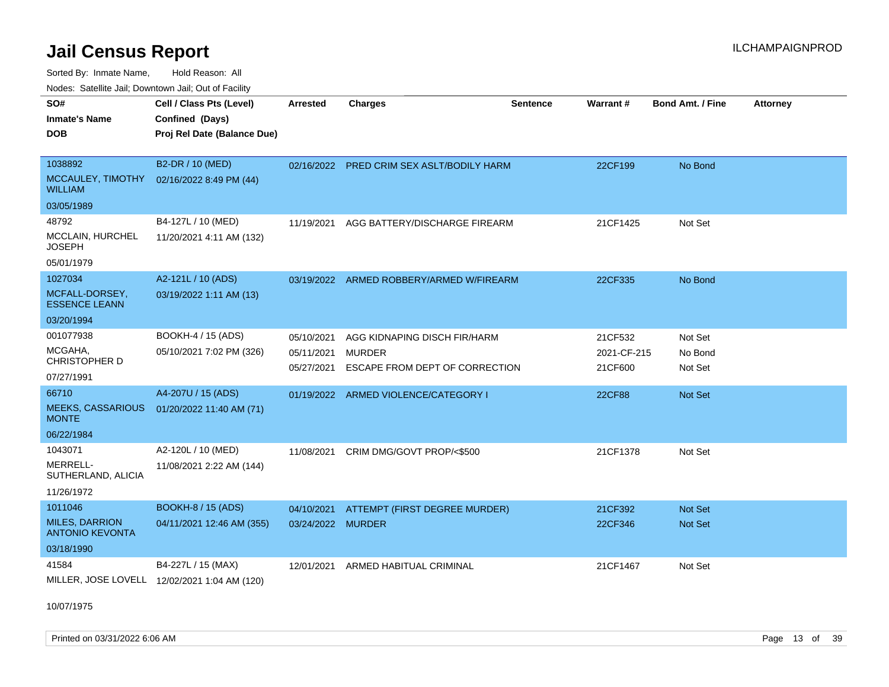Sorted By: Inmate Name, Hold Reason: All

| Nodes: Satellite Jail; Downtown Jail; Out of Facility |  |
|-------------------------------------------------------|--|
|-------------------------------------------------------|--|

| SO#<br><b>Inmate's Name</b><br><b>DOB</b>                                | Cell / Class Pts (Level)<br>Confined (Days)<br>Proj Rel Date (Balance Due) | <b>Arrested</b>                        | <b>Charges</b>                                                                  | <b>Sentence</b> | Warrant#                          | <b>Bond Amt. / Fine</b>          | <b>Attorney</b> |
|--------------------------------------------------------------------------|----------------------------------------------------------------------------|----------------------------------------|---------------------------------------------------------------------------------|-----------------|-----------------------------------|----------------------------------|-----------------|
| 1038892<br>MCCAULEY, TIMOTHY<br><b>WILLIAM</b><br>03/05/1989             | B2-DR / 10 (MED)<br>02/16/2022 8:49 PM (44)                                |                                        | 02/16/2022 PRED CRIM SEX ASLT/BODILY HARM                                       |                 | 22CF199                           | No Bond                          |                 |
| 48792<br>MCCLAIN, HURCHEL<br><b>JOSEPH</b><br>05/01/1979                 | B4-127L / 10 (MED)<br>11/20/2021 4:11 AM (132)                             | 11/19/2021                             | AGG BATTERY/DISCHARGE FIREARM                                                   |                 | 21CF1425                          | Not Set                          |                 |
| 1027034<br>MCFALL-DORSEY,<br><b>ESSENCE LEANN</b><br>03/20/1994          | A2-121L / 10 (ADS)<br>03/19/2022 1:11 AM (13)                              |                                        | 03/19/2022 ARMED ROBBERY/ARMED W/FIREARM                                        |                 | 22CF335                           | No Bond                          |                 |
| 001077938<br>MCGAHA,<br>CHRISTOPHER D<br>07/27/1991                      | BOOKH-4 / 15 (ADS)<br>05/10/2021 7:02 PM (326)                             | 05/10/2021<br>05/11/2021<br>05/27/2021 | AGG KIDNAPING DISCH FIR/HARM<br><b>MURDER</b><br>ESCAPE FROM DEPT OF CORRECTION |                 | 21CF532<br>2021-CF-215<br>21CF600 | Not Set<br>No Bond<br>Not Set    |                 |
| 66710<br><b>MEEKS, CASSARIOUS</b><br><b>MONTE</b><br>06/22/1984          | A4-207U / 15 (ADS)<br>01/20/2022 11:40 AM (71)                             | 01/19/2022                             | ARMED VIOLENCE/CATEGORY I                                                       |                 | 22CF88                            | <b>Not Set</b>                   |                 |
| 1043071<br>MERRELL-<br>SUTHERLAND, ALICIA<br>11/26/1972                  | A2-120L / 10 (MED)<br>11/08/2021 2:22 AM (144)                             | 11/08/2021                             | CRIM DMG/GOVT PROP/<\$500                                                       |                 | 21CF1378                          | Not Set                          |                 |
| 1011046<br><b>MILES, DARRION</b><br><b>ANTONIO KEVONTA</b><br>03/18/1990 | <b>BOOKH-8 / 15 (ADS)</b><br>04/11/2021 12:46 AM (355)                     | 04/10/2021<br>03/24/2022 MURDER        | ATTEMPT (FIRST DEGREE MURDER)                                                   |                 | 21CF392<br>22CF346                | <b>Not Set</b><br><b>Not Set</b> |                 |
| 41584                                                                    | B4-227L / 15 (MAX)<br>MILLER, JOSE LOVELL 12/02/2021 1:04 AM (120)         | 12/01/2021                             | ARMED HABITUAL CRIMINAL                                                         |                 | 21CF1467                          | Not Set                          |                 |

10/07/1975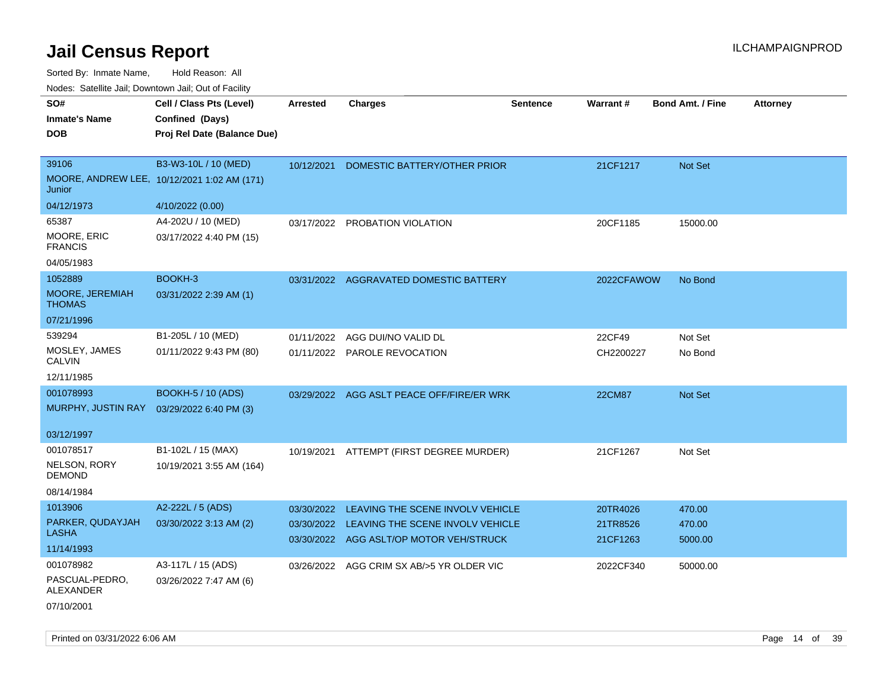| SO#                                | Cell / Class Pts (Level)                    | <b>Arrested</b> | <b>Charges</b>                              | <b>Sentence</b> | <b>Warrant#</b> | <b>Bond Amt. / Fine</b> | <b>Attorney</b> |
|------------------------------------|---------------------------------------------|-----------------|---------------------------------------------|-----------------|-----------------|-------------------------|-----------------|
| <b>Inmate's Name</b>               | Confined (Days)                             |                 |                                             |                 |                 |                         |                 |
| <b>DOB</b>                         | Proj Rel Date (Balance Due)                 |                 |                                             |                 |                 |                         |                 |
|                                    |                                             |                 |                                             |                 |                 |                         |                 |
| 39106                              | B3-W3-10L / 10 (MED)                        | 10/12/2021      | DOMESTIC BATTERY/OTHER PRIOR                |                 | 21CF1217        | Not Set                 |                 |
| Junior                             | MOORE, ANDREW LEE, 10/12/2021 1:02 AM (171) |                 |                                             |                 |                 |                         |                 |
| 04/12/1973                         | 4/10/2022 (0.00)                            |                 |                                             |                 |                 |                         |                 |
| 65387                              | A4-202U / 10 (MED)                          | 03/17/2022      | PROBATION VIOLATION                         |                 | 20CF1185        | 15000.00                |                 |
| MOORE, ERIC<br><b>FRANCIS</b>      | 03/17/2022 4:40 PM (15)                     |                 |                                             |                 |                 |                         |                 |
| 04/05/1983                         |                                             |                 |                                             |                 |                 |                         |                 |
| 1052889                            | BOOKH-3                                     |                 | 03/31/2022 AGGRAVATED DOMESTIC BATTERY      |                 | 2022CFAWOW      | No Bond                 |                 |
| MOORE, JEREMIAH<br><b>THOMAS</b>   | 03/31/2022 2:39 AM (1)                      |                 |                                             |                 |                 |                         |                 |
| 07/21/1996                         |                                             |                 |                                             |                 |                 |                         |                 |
| 539294                             | B1-205L / 10 (MED)                          |                 | 01/11/2022 AGG DUI/NO VALID DL              |                 | 22CF49          | Not Set                 |                 |
| MOSLEY, JAMES<br><b>CALVIN</b>     | 01/11/2022 9:43 PM (80)                     |                 | 01/11/2022 PAROLE REVOCATION                |                 | CH2200227       | No Bond                 |                 |
| 12/11/1985                         |                                             |                 |                                             |                 |                 |                         |                 |
| 001078993                          | <b>BOOKH-5 / 10 (ADS)</b>                   |                 | 03/29/2022 AGG ASLT PEACE OFF/FIRE/ER WRK   |                 | <b>22CM87</b>   | Not Set                 |                 |
| MURPHY, JUSTIN RAY                 | 03/29/2022 6:40 PM (3)                      |                 |                                             |                 |                 |                         |                 |
| 03/12/1997                         |                                             |                 |                                             |                 |                 |                         |                 |
| 001078517                          | B1-102L / 15 (MAX)                          | 10/19/2021      | ATTEMPT (FIRST DEGREE MURDER)               |                 | 21CF1267        | Not Set                 |                 |
| NELSON, RORY<br><b>DEMOND</b>      | 10/19/2021 3:55 AM (164)                    |                 |                                             |                 |                 |                         |                 |
| 08/14/1984                         |                                             |                 |                                             |                 |                 |                         |                 |
| 1013906                            | A2-222L / 5 (ADS)                           |                 | 03/30/2022 LEAVING THE SCENE INVOLV VEHICLE |                 | 20TR4026        | 470.00                  |                 |
| PARKER, QUDAYJAH<br><b>LASHA</b>   | 03/30/2022 3:13 AM (2)                      |                 | 03/30/2022 LEAVING THE SCENE INVOLV VEHICLE |                 | 21TR8526        | 470.00                  |                 |
| 11/14/1993                         |                                             |                 | 03/30/2022 AGG ASLT/OP MOTOR VEH/STRUCK     |                 | 21CF1263        | 5000.00                 |                 |
| 001078982                          | A3-117L / 15 (ADS)                          | 03/26/2022      | AGG CRIM SX AB/>5 YR OLDER VIC              |                 | 2022CF340       | 50000.00                |                 |
| PASCUAL-PEDRO,<br><b>ALEXANDER</b> | 03/26/2022 7:47 AM (6)                      |                 |                                             |                 |                 |                         |                 |
| 07/10/2001                         |                                             |                 |                                             |                 |                 |                         |                 |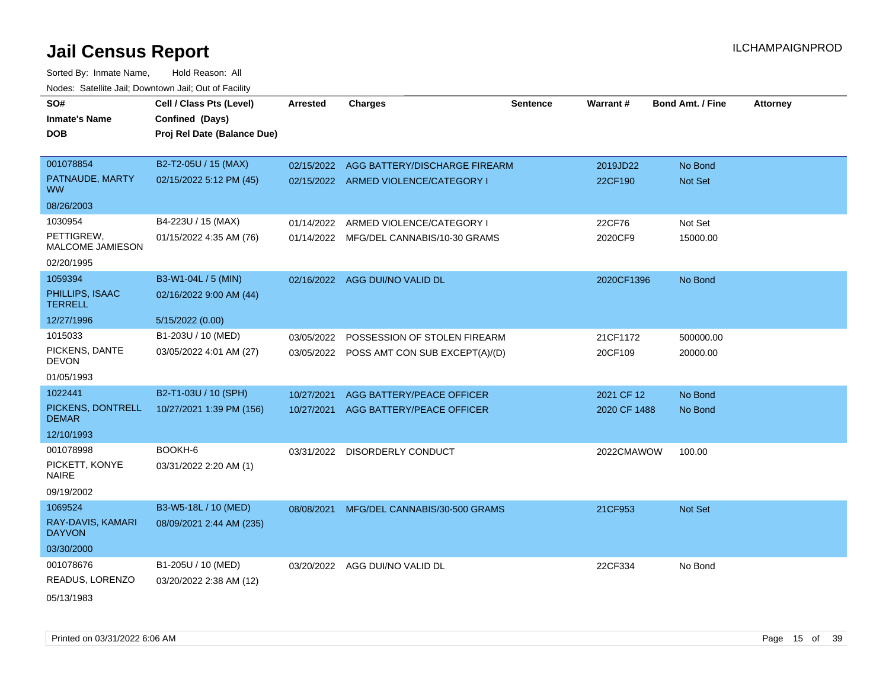| SO#                                   | Cell / Class Pts (Level)    | <b>Arrested</b> | <b>Charges</b>                            | <b>Sentence</b> | Warrant#     | <b>Bond Amt. / Fine</b> | <b>Attorney</b> |
|---------------------------------------|-----------------------------|-----------------|-------------------------------------------|-----------------|--------------|-------------------------|-----------------|
| <b>Inmate's Name</b>                  | Confined (Days)             |                 |                                           |                 |              |                         |                 |
| <b>DOB</b>                            | Proj Rel Date (Balance Due) |                 |                                           |                 |              |                         |                 |
|                                       |                             |                 |                                           |                 |              |                         |                 |
| 001078854                             | B2-T2-05U / 15 (MAX)        |                 | 02/15/2022 AGG BATTERY/DISCHARGE FIREARM  |                 | 2019JD22     | No Bond                 |                 |
| PATNAUDE, MARTY<br><b>WW</b>          | 02/15/2022 5:12 PM (45)     |                 | 02/15/2022 ARMED VIOLENCE/CATEGORY I      |                 | 22CF190      | <b>Not Set</b>          |                 |
| 08/26/2003                            |                             |                 |                                           |                 |              |                         |                 |
| 1030954                               | B4-223U / 15 (MAX)          | 01/14/2022      | ARMED VIOLENCE/CATEGORY I                 |                 | 22CF76       | Not Set                 |                 |
| PETTIGREW,<br><b>MALCOME JAMIESON</b> | 01/15/2022 4:35 AM (76)     | 01/14/2022      | MFG/DEL CANNABIS/10-30 GRAMS              |                 | 2020CF9      | 15000.00                |                 |
| 02/20/1995                            |                             |                 |                                           |                 |              |                         |                 |
| 1059394                               | B3-W1-04L / 5 (MIN)         |                 | 02/16/2022 AGG DUI/NO VALID DL            |                 | 2020CF1396   | No Bond                 |                 |
| PHILLIPS, ISAAC<br><b>TERRELL</b>     | 02/16/2022 9:00 AM (44)     |                 |                                           |                 |              |                         |                 |
| 12/27/1996                            | 5/15/2022 (0.00)            |                 |                                           |                 |              |                         |                 |
| 1015033                               | B1-203U / 10 (MED)          | 03/05/2022      | POSSESSION OF STOLEN FIREARM              |                 | 21CF1172     | 500000.00               |                 |
| PICKENS, DANTE<br><b>DEVON</b>        | 03/05/2022 4:01 AM (27)     |                 | 03/05/2022 POSS AMT CON SUB EXCEPT(A)/(D) |                 | 20CF109      | 20000.00                |                 |
| 01/05/1993                            |                             |                 |                                           |                 |              |                         |                 |
| 1022441                               | B2-T1-03U / 10 (SPH)        | 10/27/2021      | AGG BATTERY/PEACE OFFICER                 |                 | 2021 CF 12   | No Bond                 |                 |
| PICKENS, DONTRELL<br><b>DEMAR</b>     | 10/27/2021 1:39 PM (156)    | 10/27/2021      | AGG BATTERY/PEACE OFFICER                 |                 | 2020 CF 1488 | No Bond                 |                 |
| 12/10/1993                            |                             |                 |                                           |                 |              |                         |                 |
| 001078998                             | BOOKH-6                     |                 | 03/31/2022 DISORDERLY CONDUCT             |                 | 2022CMAWOW   | 100.00                  |                 |
| PICKETT, KONYE<br><b>NAIRE</b>        | 03/31/2022 2:20 AM (1)      |                 |                                           |                 |              |                         |                 |
| 09/19/2002                            |                             |                 |                                           |                 |              |                         |                 |
| 1069524                               | B3-W5-18L / 10 (MED)        | 08/08/2021      | MFG/DEL CANNABIS/30-500 GRAMS             |                 | 21CF953      | <b>Not Set</b>          |                 |
| RAY-DAVIS, KAMARI<br><b>DAYVON</b>    | 08/09/2021 2:44 AM (235)    |                 |                                           |                 |              |                         |                 |
| 03/30/2000                            |                             |                 |                                           |                 |              |                         |                 |
| 001078676                             | B1-205U / 10 (MED)          |                 | 03/20/2022 AGG DUI/NO VALID DL            |                 | 22CF334      | No Bond                 |                 |
| READUS, LORENZO                       | 03/20/2022 2:38 AM (12)     |                 |                                           |                 |              |                         |                 |
| 05/13/1983                            |                             |                 |                                           |                 |              |                         |                 |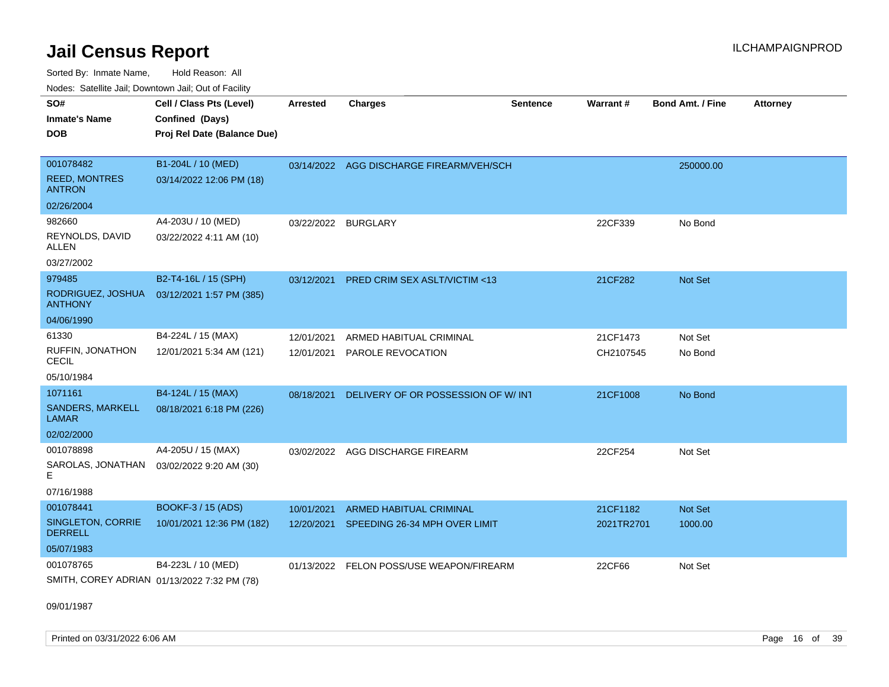Sorted By: Inmate Name, Hold Reason: All Nodes: Satellite Jail; Downtown Jail; Out of Facility

| SO#<br><b>Inmate's Name</b><br><b>DOB</b>          | Cell / Class Pts (Level)<br>Confined (Days)<br>Proj Rel Date (Balance Due) | <b>Arrested</b>     | <b>Charges</b>                           | <b>Sentence</b> | Warrant#   | <b>Bond Amt. / Fine</b> | <b>Attorney</b> |
|----------------------------------------------------|----------------------------------------------------------------------------|---------------------|------------------------------------------|-----------------|------------|-------------------------|-----------------|
| 001078482<br><b>REED, MONTRES</b><br><b>ANTRON</b> | B1-204L / 10 (MED)<br>03/14/2022 12:06 PM (18)                             |                     | 03/14/2022 AGG DISCHARGE FIREARM/VEH/SCH |                 |            | 250000.00               |                 |
| 02/26/2004                                         |                                                                            |                     |                                          |                 |            |                         |                 |
| 982660                                             | A4-203U / 10 (MED)                                                         | 03/22/2022 BURGLARY |                                          |                 | 22CF339    | No Bond                 |                 |
| REYNOLDS, DAVID<br><b>ALLEN</b>                    | 03/22/2022 4:11 AM (10)                                                    |                     |                                          |                 |            |                         |                 |
| 03/27/2002                                         |                                                                            |                     |                                          |                 |            |                         |                 |
| 979485                                             | B2-T4-16L / 15 (SPH)                                                       | 03/12/2021          | PRED CRIM SEX ASLT/VICTIM <13            |                 | 21CF282    | Not Set                 |                 |
| RODRIGUEZ, JOSHUA<br><b>ANTHONY</b>                | 03/12/2021 1:57 PM (385)                                                   |                     |                                          |                 |            |                         |                 |
| 04/06/1990                                         |                                                                            |                     |                                          |                 |            |                         |                 |
| 61330                                              | B4-224L / 15 (MAX)                                                         | 12/01/2021          | ARMED HABITUAL CRIMINAL                  |                 | 21CF1473   | Not Set                 |                 |
| RUFFIN, JONATHON<br><b>CECIL</b>                   | 12/01/2021 5:34 AM (121)                                                   | 12/01/2021          | PAROLE REVOCATION                        |                 | CH2107545  | No Bond                 |                 |
| 05/10/1984                                         |                                                                            |                     |                                          |                 |            |                         |                 |
| 1071161                                            | B4-124L / 15 (MAX)                                                         | 08/18/2021          | DELIVERY OF OR POSSESSION OF W/ INT      |                 | 21CF1008   | No Bond                 |                 |
| SANDERS, MARKELL<br><b>LAMAR</b>                   | 08/18/2021 6:18 PM (226)                                                   |                     |                                          |                 |            |                         |                 |
| 02/02/2000                                         |                                                                            |                     |                                          |                 |            |                         |                 |
| 001078898                                          | A4-205U / 15 (MAX)                                                         |                     | 03/02/2022 AGG DISCHARGE FIREARM         |                 | 22CF254    | Not Set                 |                 |
| SAROLAS, JONATHAN<br>E.                            | 03/02/2022 9:20 AM (30)                                                    |                     |                                          |                 |            |                         |                 |
| 07/16/1988                                         |                                                                            |                     |                                          |                 |            |                         |                 |
| 001078441                                          | BOOKF-3 / 15 (ADS)                                                         | 10/01/2021          | <b>ARMED HABITUAL CRIMINAL</b>           |                 | 21CF1182   | Not Set                 |                 |
| SINGLETON, CORRIE<br><b>DERRELL</b>                | 10/01/2021 12:36 PM (182)                                                  | 12/20/2021          | SPEEDING 26-34 MPH OVER LIMIT            |                 | 2021TR2701 | 1000.00                 |                 |
| 05/07/1983                                         |                                                                            |                     |                                          |                 |            |                         |                 |
| 001078765                                          | B4-223L / 10 (MED)                                                         |                     | 01/13/2022 FELON POSS/USE WEAPON/FIREARM |                 | 22CF66     | Not Set                 |                 |
| SMITH, COREY ADRIAN 01/13/2022 7:32 PM (78)        |                                                                            |                     |                                          |                 |            |                         |                 |

09/01/1987

Printed on 03/31/2022 6:06 AM Page 16 of 39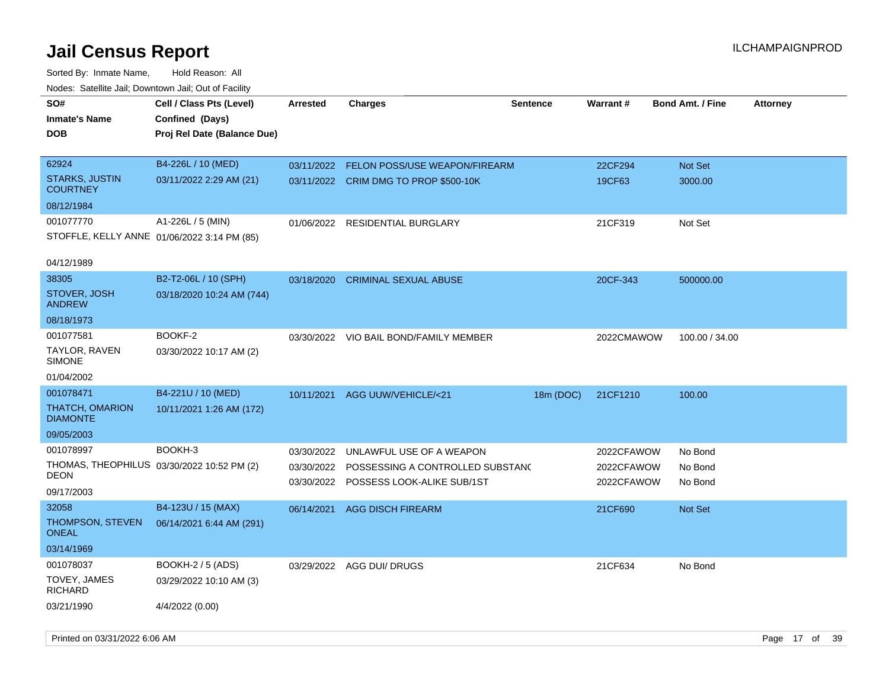| SO#<br><b>Inmate's Name</b><br><b>DOB</b>                                     | Cell / Class Pts (Level)<br>Confined (Days)<br>Proj Rel Date (Balance Due) | Arrested                 | <b>Charges</b>                                                                                        | <b>Sentence</b> | Warrant#                               | <b>Bond Amt. / Fine</b>       | <b>Attorney</b> |
|-------------------------------------------------------------------------------|----------------------------------------------------------------------------|--------------------------|-------------------------------------------------------------------------------------------------------|-----------------|----------------------------------------|-------------------------------|-----------------|
| 62924<br><b>STARKS, JUSTIN</b><br><b>COURTNEY</b><br>08/12/1984               | B4-226L / 10 (MED)<br>03/11/2022 2:29 AM (21)                              | 03/11/2022               | <b>FELON POSS/USE WEAPON/FIREARM</b><br>03/11/2022 CRIM DMG TO PROP \$500-10K                         |                 | 22CF294<br>19CF63                      | Not Set<br>3000.00            |                 |
| 001077770<br>STOFFLE, KELLY ANNE 01/06/2022 3:14 PM (85)<br>04/12/1989        | A1-226L / 5 (MIN)                                                          | 01/06/2022               | RESIDENTIAL BURGLARY                                                                                  |                 | 21CF319                                | Not Set                       |                 |
| 38305<br>STOVER, JOSH<br><b>ANDREW</b><br>08/18/1973                          | B2-T2-06L / 10 (SPH)<br>03/18/2020 10:24 AM (744)                          | 03/18/2020               | <b>CRIMINAL SEXUAL ABUSE</b>                                                                          |                 | 20CF-343                               | 500000.00                     |                 |
| 001077581<br>TAYLOR, RAVEN<br><b>SIMONE</b><br>01/04/2002                     | BOOKF-2<br>03/30/2022 10:17 AM (2)                                         | 03/30/2022               | VIO BAIL BOND/FAMILY MEMBER                                                                           |                 | 2022CMAWOW                             | 100.00 / 34.00                |                 |
| 001078471<br><b>THATCH, OMARION</b><br><b>DIAMONTE</b><br>09/05/2003          | B4-221U / 10 (MED)<br>10/11/2021 1:26 AM (172)                             | 10/11/2021               | <b>AGG UUW/VEHICLE/&lt;21</b>                                                                         | 18m (DOC)       | 21CF1210                               | 100.00                        |                 |
| 001078997<br>THOMAS, THEOPHILUS 03/30/2022 10:52 PM (2)<br>DEON<br>09/17/2003 | BOOKH-3                                                                    | 03/30/2022<br>03/30/2022 | UNLAWFUL USE OF A WEAPON<br>POSSESSING A CONTROLLED SUBSTAND<br>03/30/2022 POSSESS LOOK-ALIKE SUB/1ST |                 | 2022CFAWOW<br>2022CFAWOW<br>2022CFAWOW | No Bond<br>No Bond<br>No Bond |                 |
| 32058<br><b>THOMPSON, STEVEN</b><br><b>ONEAL</b><br>03/14/1969                | B4-123U / 15 (MAX)<br>06/14/2021 6:44 AM (291)                             | 06/14/2021               | <b>AGG DISCH FIREARM</b>                                                                              |                 | 21CF690                                | Not Set                       |                 |
| 001078037<br>TOVEY, JAMES<br><b>RICHARD</b><br>03/21/1990                     | <b>BOOKH-2 / 5 (ADS)</b><br>03/29/2022 10:10 AM (3)<br>4/4/2022 (0.00)     |                          | 03/29/2022 AGG DUI/ DRUGS                                                                             |                 | 21CF634                                | No Bond                       |                 |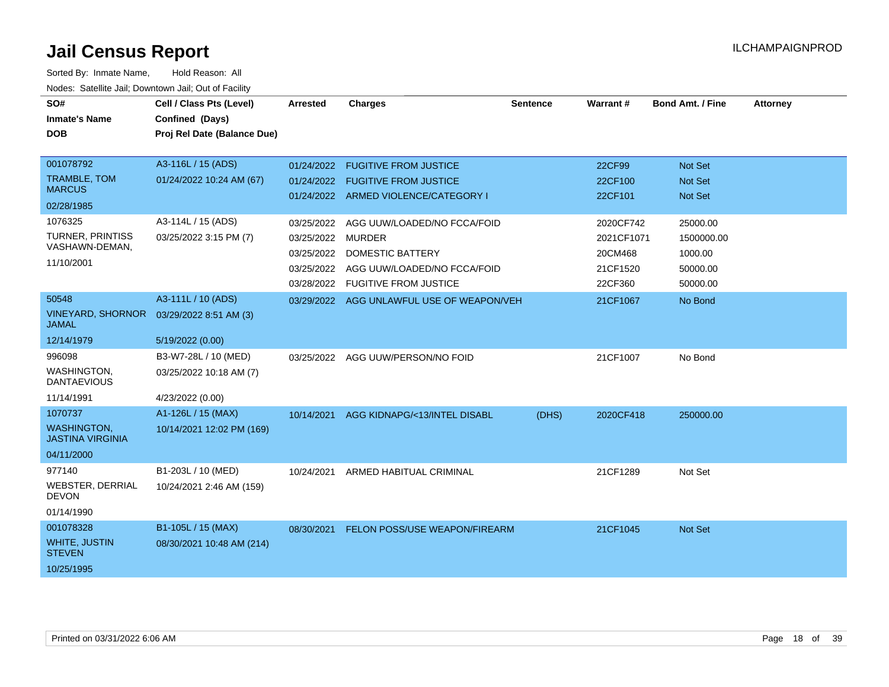| SO#<br><b>Inmate's Name</b><br><b>DOB</b>                                                                        | Cell / Class Pts (Level)<br>Confined (Days)<br>Proj Rel Date (Balance Due)                     | <b>Arrested</b>                                                    | <b>Charges</b>                                                                                                                                                    | <b>Sentence</b> | Warrant#                                                           | <b>Bond Amt. / Fine</b>                                                          | <b>Attorney</b> |
|------------------------------------------------------------------------------------------------------------------|------------------------------------------------------------------------------------------------|--------------------------------------------------------------------|-------------------------------------------------------------------------------------------------------------------------------------------------------------------|-----------------|--------------------------------------------------------------------|----------------------------------------------------------------------------------|-----------------|
| 001078792<br><b>TRAMBLE, TOM</b><br><b>MARCUS</b><br>02/28/1985<br>1076325<br>TURNER, PRINTISS<br>VASHAWN-DEMAN, | A3-116L / 15 (ADS)<br>01/24/2022 10:24 AM (67)<br>A3-114L / 15 (ADS)<br>03/25/2022 3:15 PM (7) | 01/24/2022<br>01/24/2022<br>03/25/2022<br>03/25/2022<br>03/25/2022 | <b>FUGITIVE FROM JUSTICE</b><br><b>FUGITIVE FROM JUSTICE</b><br>01/24/2022 ARMED VIOLENCE/CATEGORY I<br>AGG UUW/LOADED/NO FCCA/FOID<br>MURDER<br>DOMESTIC BATTERY |                 | 22CF99<br>22CF100<br>22CF101<br>2020CF742<br>2021CF1071<br>20CM468 | Not Set<br><b>Not Set</b><br><b>Not Set</b><br>25000.00<br>1500000.00<br>1000.00 |                 |
| 11/10/2001                                                                                                       |                                                                                                | 03/25/2022<br>03/28/2022                                           | AGG UUW/LOADED/NO FCCA/FOID<br><b>FUGITIVE FROM JUSTICE</b>                                                                                                       |                 | 21CF1520<br>22CF360                                                | 50000.00<br>50000.00                                                             |                 |
| 50548<br><b>VINEYARD, SHORNOR</b><br><b>JAMAL</b>                                                                | A3-111L / 10 (ADS)<br>03/29/2022 8:51 AM (3)                                                   |                                                                    | 03/29/2022 AGG UNLAWFUL USE OF WEAPON/VEH                                                                                                                         |                 | 21CF1067                                                           | No Bond                                                                          |                 |
| 12/14/1979<br>996098<br>WASHINGTON,<br><b>DANTAEVIOUS</b><br>11/14/1991                                          | 5/19/2022 (0.00)<br>B3-W7-28L / 10 (MED)<br>03/25/2022 10:18 AM (7)<br>4/23/2022 (0.00)        | 03/25/2022                                                         | AGG UUW/PERSON/NO FOID                                                                                                                                            |                 | 21CF1007                                                           | No Bond                                                                          |                 |
| 1070737<br><b>WASHINGTON.</b><br><b>JASTINA VIRGINIA</b><br>04/11/2000                                           | A1-126L / 15 (MAX)<br>10/14/2021 12:02 PM (169)                                                | 10/14/2021                                                         | AGG KIDNAPG/<13/INTEL DISABL                                                                                                                                      | (DHS)           | 2020CF418                                                          | 250000.00                                                                        |                 |
| 977140<br><b>WEBSTER, DERRIAL</b><br><b>DEVON</b><br>01/14/1990                                                  | B1-203L / 10 (MED)<br>10/24/2021 2:46 AM (159)                                                 | 10/24/2021                                                         | ARMED HABITUAL CRIMINAL                                                                                                                                           |                 | 21CF1289                                                           | Not Set                                                                          |                 |
| 001078328<br><b>WHITE, JUSTIN</b><br><b>STEVEN</b><br>10/25/1995                                                 | B1-105L / 15 (MAX)<br>08/30/2021 10:48 AM (214)                                                | 08/30/2021                                                         | FELON POSS/USE WEAPON/FIREARM                                                                                                                                     |                 | 21CF1045                                                           | <b>Not Set</b>                                                                   |                 |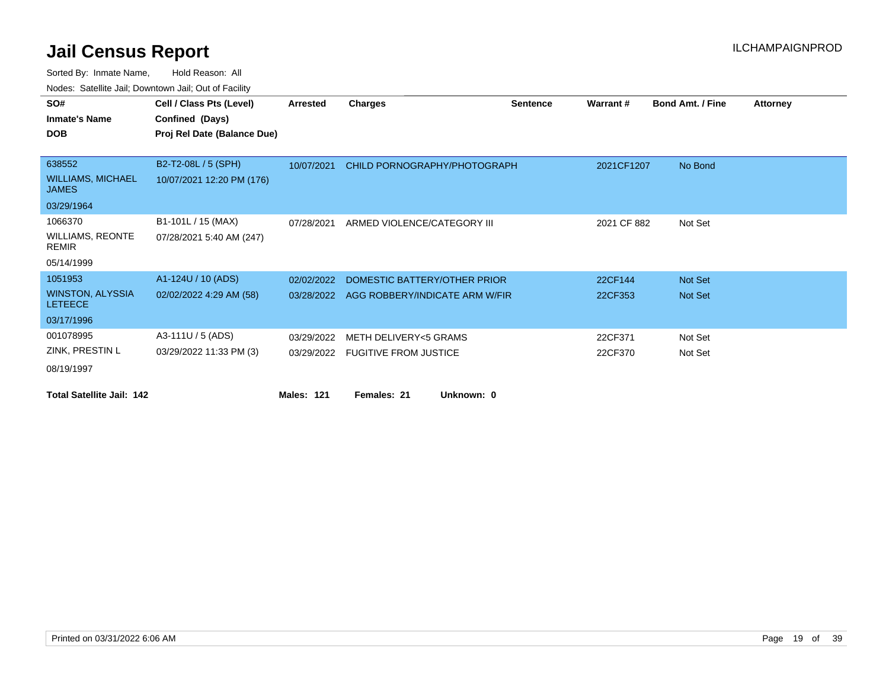| SO#                                       | Cell / Class Pts (Level)    | Arrested          | <b>Charges</b>                 | <b>Sentence</b> | Warrant#    | <b>Bond Amt. / Fine</b> | <b>Attorney</b> |
|-------------------------------------------|-----------------------------|-------------------|--------------------------------|-----------------|-------------|-------------------------|-----------------|
| <b>Inmate's Name</b>                      | Confined (Days)             |                   |                                |                 |             |                         |                 |
| <b>DOB</b>                                | Proj Rel Date (Balance Due) |                   |                                |                 |             |                         |                 |
|                                           |                             |                   |                                |                 |             |                         |                 |
| 638552                                    | B2-T2-08L / 5 (SPH)         | 10/07/2021        | CHILD PORNOGRAPHY/PHOTOGRAPH   |                 | 2021CF1207  | No Bond                 |                 |
| <b>WILLIAMS, MICHAEL</b><br><b>JAMES</b>  | 10/07/2021 12:20 PM (176)   |                   |                                |                 |             |                         |                 |
| 03/29/1964                                |                             |                   |                                |                 |             |                         |                 |
| 1066370                                   | B1-101L / 15 (MAX)          | 07/28/2021        | ARMED VIOLENCE/CATEGORY III    |                 | 2021 CF 882 | Not Set                 |                 |
| <b>WILLIAMS, REONTE</b><br><b>REMIR</b>   | 07/28/2021 5:40 AM (247)    |                   |                                |                 |             |                         |                 |
| 05/14/1999                                |                             |                   |                                |                 |             |                         |                 |
| 1051953                                   | A1-124U / 10 (ADS)          | 02/02/2022        | DOMESTIC BATTERY/OTHER PRIOR   |                 | 22CF144     | Not Set                 |                 |
| <b>WINSTON, ALYSSIA</b><br><b>LETEECE</b> | 02/02/2022 4:29 AM (58)     | 03/28/2022        | AGG ROBBERY/INDICATE ARM W/FIR |                 | 22CF353     | Not Set                 |                 |
| 03/17/1996                                |                             |                   |                                |                 |             |                         |                 |
| 001078995                                 | A3-111U / 5 (ADS)           | 03/29/2022        | METH DELIVERY<5 GRAMS          |                 | 22CF371     | Not Set                 |                 |
| ZINK, PRESTIN L                           | 03/29/2022 11:33 PM (3)     | 03/29/2022        | <b>FUGITIVE FROM JUSTICE</b>   |                 | 22CF370     | Not Set                 |                 |
| 08/19/1997                                |                             |                   |                                |                 |             |                         |                 |
| <b>Total Satellite Jail: 142</b>          |                             | <b>Males: 121</b> | Females: 21<br>Unknown: 0      |                 |             |                         |                 |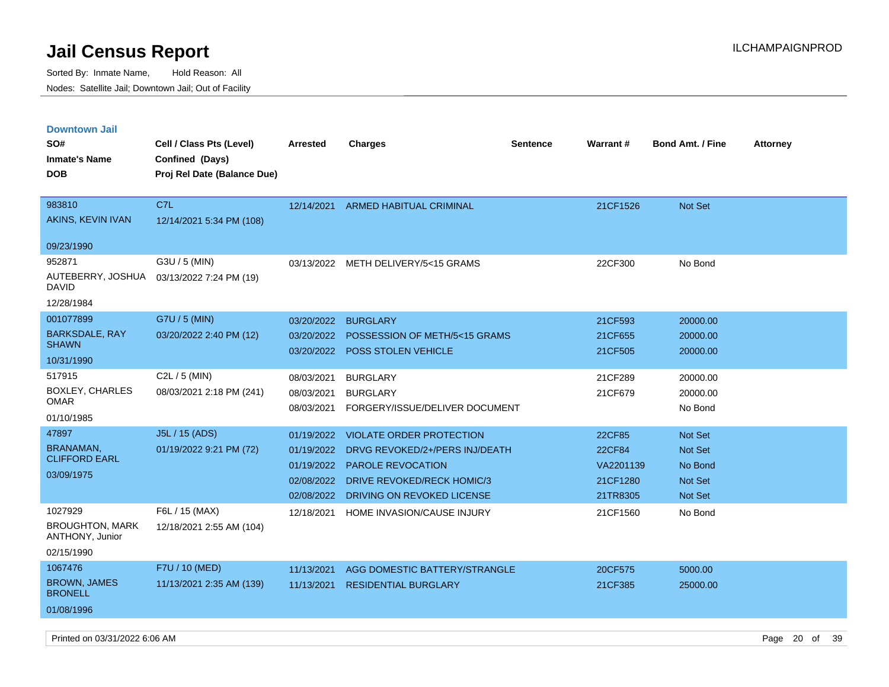Sorted By: Inmate Name, Hold Reason: All Nodes: Satellite Jail; Downtown Jail; Out of Facility

| <b>Downtown Jail</b><br>SO#<br><b>Inmate's Name</b><br><b>DOB</b>  | Cell / Class Pts (Level)<br>Confined (Days)<br>Proj Rel Date (Balance Due) | <b>Arrested</b>                                      | <b>Charges</b>                                                                                                                                                | <b>Sentence</b> | Warrant#                                              | <b>Bond Amt. / Fine</b>                                    | <b>Attorney</b> |
|--------------------------------------------------------------------|----------------------------------------------------------------------------|------------------------------------------------------|---------------------------------------------------------------------------------------------------------------------------------------------------------------|-----------------|-------------------------------------------------------|------------------------------------------------------------|-----------------|
| 983810<br>AKINS, KEVIN IVAN                                        | C7L<br>12/14/2021 5:34 PM (108)                                            | 12/14/2021                                           | <b>ARMED HABITUAL CRIMINAL</b>                                                                                                                                |                 | 21CF1526                                              | Not Set                                                    |                 |
| 09/23/1990                                                         |                                                                            |                                                      |                                                                                                                                                               |                 |                                                       |                                                            |                 |
| 952871<br>AUTEBERRY, JOSHUA<br><b>DAVID</b><br>12/28/1984          | G3U / 5 (MIN)<br>03/13/2022 7:24 PM (19)                                   |                                                      | 03/13/2022 METH DELIVERY/5<15 GRAMS                                                                                                                           |                 | 22CF300                                               | No Bond                                                    |                 |
| 001077899                                                          | G7U / 5 (MIN)                                                              | 03/20/2022                                           | <b>BURGLARY</b>                                                                                                                                               |                 | 21CF593                                               | 20000.00                                                   |                 |
| <b>BARKSDALE, RAY</b><br><b>SHAWN</b>                              | 03/20/2022 2:40 PM (12)                                                    | 03/20/2022<br>03/20/2022                             | POSSESSION OF METH/5<15 GRAMS<br>POSS STOLEN VEHICLE                                                                                                          |                 | 21CF655<br>21CF505                                    | 20000.00<br>20000.00                                       |                 |
| 10/31/1990                                                         |                                                                            |                                                      |                                                                                                                                                               |                 |                                                       |                                                            |                 |
| 517915<br>BOXLEY, CHARLES<br><b>OMAR</b><br>01/10/1985             | C <sub>2</sub> L $/$ 5 (MIN)<br>08/03/2021 2:18 PM (241)                   | 08/03/2021<br>08/03/2021<br>08/03/2021               | <b>BURGLARY</b><br><b>BURGLARY</b><br>FORGERY/ISSUE/DELIVER DOCUMENT                                                                                          |                 | 21CF289<br>21CF679                                    | 20000.00<br>20000.00<br>No Bond                            |                 |
| 47897<br><b>BRANAMAN</b><br><b>CLIFFORD EARL</b><br>03/09/1975     | J5L / 15 (ADS)<br>01/19/2022 9:21 PM (72)                                  | 01/19/2022<br>01/19/2022<br>01/19/2022<br>02/08/2022 | <b>VIOLATE ORDER PROTECTION</b><br>DRVG REVOKED/2+/PERS INJ/DEATH<br>PAROLE REVOCATION<br>02/08/2022 DRIVE REVOKED/RECK HOMIC/3<br>DRIVING ON REVOKED LICENSE |                 | 22CF85<br>22CF84<br>VA2201139<br>21CF1280<br>21TR8305 | Not Set<br>Not Set<br>No Bond<br><b>Not Set</b><br>Not Set |                 |
| 1027929<br><b>BROUGHTON, MARK</b><br>ANTHONY, Junior<br>02/15/1990 | F6L / 15 (MAX)<br>12/18/2021 2:55 AM (104)                                 | 12/18/2021                                           | HOME INVASION/CAUSE INJURY                                                                                                                                    |                 | 21CF1560                                              | No Bond                                                    |                 |
| 1067476<br><b>BROWN, JAMES</b><br><b>BRONELL</b><br>01/08/1996     | F7U / 10 (MED)<br>11/13/2021 2:35 AM (139)                                 | 11/13/2021<br>11/13/2021                             | AGG DOMESTIC BATTERY/STRANGLE<br><b>RESIDENTIAL BURGLARY</b>                                                                                                  |                 | 20CF575<br>21CF385                                    | 5000.00<br>25000.00                                        |                 |
|                                                                    |                                                                            |                                                      |                                                                                                                                                               |                 |                                                       |                                                            |                 |

Printed on 03/31/2022 6:06 AM Page 20 of 39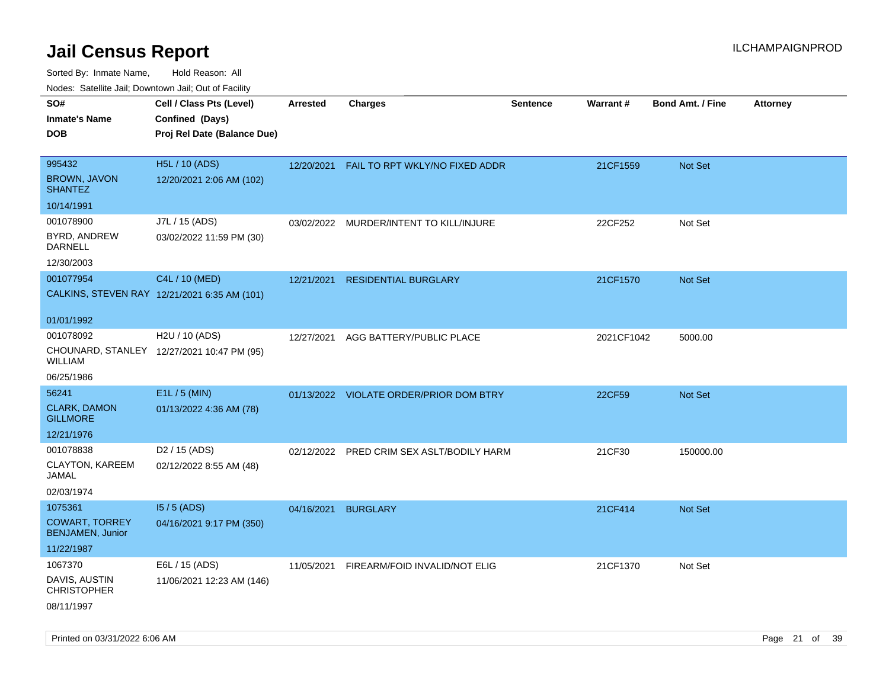| rouco. Calcinic Jan, Downtown Jan, Out of Facility |                                                                            |                 |                                           |                 |                 |                         |                 |
|----------------------------------------------------|----------------------------------------------------------------------------|-----------------|-------------------------------------------|-----------------|-----------------|-------------------------|-----------------|
| SO#<br>Inmate's Name<br>DOB                        | Cell / Class Pts (Level)<br>Confined (Days)<br>Proj Rel Date (Balance Due) | <b>Arrested</b> | <b>Charges</b>                            | <b>Sentence</b> | <b>Warrant#</b> | <b>Bond Amt. / Fine</b> | <b>Attorney</b> |
| 995432<br><b>BROWN, JAVON</b><br><b>SHANTEZ</b>    | H5L / 10 (ADS)<br>12/20/2021 2:06 AM (102)                                 |                 | 12/20/2021 FAIL TO RPT WKLY/NO FIXED ADDR |                 | 21CF1559        | Not Set                 |                 |
| 10/14/1991                                         |                                                                            |                 |                                           |                 |                 |                         |                 |
| 001078900<br>BYRD, ANDREW<br>DARNELL<br>12/30/2003 | J7L / 15 (ADS)<br>03/02/2022 11:59 PM (30)                                 | 03/02/2022      | MURDER/INTENT TO KILL/INJURE              |                 | 22CF252         | Not Set                 |                 |
| 001077954                                          | C4L / 10 (MED)<br>CALKINS, STEVEN RAY 12/21/2021 6:35 AM (101)             | 12/21/2021      | <b>RESIDENTIAL BURGLARY</b>               |                 | 21CF1570        | Not Set                 |                 |
| 01/01/1992                                         |                                                                            |                 |                                           |                 |                 |                         |                 |
| 001078092<br>WILLIAM                               | H <sub>2</sub> U / 10 (ADS)<br>CHOUNARD, STANLEY 12/27/2021 10:47 PM (95)  | 12/27/2021      | AGG BATTERY/PUBLIC PLACE                  |                 | 2021CF1042      | 5000.00                 |                 |
| 06/25/1986                                         |                                                                            |                 |                                           |                 |                 |                         |                 |
| 56241                                              | E1L / 5 (MIN)                                                              |                 | 01/13/2022 VIOLATE ORDER/PRIOR DOM BTRY   |                 | 22CF59          | Not Set                 |                 |
| <b>CLARK, DAMON</b><br><b>GILLMORE</b>             | 01/13/2022 4:36 AM (78)                                                    |                 |                                           |                 |                 |                         |                 |
| 12/21/1976                                         |                                                                            |                 |                                           |                 |                 |                         |                 |
| 001078838                                          | D <sub>2</sub> / 15 (ADS)                                                  | 02/12/2022      | PRED CRIM SEX ASLT/BODILY HARM            |                 | 21CF30          | 150000.00               |                 |
| CLAYTON, KAREEM<br>JAMAL                           | 02/12/2022 8:55 AM (48)                                                    |                 |                                           |                 |                 |                         |                 |
| 02/03/1974                                         |                                                                            |                 |                                           |                 |                 |                         |                 |
| 1075361                                            | $15/5$ (ADS)                                                               | 04/16/2021      | <b>BURGLARY</b>                           |                 | 21CF414         | <b>Not Set</b>          |                 |
| <b>COWART, TORREY</b><br><b>BENJAMEN, Junior</b>   | 04/16/2021 9:17 PM (350)                                                   |                 |                                           |                 |                 |                         |                 |
| 11/22/1987                                         |                                                                            |                 |                                           |                 |                 |                         |                 |
| 1067370                                            | E6L / 15 (ADS)                                                             | 11/05/2021      | FIREARM/FOID INVALID/NOT ELIG             |                 | 21CF1370        | Not Set                 |                 |
| DAVIS, AUSTIN<br><b>CHRISTOPHER</b>                | 11/06/2021 12:23 AM (146)                                                  |                 |                                           |                 |                 |                         |                 |
| 08/11/1997                                         |                                                                            |                 |                                           |                 |                 |                         |                 |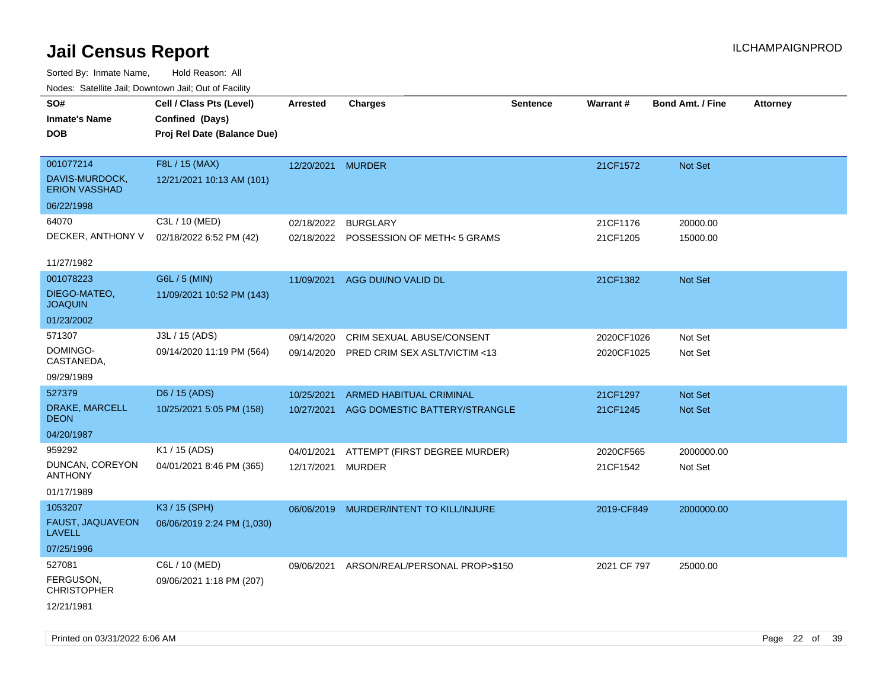Sorted By: Inmate Name, Hold Reason: All Nodes: Satellite Jail; Downtown Jail; Out of Facility

| Noues. Salenne Jan, Downlown Jan, Out or Facility |                             |                   |                                         |                 |                 |                         |                 |
|---------------------------------------------------|-----------------------------|-------------------|-----------------------------------------|-----------------|-----------------|-------------------------|-----------------|
| SO#                                               | Cell / Class Pts (Level)    | Arrested          | <b>Charges</b>                          | <b>Sentence</b> | <b>Warrant#</b> | <b>Bond Amt. / Fine</b> | <b>Attorney</b> |
| <b>Inmate's Name</b>                              | Confined (Days)             |                   |                                         |                 |                 |                         |                 |
| <b>DOB</b>                                        | Proj Rel Date (Balance Due) |                   |                                         |                 |                 |                         |                 |
|                                                   |                             |                   |                                         |                 |                 |                         |                 |
| 001077214                                         | F8L / 15 (MAX)              | 12/20/2021 MURDER |                                         |                 | 21CF1572        | Not Set                 |                 |
| DAVIS-MURDOCK,<br><b>ERION VASSHAD</b>            | 12/21/2021 10:13 AM (101)   |                   |                                         |                 |                 |                         |                 |
| 06/22/1998                                        |                             |                   |                                         |                 |                 |                         |                 |
| 64070                                             | C3L / 10 (MED)              | 02/18/2022        | <b>BURGLARY</b>                         |                 | 21CF1176        | 20000.00                |                 |
| DECKER, ANTHONY V                                 | 02/18/2022 6:52 PM (42)     |                   | 02/18/2022 POSSESSION OF METH< 5 GRAMS  |                 | 21CF1205        | 15000.00                |                 |
|                                                   |                             |                   |                                         |                 |                 |                         |                 |
| 11/27/1982                                        |                             |                   |                                         |                 |                 |                         |                 |
| 001078223                                         | G6L / 5 (MIN)               | 11/09/2021        | AGG DUI/NO VALID DL                     |                 | 21CF1382        | <b>Not Set</b>          |                 |
| DIEGO-MATEO,<br><b>JOAQUIN</b>                    | 11/09/2021 10:52 PM (143)   |                   |                                         |                 |                 |                         |                 |
| 01/23/2002                                        |                             |                   |                                         |                 |                 |                         |                 |
| 571307                                            | J3L / 15 (ADS)              | 09/14/2020        | CRIM SEXUAL ABUSE/CONSENT               |                 | 2020CF1026      | Not Set                 |                 |
| DOMINGO-<br>CASTANEDA,                            | 09/14/2020 11:19 PM (564)   | 09/14/2020        | <b>PRED CRIM SEX ASLT/VICTIM &lt;13</b> |                 | 2020CF1025      | Not Set                 |                 |
| 09/29/1989                                        |                             |                   |                                         |                 |                 |                         |                 |
| 527379                                            | D6 / 15 (ADS)               | 10/25/2021        | ARMED HABITUAL CRIMINAL                 |                 | 21CF1297        | <b>Not Set</b>          |                 |
| DRAKE, MARCELL<br><b>DEON</b>                     | 10/25/2021 5:05 PM (158)    | 10/27/2021        | AGG DOMESTIC BATTERY/STRANGLE           |                 | 21CF1245        | <b>Not Set</b>          |                 |
| 04/20/1987                                        |                             |                   |                                         |                 |                 |                         |                 |
| 959292                                            | K1 / 15 (ADS)               | 04/01/2021        | ATTEMPT (FIRST DEGREE MURDER)           |                 | 2020CF565       | 2000000.00              |                 |
| DUNCAN, COREYON<br><b>ANTHONY</b>                 | 04/01/2021 8:46 PM (365)    | 12/17/2021        | MURDER                                  |                 | 21CF1542        | Not Set                 |                 |
| 01/17/1989                                        |                             |                   |                                         |                 |                 |                         |                 |
| 1053207                                           | K3 / 15 (SPH)               | 06/06/2019        | MURDER/INTENT TO KILL/INJURE            |                 | 2019-CF849      | 2000000.00              |                 |
| FAUST, JAQUAVEON<br>LAVELL                        | 06/06/2019 2:24 PM (1,030)  |                   |                                         |                 |                 |                         |                 |
| 07/25/1996                                        |                             |                   |                                         |                 |                 |                         |                 |
| 527081                                            | C6L / 10 (MED)              | 09/06/2021        | ARSON/REAL/PERSONAL PROP>\$150          |                 | 2021 CF 797     | 25000.00                |                 |
| FERGUSON,<br><b>CHRISTOPHER</b>                   | 09/06/2021 1:18 PM (207)    |                   |                                         |                 |                 |                         |                 |
| 12/21/1981                                        |                             |                   |                                         |                 |                 |                         |                 |

Printed on 03/31/2022 6:06 AM Page 22 of 39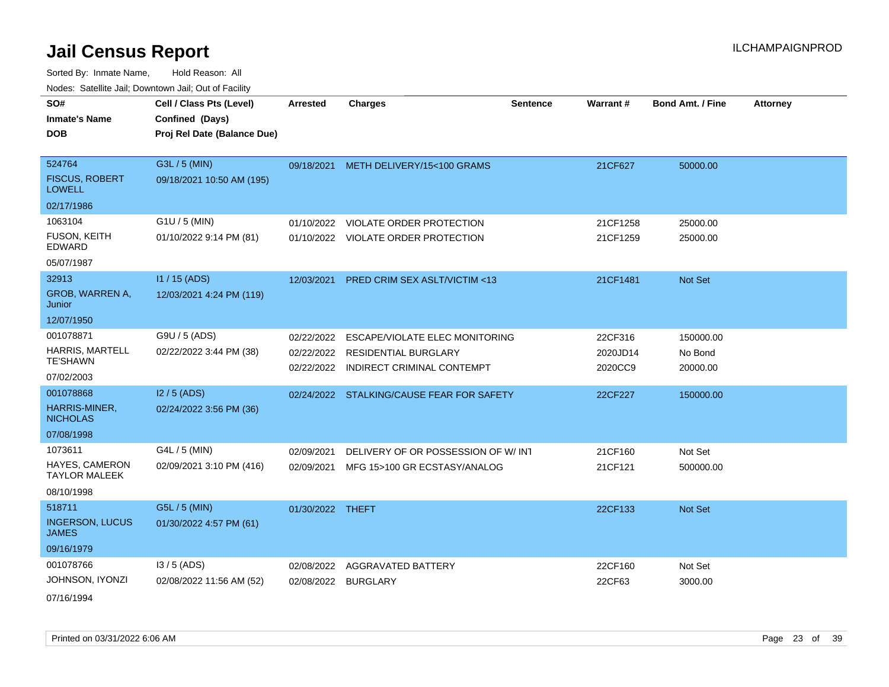Sorted By: Inmate Name, Hold Reason: All Nodes: Satellite Jail; Downtown Jail; Out of Facility

| routs. Saltille Jali, Downlown Jali, Out of Facility |                             |                  |                                           |                 |                 |                         |                 |
|------------------------------------------------------|-----------------------------|------------------|-------------------------------------------|-----------------|-----------------|-------------------------|-----------------|
| SO#                                                  | Cell / Class Pts (Level)    | Arrested         | <b>Charges</b>                            | <b>Sentence</b> | <b>Warrant#</b> | <b>Bond Amt. / Fine</b> | <b>Attorney</b> |
| <b>Inmate's Name</b>                                 | Confined (Days)             |                  |                                           |                 |                 |                         |                 |
| <b>DOB</b>                                           | Proj Rel Date (Balance Due) |                  |                                           |                 |                 |                         |                 |
|                                                      |                             |                  |                                           |                 |                 |                         |                 |
| 524764                                               | G3L / 5 (MIN)               |                  | 09/18/2021 METH DELIVERY/15<100 GRAMS     |                 | 21CF627         | 50000.00                |                 |
| <b>FISCUS, ROBERT</b><br><b>LOWELL</b>               | 09/18/2021 10:50 AM (195)   |                  |                                           |                 |                 |                         |                 |
| 02/17/1986                                           |                             |                  |                                           |                 |                 |                         |                 |
| 1063104                                              | G1U / 5 (MIN)               | 01/10/2022       | <b>VIOLATE ORDER PROTECTION</b>           |                 | 21CF1258        | 25000.00                |                 |
| <b>FUSON, KEITH</b><br>EDWARD                        | 01/10/2022 9:14 PM (81)     |                  | 01/10/2022 VIOLATE ORDER PROTECTION       |                 | 21CF1259        | 25000.00                |                 |
| 05/07/1987                                           |                             |                  |                                           |                 |                 |                         |                 |
| 32913                                                | $11 / 15$ (ADS)             | 12/03/2021       | <b>PRED CRIM SEX ASLT/VICTIM &lt;13</b>   |                 | 21CF1481        | <b>Not Set</b>          |                 |
| <b>GROB, WARREN A,</b><br>Junior                     | 12/03/2021 4:24 PM (119)    |                  |                                           |                 |                 |                         |                 |
| 12/07/1950                                           |                             |                  |                                           |                 |                 |                         |                 |
| 001078871                                            | G9U / 5 (ADS)               | 02/22/2022       | ESCAPE/VIOLATE ELEC MONITORING            |                 | 22CF316         | 150000.00               |                 |
| <b>HARRIS, MARTELL</b>                               | 02/22/2022 3:44 PM (38)     | 02/22/2022       | RESIDENTIAL BURGLARY                      |                 | 2020JD14        | No Bond                 |                 |
| <b>TE'SHAWN</b>                                      |                             | 02/22/2022       | <b>INDIRECT CRIMINAL CONTEMPT</b>         |                 | 2020CC9         | 20000.00                |                 |
| 07/02/2003                                           |                             |                  |                                           |                 |                 |                         |                 |
| 001078868                                            | $12/5$ (ADS)                |                  | 02/24/2022 STALKING/CAUSE FEAR FOR SAFETY |                 | 22CF227         | 150000.00               |                 |
| HARRIS-MINER,<br><b>NICHOLAS</b>                     | 02/24/2022 3:56 PM (36)     |                  |                                           |                 |                 |                         |                 |
| 07/08/1998                                           |                             |                  |                                           |                 |                 |                         |                 |
| 1073611                                              | G4L / 5 (MIN)               | 02/09/2021       | DELIVERY OF OR POSSESSION OF W/ INT       |                 | 21CF160         | Not Set                 |                 |
| HAYES, CAMERON<br><b>TAYLOR MALEEK</b>               | 02/09/2021 3:10 PM (416)    | 02/09/2021       | MFG 15>100 GR ECSTASY/ANALOG              |                 | 21CF121         | 500000.00               |                 |
| 08/10/1998                                           |                             |                  |                                           |                 |                 |                         |                 |
| 518711                                               | G5L / 5 (MIN)               | 01/30/2022 THEFT |                                           |                 | 22CF133         | <b>Not Set</b>          |                 |
| <b>INGERSON, LUCUS</b><br>JAMES                      | 01/30/2022 4:57 PM (61)     |                  |                                           |                 |                 |                         |                 |
| 09/16/1979                                           |                             |                  |                                           |                 |                 |                         |                 |
| 001078766                                            | $13/5$ (ADS)                | 02/08/2022       | AGGRAVATED BATTERY                        |                 | 22CF160         | Not Set                 |                 |
| JOHNSON, IYONZI                                      | 02/08/2022 11:56 AM (52)    |                  | 02/08/2022 BURGLARY                       |                 | 22CF63          | 3000.00                 |                 |
|                                                      |                             |                  |                                           |                 |                 |                         |                 |

07/16/1994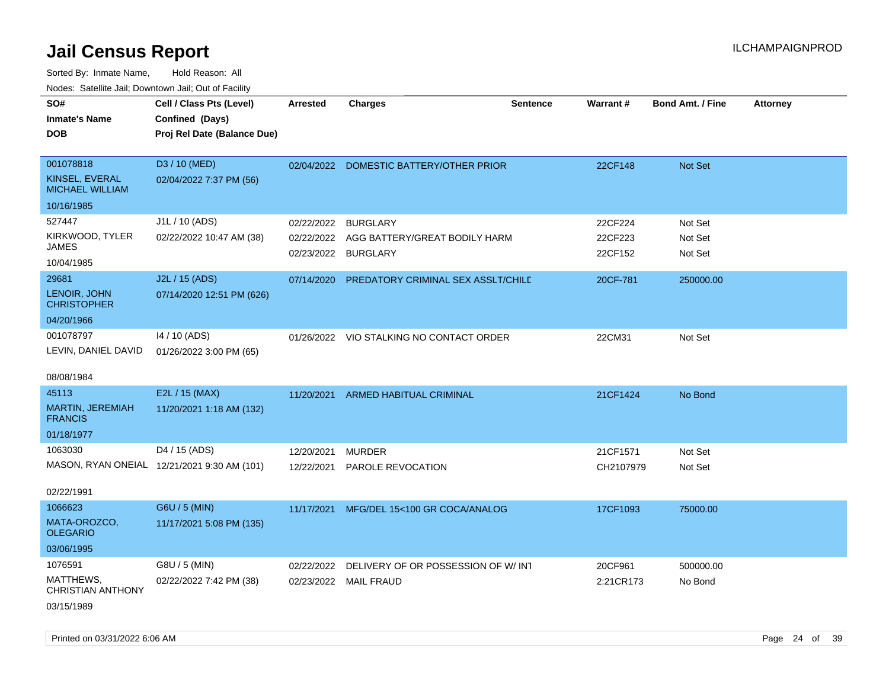Sorted By: Inmate Name, Hold Reason: All

| Nodes: Satellite Jail; Downtown Jail; Out of Facility |                                             |                 |                                           |                 |           |                         |                 |
|-------------------------------------------------------|---------------------------------------------|-----------------|-------------------------------------------|-----------------|-----------|-------------------------|-----------------|
| SO#                                                   | Cell / Class Pts (Level)                    | <b>Arrested</b> | <b>Charges</b>                            | <b>Sentence</b> | Warrant#  | <b>Bond Amt. / Fine</b> | <b>Attorney</b> |
| <b>Inmate's Name</b>                                  | Confined (Days)                             |                 |                                           |                 |           |                         |                 |
| <b>DOB</b>                                            | Proj Rel Date (Balance Due)                 |                 |                                           |                 |           |                         |                 |
|                                                       |                                             |                 |                                           |                 |           |                         |                 |
| 001078818                                             | D3 / 10 (MED)                               |                 | 02/04/2022 DOMESTIC BATTERY/OTHER PRIOR   |                 | 22CF148   | Not Set                 |                 |
| KINSEL, EVERAL<br><b>MICHAEL WILLIAM</b>              | 02/04/2022 7:37 PM (56)                     |                 |                                           |                 |           |                         |                 |
| 10/16/1985                                            |                                             |                 |                                           |                 |           |                         |                 |
| 527447                                                | J1L / 10 (ADS)                              | 02/22/2022      | <b>BURGLARY</b>                           |                 | 22CF224   | Not Set                 |                 |
| KIRKWOOD, TYLER                                       | 02/22/2022 10:47 AM (38)                    |                 | 02/22/2022 AGG BATTERY/GREAT BODILY HARM  |                 | 22CF223   | Not Set                 |                 |
| <b>JAMES</b>                                          |                                             |                 | 02/23/2022 BURGLARY                       |                 | 22CF152   | Not Set                 |                 |
| 10/04/1985                                            |                                             |                 |                                           |                 |           |                         |                 |
| 29681                                                 | J2L / 15 (ADS)                              | 07/14/2020      | <b>PREDATORY CRIMINAL SEX ASSLT/CHILE</b> |                 | 20CF-781  | 250000.00               |                 |
| LENOIR, JOHN<br><b>CHRISTOPHER</b>                    | 07/14/2020 12:51 PM (626)                   |                 |                                           |                 |           |                         |                 |
| 04/20/1966                                            |                                             |                 |                                           |                 |           |                         |                 |
| 001078797                                             | 14 / 10 (ADS)                               |                 | 01/26/2022 VIO STALKING NO CONTACT ORDER  |                 | 22CM31    | Not Set                 |                 |
| LEVIN, DANIEL DAVID                                   | 01/26/2022 3:00 PM (65)                     |                 |                                           |                 |           |                         |                 |
|                                                       |                                             |                 |                                           |                 |           |                         |                 |
| 08/08/1984                                            |                                             |                 |                                           |                 |           |                         |                 |
| 45113                                                 | E2L / 15 (MAX)                              |                 | 11/20/2021 ARMED HABITUAL CRIMINAL        |                 | 21CF1424  | No Bond                 |                 |
| MARTIN, JEREMIAH<br><b>FRANCIS</b>                    | 11/20/2021 1:18 AM (132)                    |                 |                                           |                 |           |                         |                 |
| 01/18/1977                                            |                                             |                 |                                           |                 |           |                         |                 |
| 1063030                                               | D4 / 15 (ADS)                               |                 |                                           |                 |           |                         |                 |
|                                                       |                                             | 12/20/2021      | MURDER                                    |                 | 21CF1571  | Not Set                 |                 |
|                                                       | MASON, RYAN ONEIAL 12/21/2021 9:30 AM (101) |                 | 12/22/2021 PAROLE REVOCATION              |                 | CH2107979 | Not Set                 |                 |
| 02/22/1991                                            |                                             |                 |                                           |                 |           |                         |                 |
| 1066623                                               | G6U / 5 (MIN)                               | 11/17/2021      | MFG/DEL 15<100 GR COCA/ANALOG             |                 | 17CF1093  | 75000.00                |                 |
| MATA-OROZCO,<br><b>OLEGARIO</b>                       | 11/17/2021 5:08 PM (135)                    |                 |                                           |                 |           |                         |                 |
| 03/06/1995                                            |                                             |                 |                                           |                 |           |                         |                 |
| 1076591                                               | G8U / 5 (MIN)                               | 02/22/2022      | DELIVERY OF OR POSSESSION OF W/INT        |                 | 20CF961   | 500000.00               |                 |
| MATTHEWS,<br>CHRISTIAN ANTHONY                        | 02/22/2022 7:42 PM (38)                     |                 | 02/23/2022 MAIL FRAUD                     |                 | 2:21CR173 | No Bond                 |                 |
| 03/15/1989                                            |                                             |                 |                                           |                 |           |                         |                 |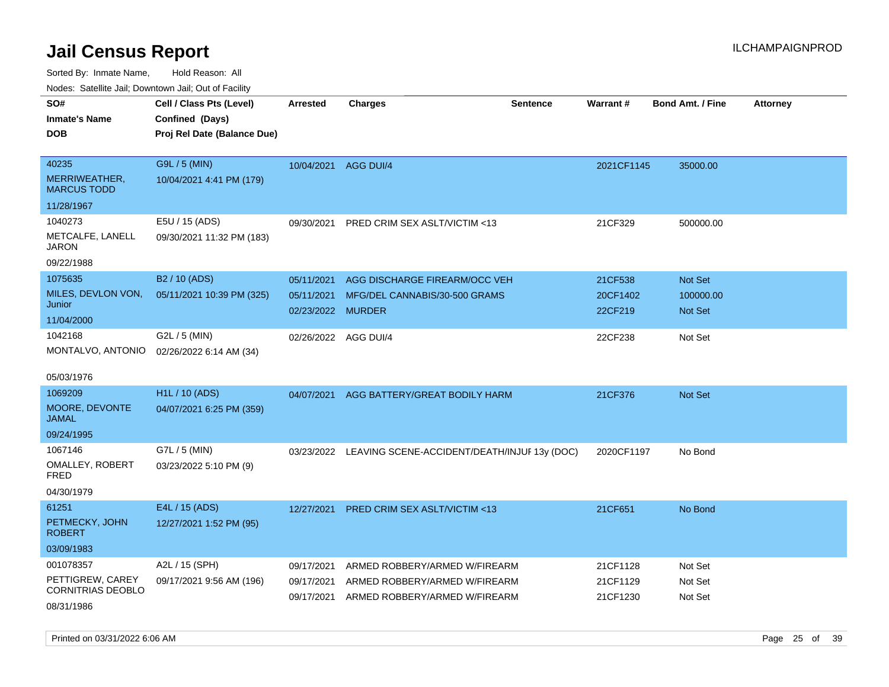Sorted By: Inmate Name, Hold Reason: All

Nodes: Satellite Jail; Downtown Jail; Out of Facility

| SO#<br><b>Inmate's Name</b><br><b>DOB</b>                               | Cell / Class Pts (Level)<br>Confined (Days)<br>Proj Rel Date (Balance Due) | <b>Arrested</b>                               | <b>Charges</b>                                                                                  | <b>Sentence</b> | Warrant#                         | <b>Bond Amt. / Fine</b>                       | <b>Attorney</b> |
|-------------------------------------------------------------------------|----------------------------------------------------------------------------|-----------------------------------------------|-------------------------------------------------------------------------------------------------|-----------------|----------------------------------|-----------------------------------------------|-----------------|
| 40235<br>MERRIWEATHER,<br><b>MARCUS TODD</b>                            | G9L / 5 (MIN)<br>10/04/2021 4:41 PM (179)                                  | 10/04/2021                                    | AGG DUI/4                                                                                       |                 | 2021CF1145                       | 35000.00                                      |                 |
| 11/28/1967                                                              |                                                                            |                                               |                                                                                                 |                 |                                  |                                               |                 |
| 1040273<br>METCALFE, LANELL<br><b>JARON</b>                             | E5U / 15 (ADS)<br>09/30/2021 11:32 PM (183)                                | 09/30/2021                                    | PRED CRIM SEX ASLT/VICTIM <13                                                                   |                 | 21CF329                          | 500000.00                                     |                 |
| 09/22/1988                                                              |                                                                            |                                               |                                                                                                 |                 |                                  |                                               |                 |
| 1075635<br>MILES, DEVLON VON,<br>Junior<br>11/04/2000                   | B2 / 10 (ADS)<br>05/11/2021 10:39 PM (325)                                 | 05/11/2021<br>05/11/2021<br>02/23/2022 MURDER | AGG DISCHARGE FIREARM/OCC VEH<br>MFG/DEL CANNABIS/30-500 GRAMS                                  |                 | 21CF538<br>20CF1402<br>22CF219   | <b>Not Set</b><br>100000.00<br><b>Not Set</b> |                 |
| 1042168<br>MONTALVO, ANTONIO<br>05/03/1976                              | G2L / 5 (MIN)<br>02/26/2022 6:14 AM (34)                                   | 02/26/2022 AGG DUI/4                          |                                                                                                 |                 | 22CF238                          | Not Set                                       |                 |
| 1069209                                                                 | <b>H1L / 10 (ADS)</b>                                                      | 04/07/2021                                    | AGG BATTERY/GREAT BODILY HARM                                                                   |                 | 21CF376                          | <b>Not Set</b>                                |                 |
| MOORE, DEVONTE<br><b>JAMAL</b>                                          | 04/07/2021 6:25 PM (359)                                                   |                                               |                                                                                                 |                 |                                  |                                               |                 |
| 09/24/1995                                                              |                                                                            |                                               |                                                                                                 |                 |                                  |                                               |                 |
| 1067146<br>OMALLEY, ROBERT<br>FRED<br>04/30/1979                        | G7L / 5 (MIN)<br>03/23/2022 5:10 PM (9)                                    |                                               | 03/23/2022 LEAVING SCENE-ACCIDENT/DEATH/INJUF 13y (DOC)                                         |                 | 2020CF1197                       | No Bond                                       |                 |
| 61251<br>PETMECKY, JOHN<br><b>ROBERT</b><br>03/09/1983                  | E4L / 15 (ADS)<br>12/27/2021 1:52 PM (95)                                  | 12/27/2021                                    | <b>PRED CRIM SEX ASLT/VICTIM &lt;13</b>                                                         |                 | 21CF651                          | No Bond                                       |                 |
| 001078357<br>PETTIGREW, CAREY<br><b>CORNITRIAS DEOBLO</b><br>08/31/1986 | A2L / 15 (SPH)<br>09/17/2021 9:56 AM (196)                                 | 09/17/2021<br>09/17/2021<br>09/17/2021        | ARMED ROBBERY/ARMED W/FIREARM<br>ARMED ROBBERY/ARMED W/FIREARM<br>ARMED ROBBERY/ARMED W/FIREARM |                 | 21CF1128<br>21CF1129<br>21CF1230 | Not Set<br>Not Set<br>Not Set                 |                 |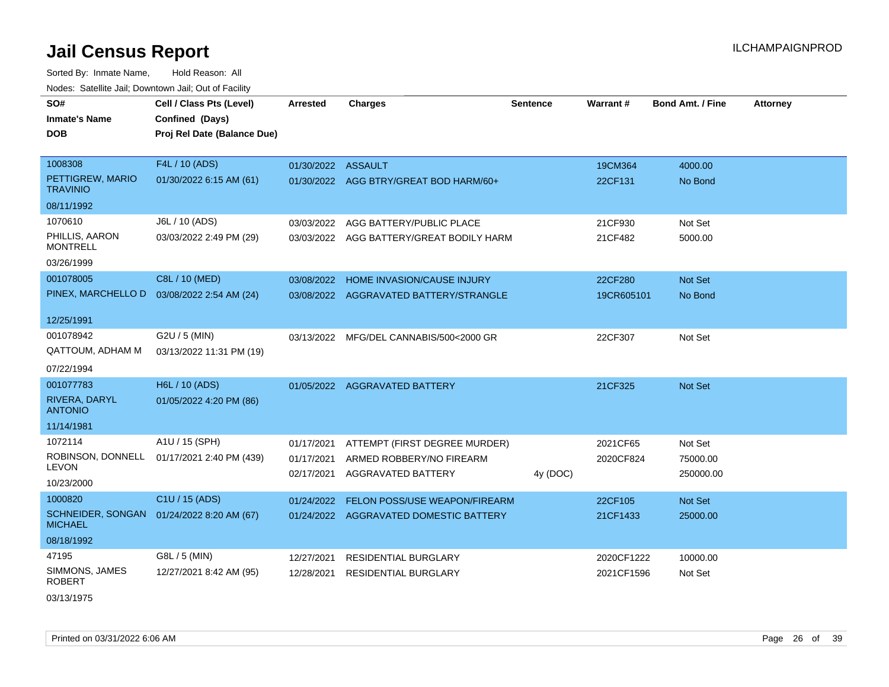Sorted By: Inmate Name, Hold Reason: All Nodes: Satellite Jail; Downtown Jail; Out of Facility

| SO#                                 | Cell / Class Pts (Level)                   | <b>Arrested</b>    | <b>Charges</b>                           | <b>Sentence</b> | Warrant#   | <b>Bond Amt. / Fine</b> | <b>Attorney</b> |
|-------------------------------------|--------------------------------------------|--------------------|------------------------------------------|-----------------|------------|-------------------------|-----------------|
| <b>Inmate's Name</b>                | Confined (Days)                            |                    |                                          |                 |            |                         |                 |
| DOB                                 | Proj Rel Date (Balance Due)                |                    |                                          |                 |            |                         |                 |
|                                     |                                            |                    |                                          |                 |            |                         |                 |
| 1008308                             | F4L / 10 (ADS)                             | 01/30/2022 ASSAULT |                                          |                 | 19CM364    | 4000.00                 |                 |
| PETTIGREW, MARIO<br><b>TRAVINIO</b> | 01/30/2022 6:15 AM (61)                    |                    | 01/30/2022 AGG BTRY/GREAT BOD HARM/60+   |                 | 22CF131    | No Bond                 |                 |
| 08/11/1992                          |                                            |                    |                                          |                 |            |                         |                 |
| 1070610                             | J6L / 10 (ADS)                             | 03/03/2022         | AGG BATTERY/PUBLIC PLACE                 |                 | 21CF930    | Not Set                 |                 |
| PHILLIS, AARON<br><b>MONTRELL</b>   | 03/03/2022 2:49 PM (29)                    |                    | 03/03/2022 AGG BATTERY/GREAT BODILY HARM |                 | 21CF482    | 5000.00                 |                 |
| 03/26/1999                          |                                            |                    |                                          |                 |            |                         |                 |
| 001078005                           | C8L / 10 (MED)                             | 03/08/2022         | HOME INVASION/CAUSE INJURY               |                 | 22CF280    | Not Set                 |                 |
| PINEX, MARCHELLO D                  | 03/08/2022 2:54 AM (24)                    |                    | 03/08/2022 AGGRAVATED BATTERY/STRANGLE   |                 | 19CR605101 | No Bond                 |                 |
|                                     |                                            |                    |                                          |                 |            |                         |                 |
| 12/25/1991                          |                                            |                    |                                          |                 |            |                         |                 |
| 001078942                           | G2U / 5 (MIN)                              |                    | 03/13/2022 MFG/DEL CANNABIS/500<2000 GR  |                 | 22CF307    | Not Set                 |                 |
| QATTOUM, ADHAM M                    | 03/13/2022 11:31 PM (19)                   |                    |                                          |                 |            |                         |                 |
| 07/22/1994                          |                                            |                    |                                          |                 |            |                         |                 |
| 001077783                           | H6L / 10 (ADS)                             |                    | 01/05/2022 AGGRAVATED BATTERY            |                 | 21CF325    | Not Set                 |                 |
| RIVERA, DARYL<br><b>ANTONIO</b>     | 01/05/2022 4:20 PM (86)                    |                    |                                          |                 |            |                         |                 |
| 11/14/1981                          |                                            |                    |                                          |                 |            |                         |                 |
| 1072114                             | A1U / 15 (SPH)                             | 01/17/2021         | ATTEMPT (FIRST DEGREE MURDER)            |                 | 2021CF65   | Not Set                 |                 |
| <b>LEVON</b>                        | ROBINSON, DONNELL 01/17/2021 2:40 PM (439) | 01/17/2021         | ARMED ROBBERY/NO FIREARM                 |                 | 2020CF824  | 75000.00                |                 |
| 10/23/2000                          |                                            | 02/17/2021         | AGGRAVATED BATTERY                       | 4y (DOC)        |            | 250000.00               |                 |
| 1000820                             | C1U / 15 (ADS)                             | 01/24/2022         | FELON POSS/USE WEAPON/FIREARM            |                 | 22CF105    | Not Set                 |                 |
| <b>MICHAEL</b>                      | SCHNEIDER, SONGAN 01/24/2022 8:20 AM (67)  |                    | 01/24/2022 AGGRAVATED DOMESTIC BATTERY   |                 | 21CF1433   | 25000.00                |                 |
| 08/18/1992                          |                                            |                    |                                          |                 |            |                         |                 |
| 47195                               | G8L / 5 (MIN)                              | 12/27/2021         | <b>RESIDENTIAL BURGLARY</b>              |                 | 2020CF1222 | 10000.00                |                 |
| SIMMONS, JAMES<br><b>ROBERT</b>     | 12/27/2021 8:42 AM (95)                    | 12/28/2021         | <b>RESIDENTIAL BURGLARY</b>              |                 | 2021CF1596 | Not Set                 |                 |

03/13/1975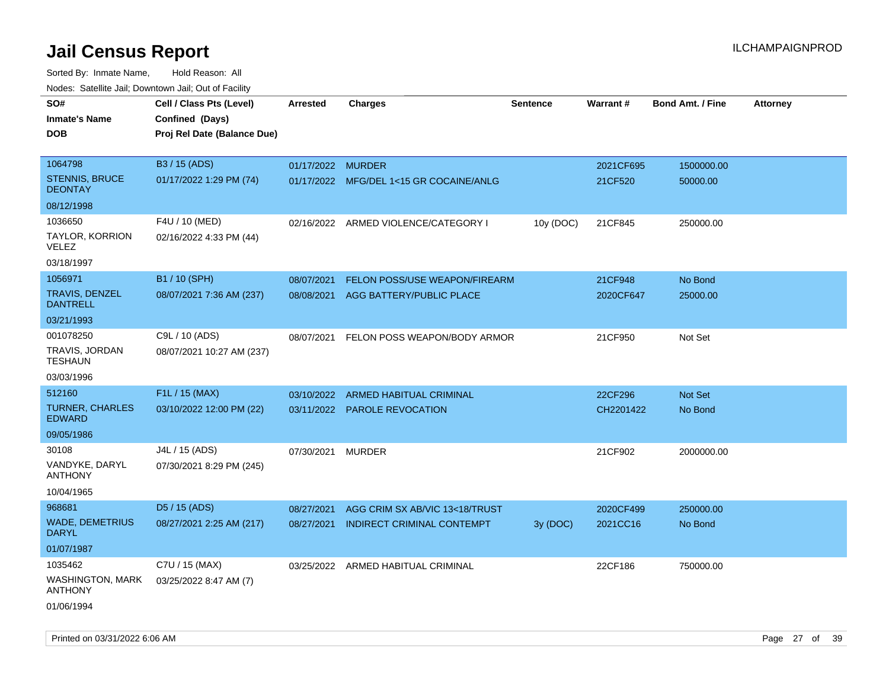| rougs. Calcing Jan, Downtown Jan, Out of Facility |                             |                   |                                         |                 |           |                         |                 |
|---------------------------------------------------|-----------------------------|-------------------|-----------------------------------------|-----------------|-----------|-------------------------|-----------------|
| SO#                                               | Cell / Class Pts (Level)    | <b>Arrested</b>   | <b>Charges</b>                          | <b>Sentence</b> | Warrant#  | <b>Bond Amt. / Fine</b> | <b>Attorney</b> |
| <b>Inmate's Name</b>                              | Confined (Days)             |                   |                                         |                 |           |                         |                 |
| <b>DOB</b>                                        | Proj Rel Date (Balance Due) |                   |                                         |                 |           |                         |                 |
|                                                   |                             |                   |                                         |                 |           |                         |                 |
| 1064798                                           | B3 / 15 (ADS)               | 01/17/2022 MURDER |                                         |                 | 2021CF695 | 1500000.00              |                 |
| STENNIS, BRUCE<br><b>DEONTAY</b>                  | 01/17/2022 1:29 PM (74)     |                   | 01/17/2022 MFG/DEL 1<15 GR COCAINE/ANLG |                 | 21CF520   | 50000.00                |                 |
| 08/12/1998                                        |                             |                   |                                         |                 |           |                         |                 |
| 1036650                                           | F4U / 10 (MED)              |                   | 02/16/2022 ARMED VIOLENCE/CATEGORY I    | 10y (DOC)       | 21CF845   | 250000.00               |                 |
| TAYLOR, KORRION<br>VELEZ                          | 02/16/2022 4:33 PM (44)     |                   |                                         |                 |           |                         |                 |
| 03/18/1997                                        |                             |                   |                                         |                 |           |                         |                 |
| 1056971                                           | B1 / 10 (SPH)               | 08/07/2021        | FELON POSS/USE WEAPON/FIREARM           |                 | 21CF948   | No Bond                 |                 |
| <b>TRAVIS, DENZEL</b><br><b>DANTRELL</b>          | 08/07/2021 7:36 AM (237)    | 08/08/2021        | AGG BATTERY/PUBLIC PLACE                |                 | 2020CF647 | 25000.00                |                 |
| 03/21/1993                                        |                             |                   |                                         |                 |           |                         |                 |
| 001078250                                         | C9L / 10 (ADS)              | 08/07/2021        | FELON POSS WEAPON/BODY ARMOR            |                 | 21CF950   | Not Set                 |                 |
| TRAVIS, JORDAN<br><b>TESHAUN</b>                  | 08/07/2021 10:27 AM (237)   |                   |                                         |                 |           |                         |                 |
| 03/03/1996                                        |                             |                   |                                         |                 |           |                         |                 |
| 512160                                            | F1L / 15 (MAX)              | 03/10/2022        | ARMED HABITUAL CRIMINAL                 |                 | 22CF296   | <b>Not Set</b>          |                 |
| <b>TURNER, CHARLES</b><br><b>EDWARD</b>           | 03/10/2022 12:00 PM (22)    |                   | 03/11/2022 PAROLE REVOCATION            |                 | CH2201422 | No Bond                 |                 |
| 09/05/1986                                        |                             |                   |                                         |                 |           |                         |                 |
| 30108                                             | J4L / 15 (ADS)              | 07/30/2021 MURDER |                                         |                 | 21CF902   | 2000000.00              |                 |
| VANDYKE, DARYL<br><b>ANTHONY</b>                  | 07/30/2021 8:29 PM (245)    |                   |                                         |                 |           |                         |                 |
| 10/04/1965                                        |                             |                   |                                         |                 |           |                         |                 |
| 968681                                            | D <sub>5</sub> / 15 (ADS)   | 08/27/2021        | AGG CRIM SX AB/VIC 13<18/TRUST          |                 | 2020CF499 | 250000.00               |                 |
| <b>WADE, DEMETRIUS</b><br><b>DARYL</b>            | 08/27/2021 2:25 AM (217)    | 08/27/2021        | INDIRECT CRIMINAL CONTEMPT              | 3y (DOC)        | 2021CC16  | No Bond                 |                 |
| 01/07/1987                                        |                             |                   |                                         |                 |           |                         |                 |
| 1035462                                           | C7U / 15 (MAX)              |                   | 03/25/2022 ARMED HABITUAL CRIMINAL      |                 | 22CF186   | 750000.00               |                 |
| <b>WASHINGTON, MARK</b><br><b>ANTHONY</b>         | 03/25/2022 8:47 AM (7)      |                   |                                         |                 |           |                         |                 |
| 01/06/1994                                        |                             |                   |                                         |                 |           |                         |                 |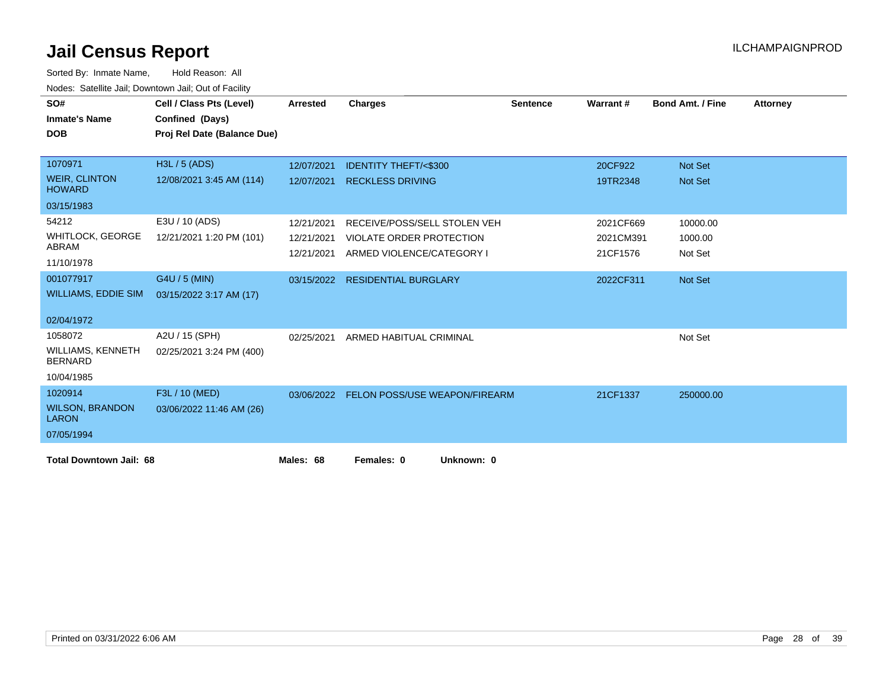| SO#<br><b>Inmate's Name</b><br><b>DOB</b>  | Cell / Class Pts (Level)<br>Confined (Days)<br>Proj Rel Date (Balance Due) | <b>Arrested</b> | <b>Charges</b>                           | <b>Sentence</b> | Warrant#  | <b>Bond Amt. / Fine</b> | <b>Attorney</b> |
|--------------------------------------------|----------------------------------------------------------------------------|-----------------|------------------------------------------|-----------------|-----------|-------------------------|-----------------|
|                                            |                                                                            |                 |                                          |                 |           |                         |                 |
| 1070971                                    | H3L / 5 (ADS)                                                              | 12/07/2021      | <b>IDENTITY THEFT/&lt;\$300</b>          |                 | 20CF922   | <b>Not Set</b>          |                 |
| <b>WEIR, CLINTON</b><br><b>HOWARD</b>      | 12/08/2021 3:45 AM (114)                                                   | 12/07/2021      | <b>RECKLESS DRIVING</b>                  |                 | 19TR2348  | <b>Not Set</b>          |                 |
| 03/15/1983                                 |                                                                            |                 |                                          |                 |           |                         |                 |
| 54212                                      | E3U / 10 (ADS)                                                             | 12/21/2021      | RECEIVE/POSS/SELL STOLEN VEH             |                 | 2021CF669 | 10000.00                |                 |
| <b>WHITLOCK, GEORGE</b>                    | 12/21/2021 1:20 PM (101)                                                   | 12/21/2021      | VIOLATE ORDER PROTECTION                 |                 | 2021CM391 | 1000.00                 |                 |
| ABRAM<br>11/10/1978                        |                                                                            | 12/21/2021      | ARMED VIOLENCE/CATEGORY I                |                 | 21CF1576  | Not Set                 |                 |
| 001077917                                  | G4U / 5 (MIN)                                                              |                 | 03/15/2022 RESIDENTIAL BURGLARY          |                 | 2022CF311 | Not Set                 |                 |
| <b>WILLIAMS, EDDIE SIM</b>                 | 03/15/2022 3:17 AM (17)                                                    |                 |                                          |                 |           |                         |                 |
| 02/04/1972                                 |                                                                            |                 |                                          |                 |           |                         |                 |
| 1058072                                    | A2U / 15 (SPH)                                                             | 02/25/2021      | ARMED HABITUAL CRIMINAL                  |                 |           | Not Set                 |                 |
| <b>WILLIAMS, KENNETH</b><br><b>BERNARD</b> | 02/25/2021 3:24 PM (400)                                                   |                 |                                          |                 |           |                         |                 |
| 10/04/1985                                 |                                                                            |                 |                                          |                 |           |                         |                 |
| 1020914                                    | F3L / 10 (MED)                                                             |                 | 03/06/2022 FELON POSS/USE WEAPON/FIREARM |                 | 21CF1337  | 250000.00               |                 |
| <b>WILSON, BRANDON</b><br><b>LARON</b>     | 03/06/2022 11:46 AM (26)                                                   |                 |                                          |                 |           |                         |                 |
| 07/05/1994                                 |                                                                            |                 |                                          |                 |           |                         |                 |
| <b>Total Downtown Jail: 68</b>             |                                                                            | Males: 68       | Females: 0<br>Unknown: 0                 |                 |           |                         |                 |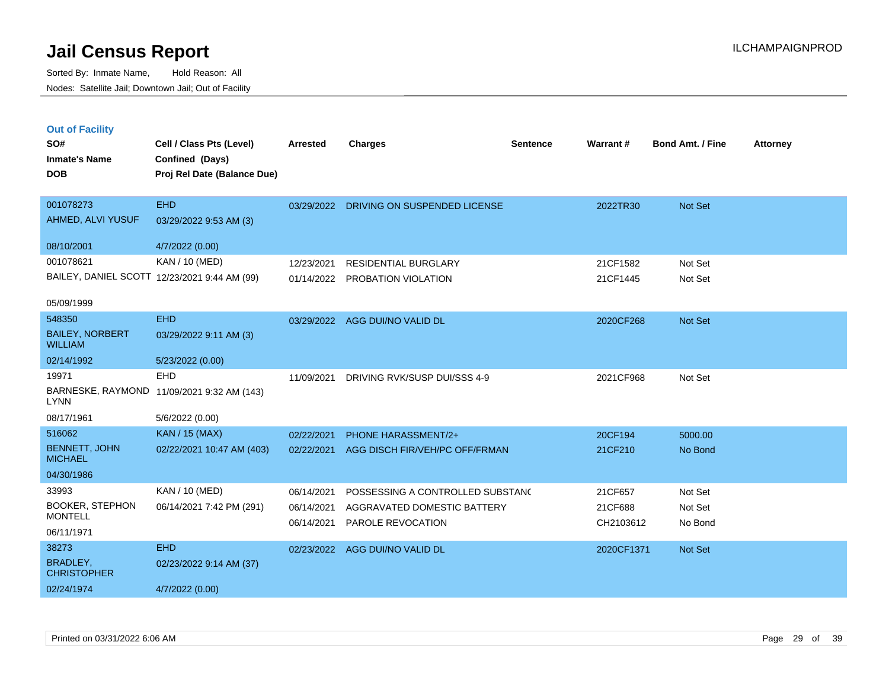**Out of Facility**

Sorted By: Inmate Name, Hold Reason: All Nodes: Satellite Jail; Downtown Jail; Out of Facility

| SO#<br><b>Inmate's Name</b><br><b>DOB</b> | Cell / Class Pts (Level)<br>Confined (Days)<br>Proj Rel Date (Balance Due) | <b>Arrested</b> | Charges                          | <b>Sentence</b> | Warrant#  | <b>Bond Amt. / Fine</b> | <b>Attorney</b> |
|-------------------------------------------|----------------------------------------------------------------------------|-----------------|----------------------------------|-----------------|-----------|-------------------------|-----------------|
| 001078273<br>AHMED, ALVI YUSUF            | <b>EHD</b><br>03/29/2022 9:53 AM (3)                                       | 03/29/2022      | DRIVING ON SUSPENDED LICENSE     |                 | 2022TR30  | <b>Not Set</b>          |                 |
| 08/10/2001                                | 4/7/2022 (0.00)                                                            |                 |                                  |                 |           |                         |                 |
| 001078621                                 | KAN / 10 (MED)                                                             | 12/23/2021      | <b>RESIDENTIAL BURGLARY</b>      |                 | 21CF1582  | Not Set                 |                 |
|                                           | BAILEY, DANIEL SCOTT 12/23/2021 9:44 AM (99)                               | 01/14/2022      | <b>PROBATION VIOLATION</b>       |                 | 21CF1445  | Not Set                 |                 |
| 05/09/1999                                |                                                                            |                 |                                  |                 |           |                         |                 |
| 548350                                    | <b>EHD</b>                                                                 | 03/29/2022      | AGG DUI/NO VALID DL              |                 | 2020CF268 | <b>Not Set</b>          |                 |
| <b>BAILEY, NORBERT</b><br><b>WILLIAM</b>  | 03/29/2022 9:11 AM (3)                                                     |                 |                                  |                 |           |                         |                 |
| 02/14/1992                                | 5/23/2022 (0.00)                                                           |                 |                                  |                 |           |                         |                 |
| 19971                                     | <b>EHD</b>                                                                 | 11/09/2021      | DRIVING RVK/SUSP DUI/SSS 4-9     |                 | 2021CF968 | Not Set                 |                 |
| BARNESKE, RAYMOND<br><b>LYNN</b>          | 11/09/2021 9:32 AM (143)                                                   |                 |                                  |                 |           |                         |                 |
| 08/17/1961                                | 5/6/2022 (0.00)                                                            |                 |                                  |                 |           |                         |                 |
| 516062                                    | KAN / 15 (MAX)                                                             | 02/22/2021      | <b>PHONE HARASSMENT/2+</b>       |                 | 20CF194   | 5000.00                 |                 |
| <b>BENNETT, JOHN</b><br><b>MICHAEL</b>    | 02/22/2021 10:47 AM (403)                                                  | 02/22/2021      | AGG DISCH FIR/VEH/PC OFF/FRMAN   |                 | 21CF210   | No Bond                 |                 |
| 04/30/1986                                |                                                                            |                 |                                  |                 |           |                         |                 |
| 33993                                     | <b>KAN / 10 (MED)</b>                                                      | 06/14/2021      | POSSESSING A CONTROLLED SUBSTAND |                 | 21CF657   | Not Set                 |                 |

06/14/2021 AGGRAVATED DOMESTIC BATTERY 21CF688 Not Set 06/14/2021 PAROLE REVOCATION CH2103612 No Bond

02/23/2022 AGG DUI/NO VALID DL 2020CF1371 Not Set

Printed on 03/31/2022 6:06 AM Page 29 of 39

02/24/1974 4/7/2022 (0.00)

06/14/2021 7:42 PM (291)

02/23/2022 9:14 AM (37)

BOOKER, STEPHON

38273 EHD

**MONTELL** 

06/11/1971

BRADLEY, **CHRISTOPHER**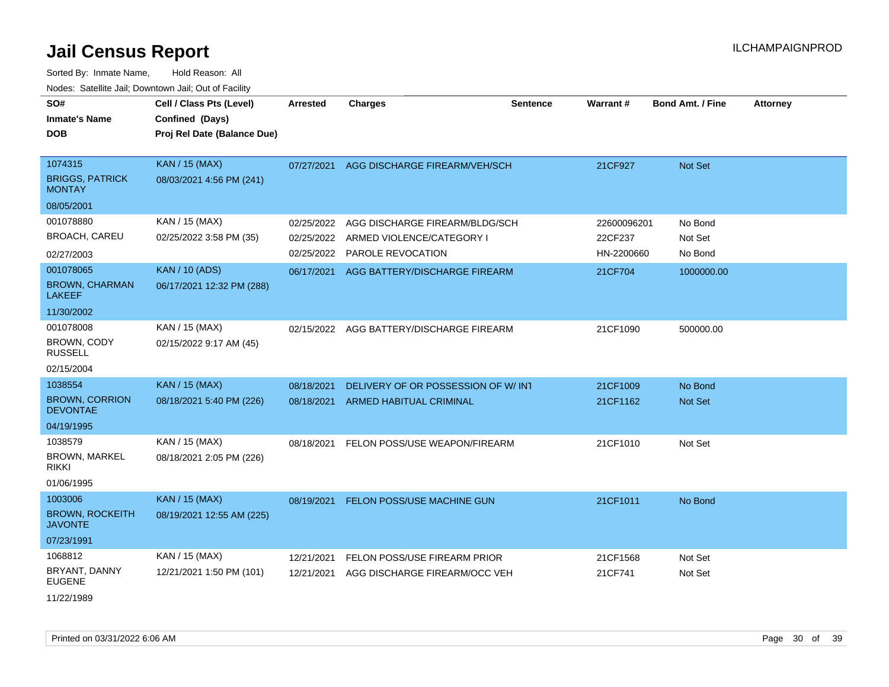| SO#<br><b>Inmate's Name</b><br>DOB                 | Cell / Class Pts (Level)<br>Confined (Days)<br>Proj Rel Date (Balance Due) | <b>Arrested</b> | <b>Charges</b>                           | <b>Sentence</b> | <b>Warrant#</b> | <b>Bond Amt. / Fine</b> | <b>Attorney</b> |
|----------------------------------------------------|----------------------------------------------------------------------------|-----------------|------------------------------------------|-----------------|-----------------|-------------------------|-----------------|
| 1074315<br><b>BRIGGS, PATRICK</b><br><b>MONTAY</b> | <b>KAN / 15 (MAX)</b><br>08/03/2021 4:56 PM (241)                          | 07/27/2021      | AGG DISCHARGE FIREARM/VEH/SCH            |                 | 21CF927         | Not Set                 |                 |
| 08/05/2001                                         |                                                                            |                 |                                          |                 |                 |                         |                 |
| 001078880                                          | KAN / 15 (MAX)                                                             | 02/25/2022      | AGG DISCHARGE FIREARM/BLDG/SCH           |                 | 22600096201     | No Bond                 |                 |
| <b>BROACH, CAREU</b>                               | 02/25/2022 3:58 PM (35)                                                    | 02/25/2022      | ARMED VIOLENCE/CATEGORY I                |                 | 22CF237         | Not Set                 |                 |
| 02/27/2003                                         |                                                                            | 02/25/2022      | PAROLE REVOCATION                        |                 | HN-2200660      | No Bond                 |                 |
| 001078065                                          | <b>KAN / 10 (ADS)</b>                                                      | 06/17/2021      | AGG BATTERY/DISCHARGE FIREARM            |                 | 21CF704         | 1000000.00              |                 |
| <b>BROWN, CHARMAN</b><br><b>LAKEEF</b>             | 06/17/2021 12:32 PM (288)                                                  |                 |                                          |                 |                 |                         |                 |
| 11/30/2002                                         |                                                                            |                 |                                          |                 |                 |                         |                 |
| 001078008                                          | KAN / 15 (MAX)                                                             |                 | 02/15/2022 AGG BATTERY/DISCHARGE FIREARM |                 | 21CF1090        | 500000.00               |                 |
| BROWN, CODY<br><b>RUSSELL</b>                      | 02/15/2022 9:17 AM (45)                                                    |                 |                                          |                 |                 |                         |                 |
| 02/15/2004                                         |                                                                            |                 |                                          |                 |                 |                         |                 |
| 1038554                                            | <b>KAN / 15 (MAX)</b>                                                      | 08/18/2021      | DELIVERY OF OR POSSESSION OF W/INT       |                 | 21CF1009        | No Bond                 |                 |
| <b>BROWN, CORRION</b><br><b>DEVONTAE</b>           | 08/18/2021 5:40 PM (226)                                                   | 08/18/2021      | <b>ARMED HABITUAL CRIMINAL</b>           |                 | 21CF1162        | Not Set                 |                 |
| 04/19/1995                                         |                                                                            |                 |                                          |                 |                 |                         |                 |
| 1038579                                            | KAN / 15 (MAX)                                                             | 08/18/2021      | FELON POSS/USE WEAPON/FIREARM            |                 | 21CF1010        | Not Set                 |                 |
| <b>BROWN, MARKEL</b><br>rikki                      | 08/18/2021 2:05 PM (226)                                                   |                 |                                          |                 |                 |                         |                 |
| 01/06/1995                                         |                                                                            |                 |                                          |                 |                 |                         |                 |
| 1003006                                            | <b>KAN / 15 (MAX)</b>                                                      | 08/19/2021      | FELON POSS/USE MACHINE GUN               |                 | 21CF1011        | No Bond                 |                 |
| <b>BROWN, ROCKEITH</b><br><b>JAVONTE</b>           | 08/19/2021 12:55 AM (225)                                                  |                 |                                          |                 |                 |                         |                 |
| 07/23/1991                                         |                                                                            |                 |                                          |                 |                 |                         |                 |
| 1068812                                            | KAN / 15 (MAX)                                                             | 12/21/2021      | FELON POSS/USE FIREARM PRIOR             |                 | 21CF1568        | Not Set                 |                 |
| BRYANT, DANNY<br><b>EUGENE</b>                     | 12/21/2021 1:50 PM (101)                                                   | 12/21/2021      | AGG DISCHARGE FIREARM/OCC VEH            |                 | 21CF741         | Not Set                 |                 |
| 11/22/1989                                         |                                                                            |                 |                                          |                 |                 |                         |                 |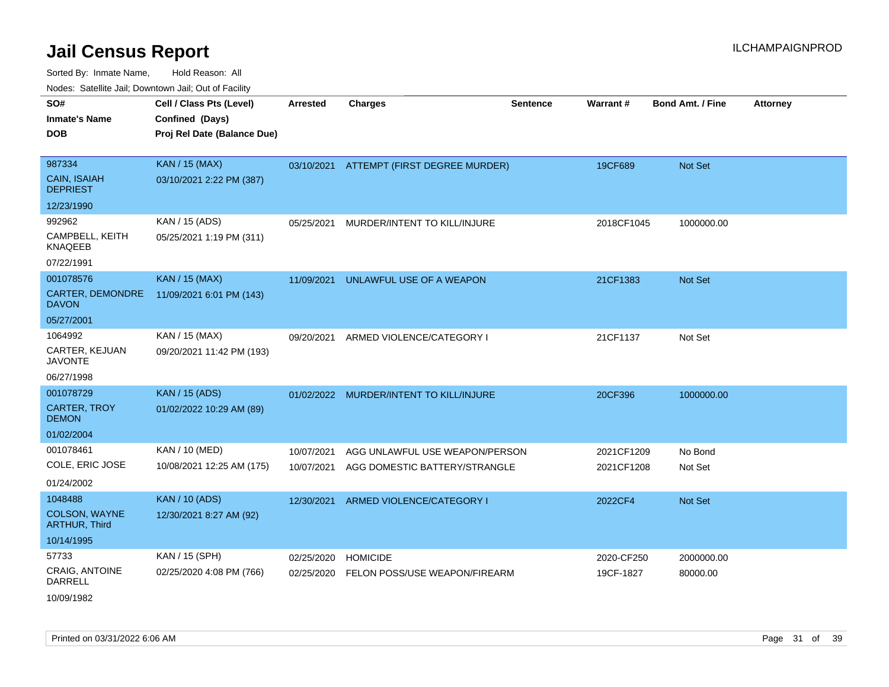Sorted By: Inmate Name, Hold Reason: All Nodes: Satellite Jail; Downtown Jail; Out of Facility

| Noucs. Calcinic Jail, Downtown Jail, Out of Facility |                             |                 |                                          |                 |                 |                         |                 |
|------------------------------------------------------|-----------------------------|-----------------|------------------------------------------|-----------------|-----------------|-------------------------|-----------------|
| SO#                                                  | Cell / Class Pts (Level)    | <b>Arrested</b> | <b>Charges</b>                           | <b>Sentence</b> | <b>Warrant#</b> | <b>Bond Amt. / Fine</b> | <b>Attorney</b> |
| <b>Inmate's Name</b>                                 | Confined (Days)             |                 |                                          |                 |                 |                         |                 |
| <b>DOB</b>                                           | Proj Rel Date (Balance Due) |                 |                                          |                 |                 |                         |                 |
|                                                      |                             |                 |                                          |                 |                 |                         |                 |
| 987334                                               | <b>KAN / 15 (MAX)</b>       |                 | 03/10/2021 ATTEMPT (FIRST DEGREE MURDER) |                 | 19CF689         | <b>Not Set</b>          |                 |
| <b>CAIN, ISAIAH</b><br><b>DEPRIEST</b>               | 03/10/2021 2:22 PM (387)    |                 |                                          |                 |                 |                         |                 |
| 12/23/1990                                           |                             |                 |                                          |                 |                 |                         |                 |
| 992962                                               | KAN / 15 (ADS)              | 05/25/2021      | MURDER/INTENT TO KILL/INJURE             |                 | 2018CF1045      | 1000000.00              |                 |
| CAMPBELL, KEITH<br><b>KNAQEEB</b>                    | 05/25/2021 1:19 PM (311)    |                 |                                          |                 |                 |                         |                 |
| 07/22/1991                                           |                             |                 |                                          |                 |                 |                         |                 |
| 001078576                                            | <b>KAN / 15 (MAX)</b>       | 11/09/2021      | UNLAWFUL USE OF A WEAPON                 |                 | 21CF1383        | <b>Not Set</b>          |                 |
| <b>CARTER, DEMONDRE</b><br><b>DAVON</b>              | 11/09/2021 6:01 PM (143)    |                 |                                          |                 |                 |                         |                 |
| 05/27/2001                                           |                             |                 |                                          |                 |                 |                         |                 |
| 1064992                                              | KAN / 15 (MAX)              | 09/20/2021      | ARMED VIOLENCE/CATEGORY I                |                 | 21CF1137        | Not Set                 |                 |
| CARTER, KEJUAN<br><b>JAVONTE</b>                     | 09/20/2021 11:42 PM (193)   |                 |                                          |                 |                 |                         |                 |
| 06/27/1998                                           |                             |                 |                                          |                 |                 |                         |                 |
| 001078729                                            | <b>KAN / 15 (ADS)</b>       |                 | 01/02/2022 MURDER/INTENT TO KILL/INJURE  |                 | 20CF396         | 1000000.00              |                 |
| <b>CARTER, TROY</b><br><b>DEMON</b>                  | 01/02/2022 10:29 AM (89)    |                 |                                          |                 |                 |                         |                 |
| 01/02/2004                                           |                             |                 |                                          |                 |                 |                         |                 |
| 001078461                                            | KAN / 10 (MED)              | 10/07/2021      | AGG UNLAWFUL USE WEAPON/PERSON           |                 | 2021CF1209      | No Bond                 |                 |
| COLE, ERIC JOSE                                      | 10/08/2021 12:25 AM (175)   | 10/07/2021      | AGG DOMESTIC BATTERY/STRANGLE            |                 | 2021CF1208      | Not Set                 |                 |
| 01/24/2002                                           |                             |                 |                                          |                 |                 |                         |                 |
| 1048488                                              | <b>KAN / 10 (ADS)</b>       | 12/30/2021      | ARMED VIOLENCE/CATEGORY I                |                 | 2022CF4         | <b>Not Set</b>          |                 |
| <b>COLSON, WAYNE</b><br><b>ARTHUR, Third</b>         | 12/30/2021 8:27 AM (92)     |                 |                                          |                 |                 |                         |                 |
| 10/14/1995                                           |                             |                 |                                          |                 |                 |                         |                 |
| 57733                                                | KAN / 15 (SPH)              | 02/25/2020      | <b>HOMICIDE</b>                          |                 | 2020-CF250      | 2000000.00              |                 |
| <b>CRAIG, ANTOINE</b><br>DARRELL                     | 02/25/2020 4:08 PM (766)    | 02/25/2020      | FELON POSS/USE WEAPON/FIREARM            |                 | 19CF-1827       | 80000.00                |                 |

10/09/1982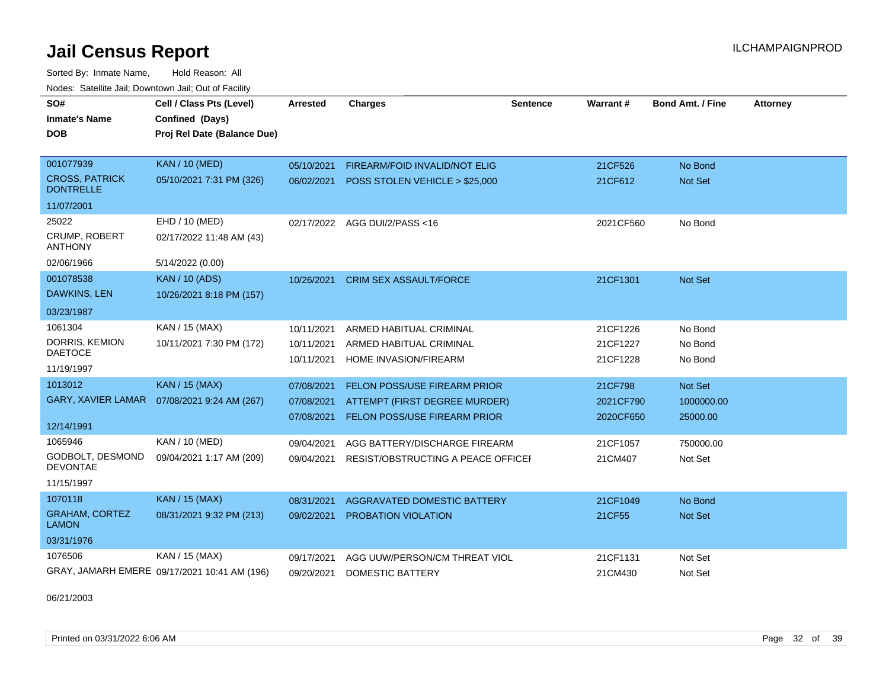Sorted By: Inmate Name, Hold Reason: All Nodes: Satellite Jail; Downtown Jail; Out of Facility

| SO#<br><b>Inmate's Name</b><br><b>DOB</b> | Cell / Class Pts (Level)<br>Confined (Days)<br>Proj Rel Date (Balance Due) | Arrested   | <b>Charges</b>                     | Sentence | <b>Warrant#</b> | <b>Bond Amt. / Fine</b> | <b>Attorney</b> |
|-------------------------------------------|----------------------------------------------------------------------------|------------|------------------------------------|----------|-----------------|-------------------------|-----------------|
|                                           |                                                                            |            |                                    |          |                 |                         |                 |
| 001077939                                 | <b>KAN / 10 (MED)</b>                                                      | 05/10/2021 | FIREARM/FOID INVALID/NOT ELIG      |          | 21CF526         | No Bond                 |                 |
| <b>CROSS, PATRICK</b><br><b>DONTRELLE</b> | 05/10/2021 7:31 PM (326)                                                   | 06/02/2021 | POSS STOLEN VEHICLE > \$25,000     |          | 21CF612         | Not Set                 |                 |
| 11/07/2001                                |                                                                            |            |                                    |          |                 |                         |                 |
| 25022                                     | EHD / 10 (MED)                                                             |            | 02/17/2022 AGG DUI/2/PASS<16       |          | 2021CF560       | No Bond                 |                 |
| <b>CRUMP, ROBERT</b><br><b>ANTHONY</b>    | 02/17/2022 11:48 AM (43)                                                   |            |                                    |          |                 |                         |                 |
| 02/06/1966                                | 5/14/2022 (0.00)                                                           |            |                                    |          |                 |                         |                 |
| 001078538                                 | <b>KAN / 10 (ADS)</b>                                                      | 10/26/2021 | <b>CRIM SEX ASSAULT/FORCE</b>      |          | 21CF1301        | Not Set                 |                 |
| <b>DAWKINS, LEN</b>                       | 10/26/2021 8:18 PM (157)                                                   |            |                                    |          |                 |                         |                 |
| 03/23/1987                                |                                                                            |            |                                    |          |                 |                         |                 |
| 1061304                                   | KAN / 15 (MAX)                                                             | 10/11/2021 | ARMED HABITUAL CRIMINAL            |          | 21CF1226        | No Bond                 |                 |
| DORRIS, KEMION                            | 10/11/2021 7:30 PM (172)                                                   | 10/11/2021 | ARMED HABITUAL CRIMINAL            |          | 21CF1227        | No Bond                 |                 |
| <b>DAETOCE</b>                            |                                                                            | 10/11/2021 | HOME INVASION/FIREARM              |          | 21CF1228        | No Bond                 |                 |
| 11/19/1997                                |                                                                            |            |                                    |          |                 |                         |                 |
| 1013012                                   | <b>KAN / 15 (MAX)</b>                                                      | 07/08/2021 | FELON POSS/USE FIREARM PRIOR       |          | 21CF798         | Not Set                 |                 |
|                                           | GARY, XAVIER LAMAR  07/08/2021 9:24 AM (267)                               | 07/08/2021 | ATTEMPT (FIRST DEGREE MURDER)      |          | 2021CF790       | 1000000.00              |                 |
| 12/14/1991                                |                                                                            | 07/08/2021 | FELON POSS/USE FIREARM PRIOR       |          | 2020CF650       | 25000.00                |                 |
| 1065946                                   | <b>KAN / 10 (MED)</b>                                                      | 09/04/2021 | AGG BATTERY/DISCHARGE FIREARM      |          | 21CF1057        | 750000.00               |                 |
| GODBOLT, DESMOND<br><b>DEVONTAE</b>       | 09/04/2021 1:17 AM (209)                                                   | 09/04/2021 | RESIST/OBSTRUCTING A PEACE OFFICEI |          | 21CM407         | Not Set                 |                 |
| 11/15/1997                                |                                                                            |            |                                    |          |                 |                         |                 |
| 1070118                                   | <b>KAN / 15 (MAX)</b>                                                      | 08/31/2021 | AGGRAVATED DOMESTIC BATTERY        |          | 21CF1049        | No Bond                 |                 |
| <b>GRAHAM, CORTEZ</b><br><b>LAMON</b>     | 08/31/2021 9:32 PM (213)                                                   | 09/02/2021 | <b>PROBATION VIOLATION</b>         |          | 21CF55          | Not Set                 |                 |
| 03/31/1976                                |                                                                            |            |                                    |          |                 |                         |                 |
| 1076506                                   | KAN / 15 (MAX)                                                             | 09/17/2021 | AGG UUW/PERSON/CM THREAT VIOL      |          | 21CF1131        | Not Set                 |                 |
|                                           | GRAY, JAMARH EMERE 09/17/2021 10:41 AM (196)                               | 09/20/2021 | DOMESTIC BATTERY                   |          | 21CM430         | Not Set                 |                 |

06/21/2003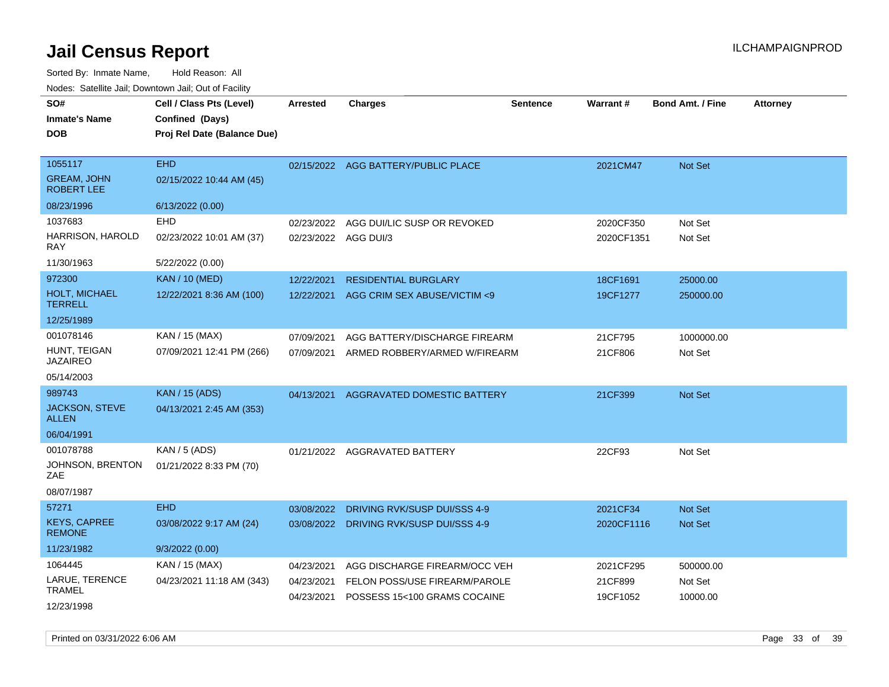|  | Nodes: Satellite Jail; Downtown Jail; Out of Facility |  |
|--|-------------------------------------------------------|--|
|  |                                                       |  |

| SO#<br><b>Inmate's Name</b><br><b>DOB</b> | Cell / Class Pts (Level)<br>Confined (Days)<br>Proj Rel Date (Balance Due) | <b>Arrested</b> | <b>Charges</b>                      | <b>Sentence</b> | <b>Warrant#</b> | <b>Bond Amt. / Fine</b> | <b>Attorney</b> |
|-------------------------------------------|----------------------------------------------------------------------------|-----------------|-------------------------------------|-----------------|-----------------|-------------------------|-----------------|
| 1055117                                   | <b>EHD</b>                                                                 |                 | 02/15/2022 AGG BATTERY/PUBLIC PLACE |                 | 2021CM47        | <b>Not Set</b>          |                 |
| <b>GREAM, JOHN</b><br><b>ROBERT LEE</b>   | 02/15/2022 10:44 AM (45)                                                   |                 |                                     |                 |                 |                         |                 |
| 08/23/1996                                | 6/13/2022 (0.00)                                                           |                 |                                     |                 |                 |                         |                 |
| 1037683                                   | <b>EHD</b>                                                                 | 02/23/2022      | AGG DUI/LIC SUSP OR REVOKED         |                 | 2020CF350       | Not Set                 |                 |
| HARRISON, HAROLD<br><b>RAY</b>            | 02/23/2022 10:01 AM (37)                                                   |                 | 02/23/2022 AGG DUI/3                |                 | 2020CF1351      | Not Set                 |                 |
| 11/30/1963                                | 5/22/2022 (0.00)                                                           |                 |                                     |                 |                 |                         |                 |
| 972300                                    | <b>KAN / 10 (MED)</b>                                                      | 12/22/2021      | <b>RESIDENTIAL BURGLARY</b>         |                 | 18CF1691        | 25000.00                |                 |
| <b>HOLT, MICHAEL</b><br><b>TERRELL</b>    | 12/22/2021 8:36 AM (100)                                                   | 12/22/2021      | AGG CRIM SEX ABUSE/VICTIM <9        |                 | 19CF1277        | 250000.00               |                 |
| 12/25/1989                                |                                                                            |                 |                                     |                 |                 |                         |                 |
| 001078146                                 | KAN / 15 (MAX)                                                             | 07/09/2021      | AGG BATTERY/DISCHARGE FIREARM       |                 | 21CF795         | 1000000.00              |                 |
| HUNT, TEIGAN<br><b>JAZAIREO</b>           | 07/09/2021 12:41 PM (266)                                                  | 07/09/2021      | ARMED ROBBERY/ARMED W/FIREARM       |                 | 21CF806         | Not Set                 |                 |
| 05/14/2003                                |                                                                            |                 |                                     |                 |                 |                         |                 |
| 989743                                    | <b>KAN / 15 (ADS)</b>                                                      | 04/13/2021      | AGGRAVATED DOMESTIC BATTERY         |                 | 21CF399         | <b>Not Set</b>          |                 |
| <b>JACKSON, STEVE</b><br><b>ALLEN</b>     | 04/13/2021 2:45 AM (353)                                                   |                 |                                     |                 |                 |                         |                 |
| 06/04/1991                                |                                                                            |                 |                                     |                 |                 |                         |                 |
| 001078788                                 | <b>KAN / 5 (ADS)</b>                                                       |                 | 01/21/2022 AGGRAVATED BATTERY       |                 | 22CF93          | Not Set                 |                 |
| JOHNSON, BRENTON<br>ZAE                   | 01/21/2022 8:33 PM (70)                                                    |                 |                                     |                 |                 |                         |                 |
| 08/07/1987                                |                                                                            |                 |                                     |                 |                 |                         |                 |
| 57271                                     | <b>EHD</b>                                                                 | 03/08/2022      | DRIVING RVK/SUSP DUI/SSS 4-9        |                 | 2021CF34        | <b>Not Set</b>          |                 |
| <b>KEYS, CAPREE</b><br><b>REMONE</b>      | 03/08/2022 9:17 AM (24)                                                    | 03/08/2022      | DRIVING RVK/SUSP DUI/SSS 4-9        |                 | 2020CF1116      | Not Set                 |                 |
| 11/23/1982                                | 9/3/2022 (0.00)                                                            |                 |                                     |                 |                 |                         |                 |
| 1064445                                   | KAN / 15 (MAX)                                                             | 04/23/2021      | AGG DISCHARGE FIREARM/OCC VEH       |                 | 2021CF295       | 500000.00               |                 |
| LARUE, TERENCE                            | 04/23/2021 11:18 AM (343)                                                  | 04/23/2021      | FELON POSS/USE FIREARM/PAROLE       |                 | 21CF899         | Not Set                 |                 |
| TRAMEL<br>12/23/1998                      |                                                                            | 04/23/2021      | POSSESS 15<100 GRAMS COCAINE        |                 | 19CF1052        | 10000.00                |                 |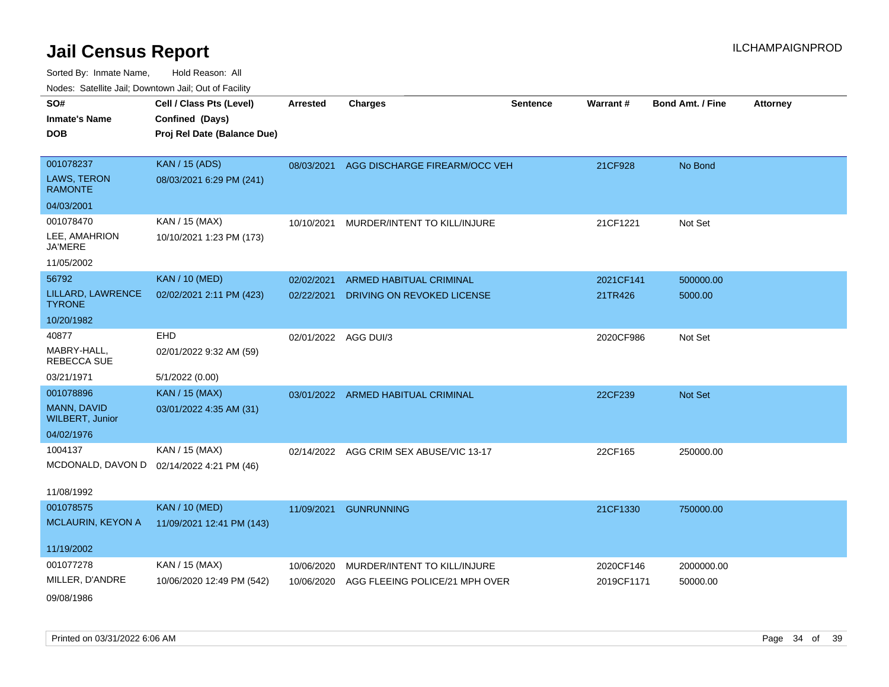| SO#                                   | Cell / Class Pts (Level)    | <b>Arrested</b>      | <b>Charges</b>                           | <b>Sentence</b> | Warrant#   | <b>Bond Amt. / Fine</b> | <b>Attorney</b> |
|---------------------------------------|-----------------------------|----------------------|------------------------------------------|-----------------|------------|-------------------------|-----------------|
| <b>Inmate's Name</b>                  | Confined (Days)             |                      |                                          |                 |            |                         |                 |
| <b>DOB</b>                            | Proj Rel Date (Balance Due) |                      |                                          |                 |            |                         |                 |
|                                       |                             |                      |                                          |                 |            |                         |                 |
| 001078237                             | <b>KAN / 15 (ADS)</b>       |                      | 08/03/2021 AGG DISCHARGE FIREARM/OCC VEH |                 | 21CF928    | No Bond                 |                 |
| <b>LAWS, TERON</b><br><b>RAMONTE</b>  | 08/03/2021 6:29 PM (241)    |                      |                                          |                 |            |                         |                 |
| 04/03/2001                            |                             |                      |                                          |                 |            |                         |                 |
| 001078470                             | KAN / 15 (MAX)              |                      | 10/10/2021 MURDER/INTENT TO KILL/INJURE  |                 | 21CF1221   | Not Set                 |                 |
| LEE, AMAHRION<br><b>JA'MERE</b>       | 10/10/2021 1:23 PM (173)    |                      |                                          |                 |            |                         |                 |
| 11/05/2002                            |                             |                      |                                          |                 |            |                         |                 |
| 56792                                 | <b>KAN / 10 (MED)</b>       | 02/02/2021           | <b>ARMED HABITUAL CRIMINAL</b>           |                 | 2021CF141  | 500000.00               |                 |
| LILLARD, LAWRENCE<br><b>TYRONE</b>    | 02/02/2021 2:11 PM (423)    | 02/22/2021           | DRIVING ON REVOKED LICENSE               |                 | 21TR426    | 5000.00                 |                 |
| 10/20/1982                            |                             |                      |                                          |                 |            |                         |                 |
| 40877                                 | EHD                         | 02/01/2022 AGG DUI/3 |                                          |                 | 2020CF986  | Not Set                 |                 |
| MABRY-HALL,<br><b>REBECCA SUE</b>     | 02/01/2022 9:32 AM (59)     |                      |                                          |                 |            |                         |                 |
| 03/21/1971                            | 5/1/2022 (0.00)             |                      |                                          |                 |            |                         |                 |
| 001078896                             | <b>KAN / 15 (MAX)</b>       |                      | 03/01/2022 ARMED HABITUAL CRIMINAL       |                 | 22CF239    | Not Set                 |                 |
| MANN, DAVID<br><b>WILBERT, Junior</b> | 03/01/2022 4:35 AM (31)     |                      |                                          |                 |            |                         |                 |
| 04/02/1976                            |                             |                      |                                          |                 |            |                         |                 |
| 1004137                               | KAN / 15 (MAX)              |                      | 02/14/2022 AGG CRIM SEX ABUSE/VIC 13-17  |                 | 22CF165    | 250000.00               |                 |
| MCDONALD, DAVON D                     | 02/14/2022 4:21 PM (46)     |                      |                                          |                 |            |                         |                 |
|                                       |                             |                      |                                          |                 |            |                         |                 |
| 11/08/1992                            |                             |                      |                                          |                 |            |                         |                 |
| 001078575                             | <b>KAN / 10 (MED)</b>       |                      | 11/09/2021 GUNRUNNING                    |                 | 21CF1330   | 750000.00               |                 |
| MCLAURIN, KEYON A                     | 11/09/2021 12:41 PM (143)   |                      |                                          |                 |            |                         |                 |
| 11/19/2002                            |                             |                      |                                          |                 |            |                         |                 |
| 001077278                             | KAN / 15 (MAX)              | 10/06/2020           | MURDER/INTENT TO KILL/INJURE             |                 | 2020CF146  | 2000000.00              |                 |
| MILLER, D'ANDRE                       | 10/06/2020 12:49 PM (542)   | 10/06/2020           | AGG FLEEING POLICE/21 MPH OVER           |                 | 2019CF1171 | 50000.00                |                 |
| 09/08/1986                            |                             |                      |                                          |                 |            |                         |                 |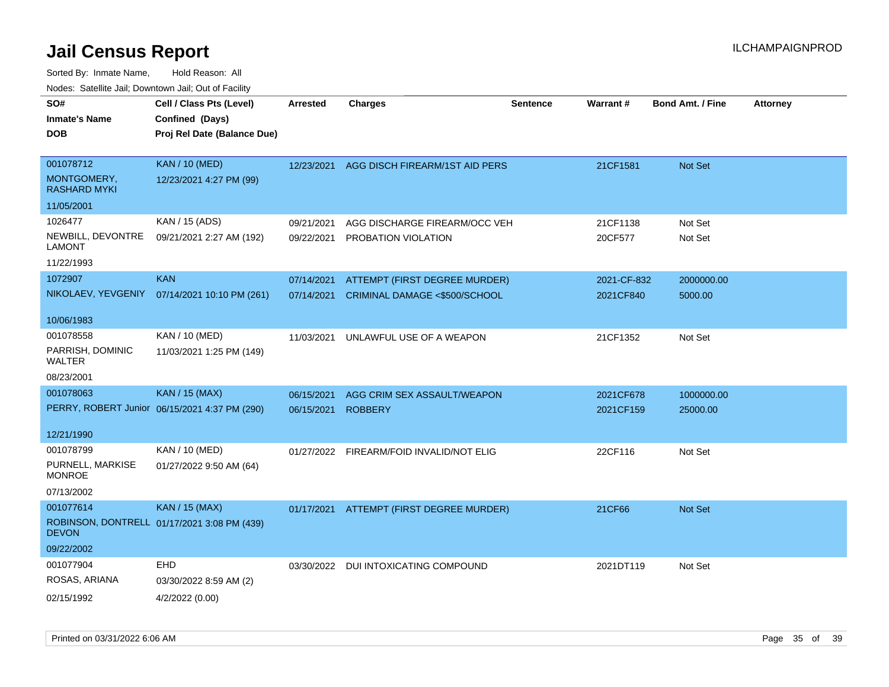| SO#                                | Cell / Class Pts (Level)                      | <b>Arrested</b> | <b>Charges</b>                 | <b>Sentence</b> | Warrant#    | <b>Bond Amt. / Fine</b> | <b>Attorney</b> |
|------------------------------------|-----------------------------------------------|-----------------|--------------------------------|-----------------|-------------|-------------------------|-----------------|
| <b>Inmate's Name</b>               | Confined (Days)                               |                 |                                |                 |             |                         |                 |
| <b>DOB</b>                         | Proj Rel Date (Balance Due)                   |                 |                                |                 |             |                         |                 |
|                                    |                                               |                 |                                |                 |             |                         |                 |
| 001078712                          | <b>KAN / 10 (MED)</b>                         | 12/23/2021      | AGG DISCH FIREARM/1ST AID PERS |                 | 21CF1581    | Not Set                 |                 |
| MONTGOMERY,<br><b>RASHARD MYKI</b> | 12/23/2021 4:27 PM (99)                       |                 |                                |                 |             |                         |                 |
| 11/05/2001                         |                                               |                 |                                |                 |             |                         |                 |
| 1026477                            | KAN / 15 (ADS)                                | 09/21/2021      | AGG DISCHARGE FIREARM/OCC VEH  |                 | 21CF1138    | Not Set                 |                 |
| NEWBILL, DEVONTRE<br>LAMONT        | 09/21/2021 2:27 AM (192)                      | 09/22/2021      | PROBATION VIOLATION            |                 | 20CF577     | Not Set                 |                 |
| 11/22/1993                         |                                               |                 |                                |                 |             |                         |                 |
| 1072907                            | <b>KAN</b>                                    | 07/14/2021      | ATTEMPT (FIRST DEGREE MURDER)  |                 | 2021-CF-832 | 2000000.00              |                 |
| NIKOLAEV, YEVGENIY                 | 07/14/2021 10:10 PM (261)                     | 07/14/2021      | CRIMINAL DAMAGE <\$500/SCHOOL  |                 | 2021CF840   | 5000.00                 |                 |
|                                    |                                               |                 |                                |                 |             |                         |                 |
| 10/06/1983                         |                                               |                 |                                |                 |             |                         |                 |
| 001078558                          | KAN / 10 (MED)                                | 11/03/2021      | UNLAWFUL USE OF A WEAPON       |                 | 21CF1352    | Not Set                 |                 |
| PARRISH, DOMINIC<br>WALTER         | 11/03/2021 1:25 PM (149)                      |                 |                                |                 |             |                         |                 |
| 08/23/2001                         |                                               |                 |                                |                 |             |                         |                 |
| 001078063                          | <b>KAN / 15 (MAX)</b>                         | 06/15/2021      | AGG CRIM SEX ASSAULT/WEAPON    |                 | 2021CF678   | 1000000.00              |                 |
|                                    | PERRY, ROBERT Junior 06/15/2021 4:37 PM (290) | 06/15/2021      | <b>ROBBERY</b>                 |                 | 2021CF159   | 25000.00                |                 |
|                                    |                                               |                 |                                |                 |             |                         |                 |
| 12/21/1990                         |                                               |                 |                                |                 |             |                         |                 |
| 001078799                          | KAN / 10 (MED)                                | 01/27/2022      | FIREARM/FOID INVALID/NOT ELIG  |                 | 22CF116     | Not Set                 |                 |
| PURNELL, MARKISE<br><b>MONROE</b>  | 01/27/2022 9:50 AM (64)                       |                 |                                |                 |             |                         |                 |
| 07/13/2002                         |                                               |                 |                                |                 |             |                         |                 |
| 001077614                          | KAN / 15 (MAX)                                | 01/17/2021      | ATTEMPT (FIRST DEGREE MURDER)  |                 | 21CF66      | <b>Not Set</b>          |                 |
| <b>DEVON</b>                       | ROBINSON, DONTRELL 01/17/2021 3:08 PM (439)   |                 |                                |                 |             |                         |                 |
| 09/22/2002                         |                                               |                 |                                |                 |             |                         |                 |
| 001077904                          | <b>EHD</b>                                    | 03/30/2022      | DUI INTOXICATING COMPOUND      |                 | 2021DT119   | Not Set                 |                 |
| ROSAS, ARIANA                      | 03/30/2022 8:59 AM (2)                        |                 |                                |                 |             |                         |                 |
| 02/15/1992                         | 4/2/2022 (0.00)                               |                 |                                |                 |             |                         |                 |
|                                    |                                               |                 |                                |                 |             |                         |                 |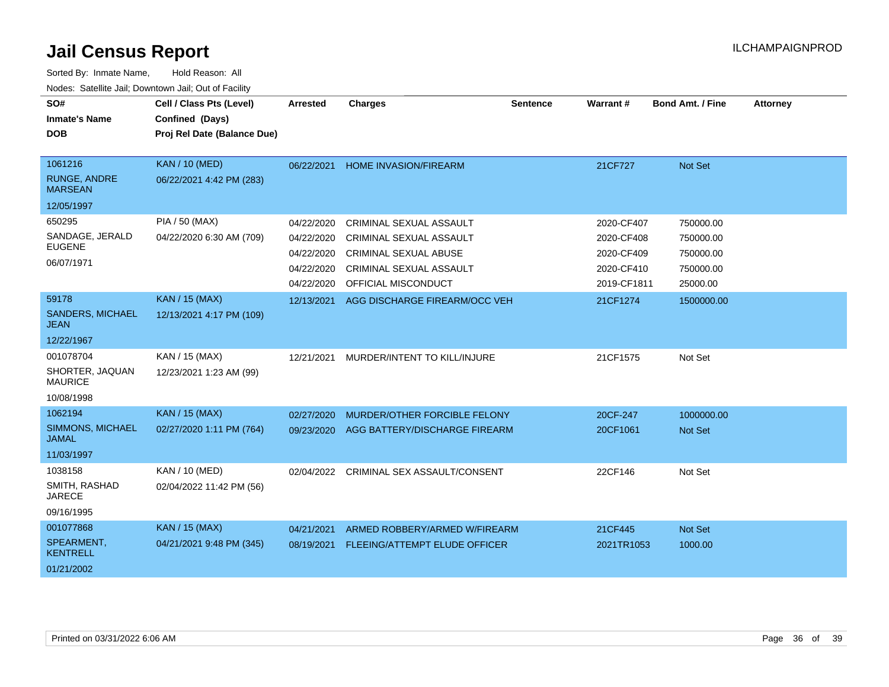| SO#<br><b>Inmate's Name</b><br><b>DOB</b> | Cell / Class Pts (Level)<br>Confined (Days)<br>Proj Rel Date (Balance Due) | Arrested   | <b>Charges</b>                       | <b>Sentence</b> | Warrant#    | <b>Bond Amt. / Fine</b> | <b>Attorney</b> |
|-------------------------------------------|----------------------------------------------------------------------------|------------|--------------------------------------|-----------------|-------------|-------------------------|-----------------|
|                                           |                                                                            |            |                                      |                 |             |                         |                 |
| 1061216                                   | <b>KAN / 10 (MED)</b>                                                      | 06/22/2021 | <b>HOME INVASION/FIREARM</b>         |                 | 21CF727     | Not Set                 |                 |
| <b>RUNGE, ANDRE</b><br><b>MARSEAN</b>     | 06/22/2021 4:42 PM (283)                                                   |            |                                      |                 |             |                         |                 |
| 12/05/1997                                |                                                                            |            |                                      |                 |             |                         |                 |
| 650295                                    | PIA / 50 (MAX)                                                             | 04/22/2020 | CRIMINAL SEXUAL ASSAULT              |                 | 2020-CF407  | 750000.00               |                 |
| SANDAGE, JERALD                           | 04/22/2020 6:30 AM (709)                                                   | 04/22/2020 | <b>CRIMINAL SEXUAL ASSAULT</b>       |                 | 2020-CF408  | 750000.00               |                 |
| <b>EUGENE</b>                             |                                                                            | 04/22/2020 | <b>CRIMINAL SEXUAL ABUSE</b>         |                 | 2020-CF409  | 750000.00               |                 |
| 06/07/1971                                |                                                                            | 04/22/2020 | CRIMINAL SEXUAL ASSAULT              |                 | 2020-CF410  | 750000.00               |                 |
|                                           |                                                                            | 04/22/2020 | OFFICIAL MISCONDUCT                  |                 | 2019-CF1811 | 25000.00                |                 |
| 59178                                     | <b>KAN / 15 (MAX)</b>                                                      | 12/13/2021 | AGG DISCHARGE FIREARM/OCC VEH        |                 | 21CF1274    | 1500000.00              |                 |
| SANDERS, MICHAEL<br>JEAN                  | 12/13/2021 4:17 PM (109)                                                   |            |                                      |                 |             |                         |                 |
| 12/22/1967                                |                                                                            |            |                                      |                 |             |                         |                 |
| 001078704                                 | KAN / 15 (MAX)                                                             | 12/21/2021 | MURDER/INTENT TO KILL/INJURE         |                 | 21CF1575    | Not Set                 |                 |
| SHORTER, JAQUAN<br><b>MAURICE</b>         | 12/23/2021 1:23 AM (99)                                                    |            |                                      |                 |             |                         |                 |
| 10/08/1998                                |                                                                            |            |                                      |                 |             |                         |                 |
| 1062194                                   | <b>KAN / 15 (MAX)</b>                                                      | 02/27/2020 | MURDER/OTHER FORCIBLE FELONY         |                 | 20CF-247    | 1000000.00              |                 |
| SIMMONS, MICHAEL<br><b>JAMAL</b>          | 02/27/2020 1:11 PM (764)                                                   | 09/23/2020 | AGG BATTERY/DISCHARGE FIREARM        |                 | 20CF1061    | <b>Not Set</b>          |                 |
| 11/03/1997                                |                                                                            |            |                                      |                 |             |                         |                 |
| 1038158                                   | KAN / 10 (MED)                                                             | 02/04/2022 | CRIMINAL SEX ASSAULT/CONSENT         |                 | 22CF146     | Not Set                 |                 |
| SMITH, RASHAD<br><b>JARECE</b>            | 02/04/2022 11:42 PM (56)                                                   |            |                                      |                 |             |                         |                 |
| 09/16/1995                                |                                                                            |            |                                      |                 |             |                         |                 |
| 001077868                                 | <b>KAN / 15 (MAX)</b>                                                      | 04/21/2021 | ARMED ROBBERY/ARMED W/FIREARM        |                 | 21CF445     | Not Set                 |                 |
| SPEARMENT,<br><b>KENTRELL</b>             | 04/21/2021 9:48 PM (345)                                                   | 08/19/2021 | <b>FLEEING/ATTEMPT ELUDE OFFICER</b> |                 | 2021TR1053  | 1000.00                 |                 |
| 01/21/2002                                |                                                                            |            |                                      |                 |             |                         |                 |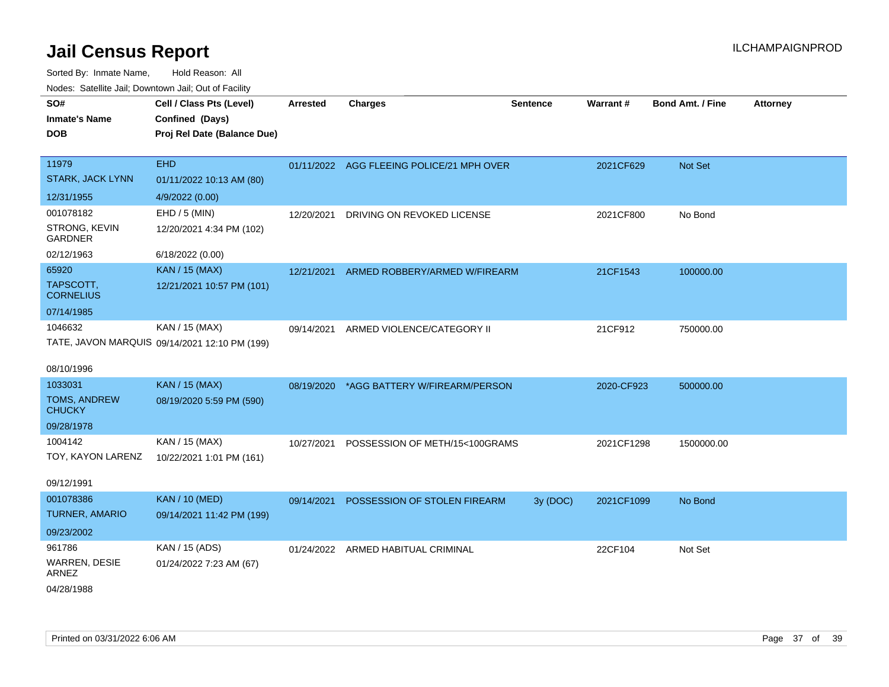| ivodes. Satellite Jali, Downtown Jali, Out of Facility |                                               |                 |                                           |                 |            |                         |                 |  |
|--------------------------------------------------------|-----------------------------------------------|-----------------|-------------------------------------------|-----------------|------------|-------------------------|-----------------|--|
| SO#                                                    | Cell / Class Pts (Level)                      | <b>Arrested</b> | <b>Charges</b>                            | <b>Sentence</b> | Warrant#   | <b>Bond Amt. / Fine</b> | <b>Attorney</b> |  |
| <b>Inmate's Name</b>                                   | Confined (Days)                               |                 |                                           |                 |            |                         |                 |  |
| <b>DOB</b>                                             | Proj Rel Date (Balance Due)                   |                 |                                           |                 |            |                         |                 |  |
|                                                        |                                               |                 |                                           |                 |            |                         |                 |  |
| 11979                                                  | <b>EHD</b>                                    |                 | 01/11/2022 AGG FLEEING POLICE/21 MPH OVER |                 | 2021CF629  | <b>Not Set</b>          |                 |  |
| <b>STARK, JACK LYNN</b>                                | 01/11/2022 10:13 AM (80)                      |                 |                                           |                 |            |                         |                 |  |
| 12/31/1955                                             | 4/9/2022 (0.00)                               |                 |                                           |                 |            |                         |                 |  |
| 001078182                                              | EHD / 5 (MIN)                                 | 12/20/2021      | DRIVING ON REVOKED LICENSE                |                 | 2021CF800  | No Bond                 |                 |  |
| STRONG, KEVIN<br><b>GARDNER</b>                        | 12/20/2021 4:34 PM (102)                      |                 |                                           |                 |            |                         |                 |  |
| 02/12/1963                                             | 6/18/2022 (0.00)                              |                 |                                           |                 |            |                         |                 |  |
| 65920                                                  | KAN / 15 (MAX)                                | 12/21/2021      | ARMED ROBBERY/ARMED W/FIREARM             |                 | 21CF1543   | 100000.00               |                 |  |
| TAPSCOTT,<br><b>CORNELIUS</b>                          | 12/21/2021 10:57 PM (101)                     |                 |                                           |                 |            |                         |                 |  |
| 07/14/1985                                             |                                               |                 |                                           |                 |            |                         |                 |  |
| 1046632                                                | KAN / 15 (MAX)                                | 09/14/2021      | ARMED VIOLENCE/CATEGORY II                |                 | 21CF912    | 750000.00               |                 |  |
|                                                        | TATE, JAVON MARQUIS 09/14/2021 12:10 PM (199) |                 |                                           |                 |            |                         |                 |  |
|                                                        |                                               |                 |                                           |                 |            |                         |                 |  |
| 08/10/1996                                             |                                               |                 |                                           |                 |            |                         |                 |  |
| 1033031                                                | <b>KAN / 15 (MAX)</b>                         |                 | 08/19/2020 *AGG BATTERY W/FIREARM/PERSON  |                 | 2020-CF923 | 500000.00               |                 |  |
| TOMS, ANDREW<br><b>CHUCKY</b>                          | 08/19/2020 5:59 PM (590)                      |                 |                                           |                 |            |                         |                 |  |
| 09/28/1978                                             |                                               |                 |                                           |                 |            |                         |                 |  |
| 1004142                                                | KAN / 15 (MAX)                                | 10/27/2021      | POSSESSION OF METH/15<100GRAMS            |                 | 2021CF1298 | 1500000.00              |                 |  |
| TOY, KAYON LARENZ                                      | 10/22/2021 1:01 PM (161)                      |                 |                                           |                 |            |                         |                 |  |
| 09/12/1991                                             |                                               |                 |                                           |                 |            |                         |                 |  |
| 001078386                                              | <b>KAN / 10 (MED)</b>                         | 09/14/2021      | POSSESSION OF STOLEN FIREARM              | 3y (DOC)        | 2021CF1099 | No Bond                 |                 |  |
| <b>TURNER, AMARIO</b>                                  | 09/14/2021 11:42 PM (199)                     |                 |                                           |                 |            |                         |                 |  |
| 09/23/2002                                             |                                               |                 |                                           |                 |            |                         |                 |  |
| 961786                                                 | KAN / 15 (ADS)                                |                 | 01/24/2022 ARMED HABITUAL CRIMINAL        |                 | 22CF104    | Not Set                 |                 |  |
| WARREN, DESIE<br><b>ARNEZ</b>                          | 01/24/2022 7:23 AM (67)                       |                 |                                           |                 |            |                         |                 |  |
| 04/28/1988                                             |                                               |                 |                                           |                 |            |                         |                 |  |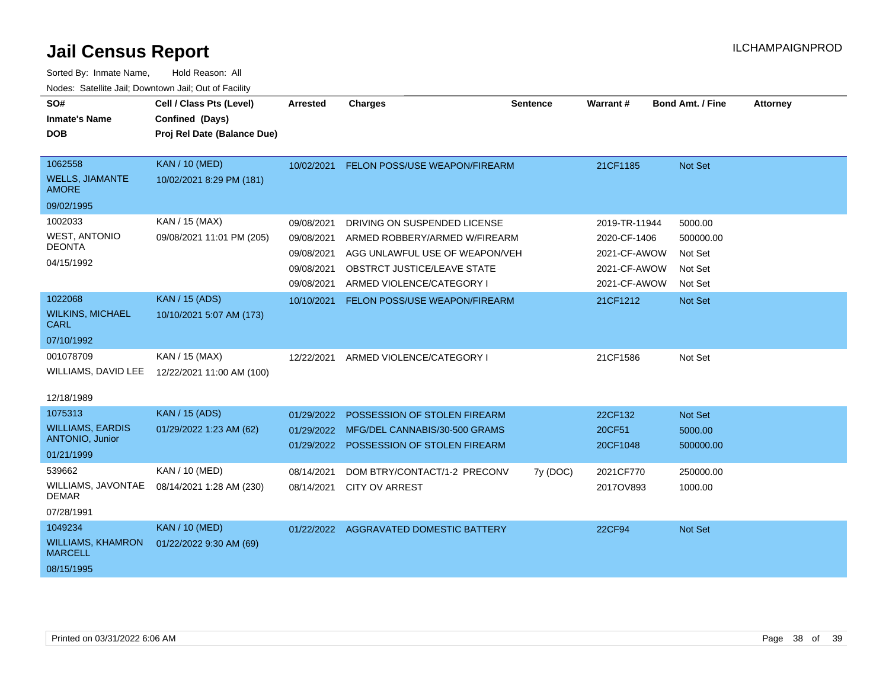| SO#<br><b>Inmate's Name</b>                                     | Cell / Class Pts (Level)<br>Confined (Days)       | <b>Arrested</b> | <b>Charges</b>                                                           | <b>Sentence</b> | Warrant#           | <b>Bond Amt. / Fine</b> | <b>Attorney</b> |
|-----------------------------------------------------------------|---------------------------------------------------|-----------------|--------------------------------------------------------------------------|-----------------|--------------------|-------------------------|-----------------|
| <b>DOB</b>                                                      | Proj Rel Date (Balance Due)                       |                 |                                                                          |                 |                    |                         |                 |
| 1062558<br><b>WELLS, JIAMANTE</b><br><b>AMORE</b>               | <b>KAN / 10 (MED)</b><br>10/02/2021 8:29 PM (181) | 10/02/2021      | FELON POSS/USE WEAPON/FIREARM                                            |                 | 21CF1185           | Not Set                 |                 |
| 09/02/1995                                                      |                                                   |                 |                                                                          |                 |                    |                         |                 |
| 1002033                                                         | KAN / 15 (MAX)                                    | 09/08/2021      | DRIVING ON SUSPENDED LICENSE                                             |                 | 2019-TR-11944      | 5000.00                 |                 |
| <b>WEST, ANTONIO</b><br><b>DEONTA</b>                           | 09/08/2021 11:01 PM (205)                         | 09/08/2021      | ARMED ROBBERY/ARMED W/FIREARM                                            |                 | 2020-CF-1406       | 500000.00               |                 |
| 04/15/1992                                                      |                                                   | 09/08/2021      | AGG UNLAWFUL USE OF WEAPON/VEH                                           |                 | 2021-CF-AWOW       | Not Set                 |                 |
|                                                                 |                                                   | 09/08/2021      | <b>OBSTRCT JUSTICE/LEAVE STATE</b>                                       |                 | 2021-CF-AWOW       | Not Set                 |                 |
|                                                                 |                                                   | 09/08/2021      | ARMED VIOLENCE/CATEGORY I                                                |                 | 2021-CF-AWOW       | Not Set                 |                 |
| 1022068<br><b>WILKINS, MICHAEL</b><br><b>CARL</b>               | <b>KAN / 15 (ADS)</b><br>10/10/2021 5:07 AM (173) | 10/10/2021      | FELON POSS/USE WEAPON/FIREARM                                            |                 | 21CF1212           | Not Set                 |                 |
| 07/10/1992                                                      |                                                   |                 |                                                                          |                 |                    |                         |                 |
| 001078709<br>WILLIAMS, DAVID LEE<br>12/18/1989                  | KAN / 15 (MAX)<br>12/22/2021 11:00 AM (100)       | 12/22/2021      | ARMED VIOLENCE/CATEGORY I                                                |                 | 21CF1586           | Not Set                 |                 |
| 1075313                                                         | <b>KAN / 15 (ADS)</b>                             | 01/29/2022      | POSSESSION OF STOLEN FIREARM                                             |                 | 22CF132            | Not Set                 |                 |
| <b>WILLIAMS, EARDIS</b><br><b>ANTONIO, Junior</b><br>01/21/1999 | 01/29/2022 1:23 AM (62)                           | 01/29/2022      | MFG/DEL CANNABIS/30-500 GRAMS<br>01/29/2022 POSSESSION OF STOLEN FIREARM |                 | 20CF51<br>20CF1048 | 5000.00<br>500000.00    |                 |
| 539662                                                          | KAN / 10 (MED)                                    | 08/14/2021      | DOM BTRY/CONTACT/1-2 PRECONV                                             | 7y (DOC)        | 2021CF770          | 250000.00               |                 |
| WILLIAMS, JAVONTAE<br><b>DEMAR</b>                              | 08/14/2021 1:28 AM (230)                          | 08/14/2021      | <b>CITY OV ARREST</b>                                                    |                 | 2017OV893          | 1000.00                 |                 |
| 07/28/1991                                                      |                                                   |                 |                                                                          |                 |                    |                         |                 |
| 1049234                                                         | <b>KAN / 10 (MED)</b>                             |                 | 01/22/2022 AGGRAVATED DOMESTIC BATTERY                                   |                 | 22CF94             | Not Set                 |                 |
| <b>WILLIAMS, KHAMRON</b><br><b>MARCELL</b>                      | 01/22/2022 9:30 AM (69)                           |                 |                                                                          |                 |                    |                         |                 |
| 08/15/1995                                                      |                                                   |                 |                                                                          |                 |                    |                         |                 |